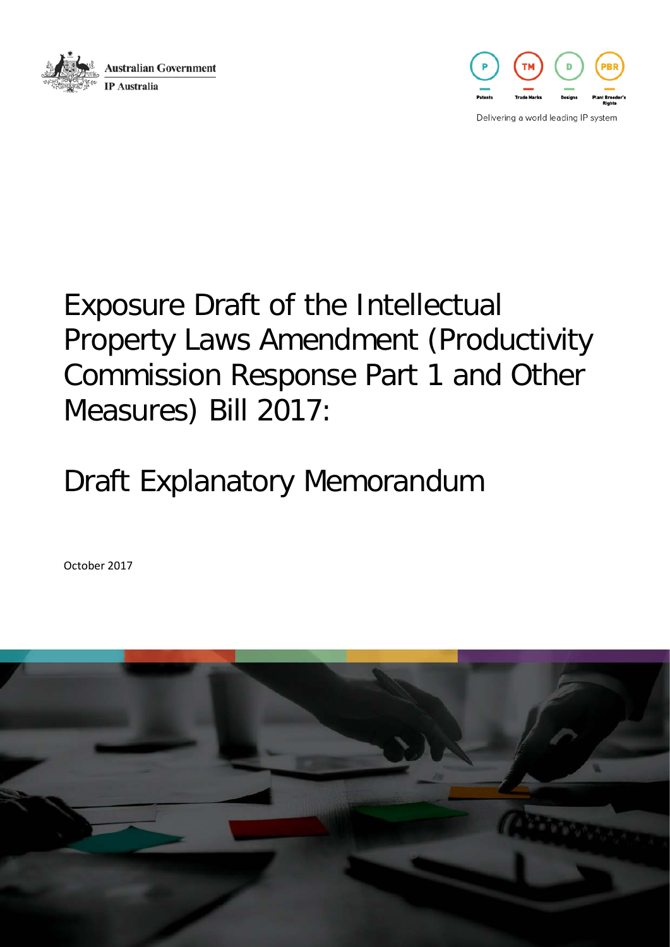



Delivering a world leading IP system

# Exposure Draft of the Intellectual Property Laws Amendment (Productivity Commission Response Part 1 and Other Measures) Bill 2017:

# Draft Explanatory Memorandum

October 2017

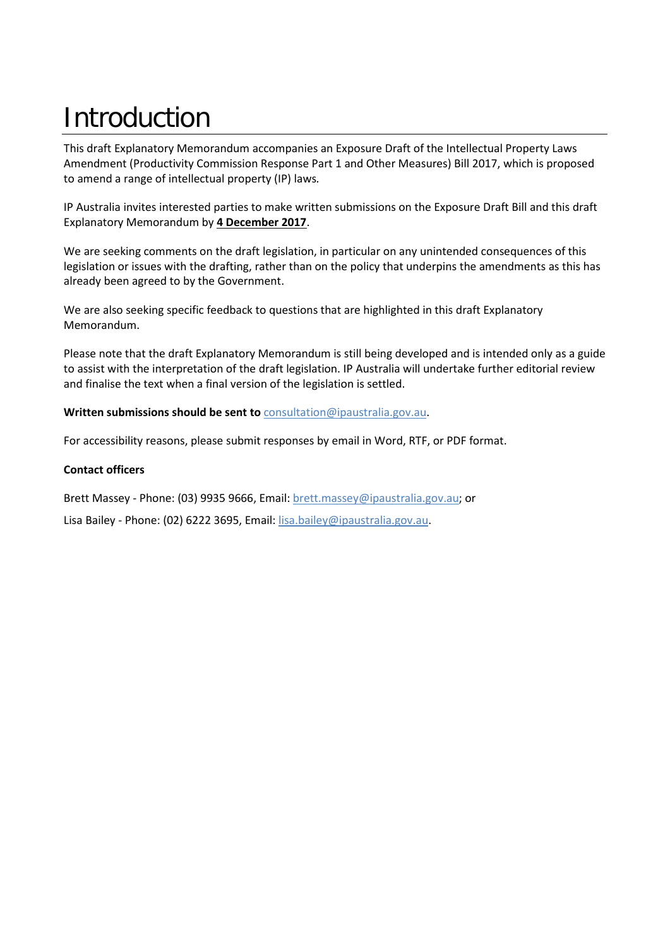# Introduction

This draft Explanatory Memorandum accompanies an Exposure Draft of the Intellectual Property Laws Amendment (Productivity Commission Response Part 1 and Other Measures) Bill 2017, which is proposed to amend a range of intellectual property (IP) laws*.* 

IP Australia invites interested parties to make written submissions on the Exposure Draft Bill and this draft Explanatory Memorandum by **4 December 2017**.

We are seeking comments on the draft legislation, in particular on any unintended consequences of this legislation or issues with the drafting, rather than on the policy that underpins the amendments as this has already been agreed to by the Government.

We are also seeking specific feedback to questions that are highlighted in this draft Explanatory Memorandum.

Please note that the draft Explanatory Memorandum is still being developed and is intended only as a guide to assist with the interpretation of the draft legislation. IP Australia will undertake further editorial review and finalise the text when a final version of the legislation is settled.

#### **Written submissions should be sent to** [consultation@ipaustralia.gov.au.](mailto:consultation@ipaustralia.gov.au?subject=RIO%20Public%20Consultation)

For accessibility reasons, please submit responses by email in Word, RTF, or PDF format.

#### **Contact officers**

Brett Massey - Phone: (03) 9935 9666, Email: [brett.massey@ipaustralia.gov.au;](mailto:brett.massey@ipaustralia.gov.au) or

Lisa Bailey - Phone: (02) 6222 3695, Email[: lisa.bailey@ipaustralia.gov.au.](mailto:lisa.bailey@ipaustralia.gov.au?subject=RIO%20Public%20Consultation)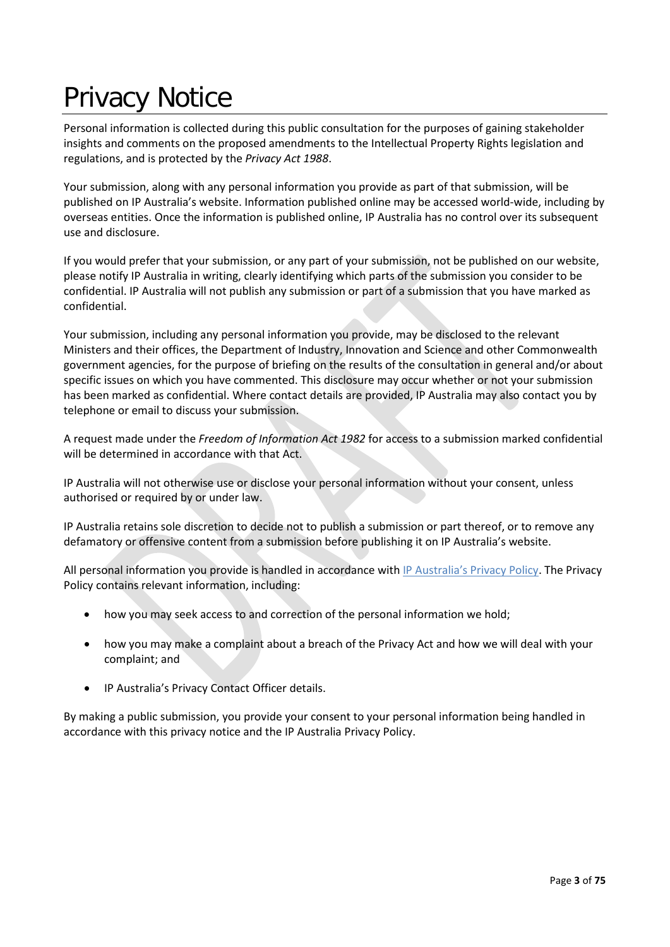# Privacy Notice

Personal information is collected during this public consultation for the purposes of gaining stakeholder insights and comments on the proposed amendments to the Intellectual Property Rights legislation and regulations, and is protected by the *Privacy Act 1988*.

Your submission, along with any personal information you provide as part of that submission, will be published on IP Australia's website. Information published online may be accessed world-wide, including by overseas entities. Once the information is published online, IP Australia has no control over its subsequent use and disclosure.

If you would prefer that your submission, or any part of your submission, not be published on our website, please notify IP Australia in writing, clearly identifying which parts of the submission you consider to be confidential. IP Australia will not publish any submission or part of a submission that you have marked as confidential.

Your submission, including any personal information you provide, may be disclosed to the relevant Ministers and their offices, the Department of Industry, Innovation and Science and other Commonwealth government agencies, for the purpose of briefing on the results of the consultation in general and/or about specific issues on which you have commented. This disclosure may occur whether or not your submission has been marked as confidential. Where contact details are provided, IP Australia may also contact you by telephone or email to discuss your submission.

A request made under the *Freedom of Information Act 1982* for access to a submission marked confidential will be determined in accordance with that Act.

IP Australia will not otherwise use or disclose your personal information without your consent, unless authorised or required by or under law.

IP Australia retains sole discretion to decide not to publish a submission or part thereof, or to remove any defamatory or offensive content from a submission before publishing it on IP Australia's website.

All personal information you provide is handled in accordance with [IP Australia's Privacy Policy.](http://www.ipaustralia.gov.au/about-us/agency-overview/privacy-policy) The Privacy Policy contains relevant information, including:

- how you may seek access to and correction of the personal information we hold;
- how you may make a complaint about a breach of the Privacy Act and how we will deal with your complaint; and
- IP Australia's Privacy Contact Officer details.

By making a public submission, you provide your consent to your personal information being handled in accordance with this privacy notice and the IP Australia Privacy Policy.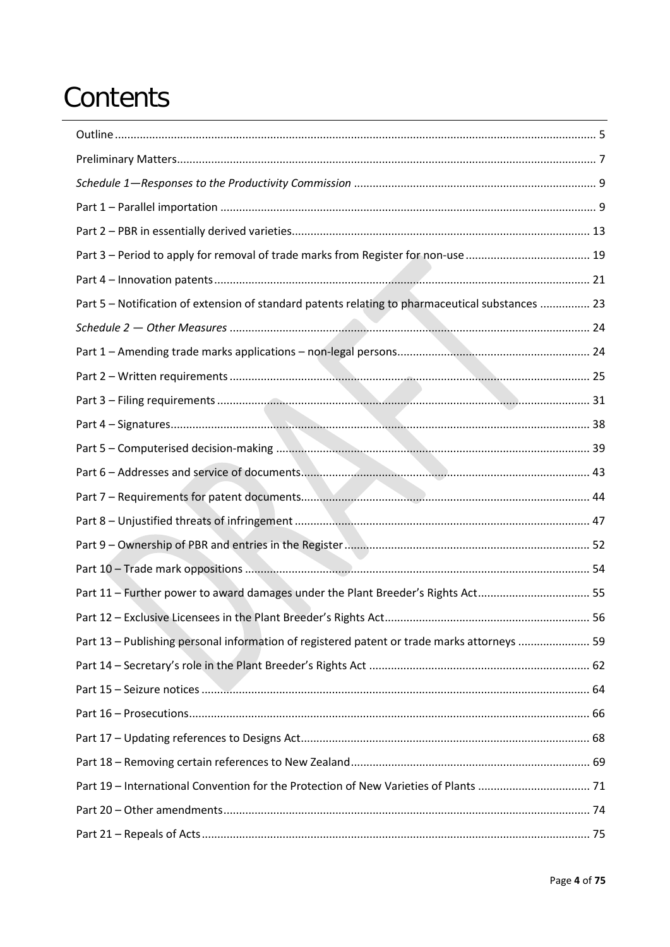# Contents

| Part 5 - Notification of extension of standard patents relating to pharmaceutical substances  23 |  |
|--------------------------------------------------------------------------------------------------|--|
|                                                                                                  |  |
|                                                                                                  |  |
|                                                                                                  |  |
|                                                                                                  |  |
|                                                                                                  |  |
|                                                                                                  |  |
|                                                                                                  |  |
|                                                                                                  |  |
|                                                                                                  |  |
|                                                                                                  |  |
|                                                                                                  |  |
| Part 11 - Further power to award damages under the Plant Breeder's Rights Act 55                 |  |
|                                                                                                  |  |
| Part 13 - Publishing personal information of registered patent or trade marks attorneys  59      |  |
|                                                                                                  |  |
|                                                                                                  |  |
|                                                                                                  |  |
|                                                                                                  |  |
|                                                                                                  |  |
|                                                                                                  |  |
|                                                                                                  |  |
|                                                                                                  |  |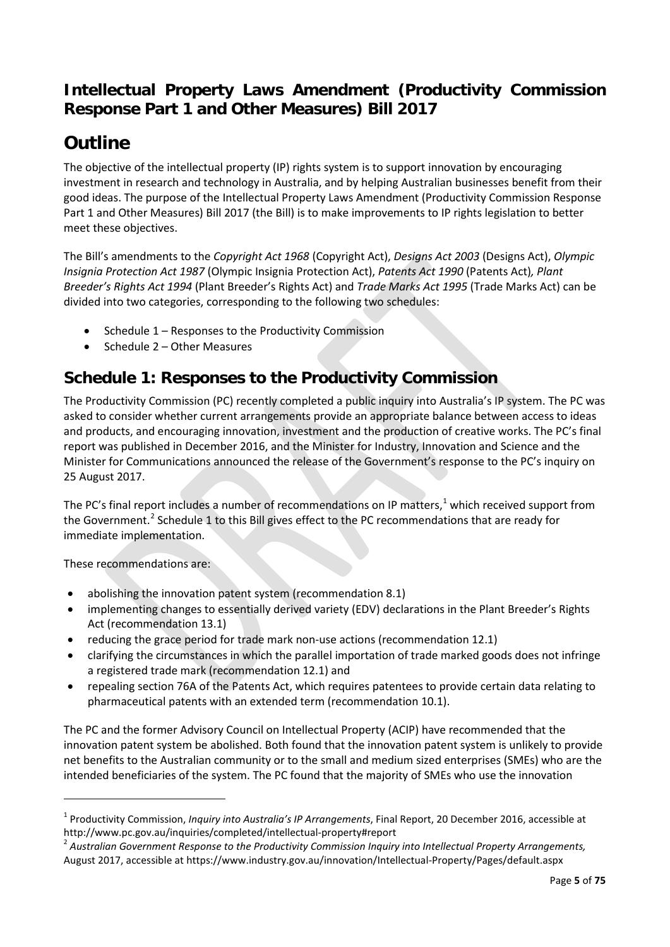# **Intellectual Property Laws Amendment (Productivity Commission Response Part 1 and Other Measures) Bill 2017**

# <span id="page-4-0"></span>**Outline**

The objective of the intellectual property (IP) rights system is to support innovation by encouraging investment in research and technology in Australia, and by helping Australian businesses benefit from their good ideas. The purpose of the Intellectual Property Laws Amendment (Productivity Commission Response Part 1 and Other Measures) Bill 2017 (the Bill) is to make improvements to IP rights legislation to better meet these objectives.

The Bill's amendments to the *Copyright Act 1968* (Copyright Act), *Designs Act 2003* (Designs Act), *Olympic Insignia Protection Act 1987* (Olympic Insignia Protection Act), *Patents Act 1990* (Patents Act)*, Plant Breeder's Rights Act 1994* (Plant Breeder's Rights Act) and *Trade Marks Act 1995* (Trade Marks Act) can be divided into two categories, corresponding to the following two schedules:

- Schedule 1 Responses to the Productivity Commission
- Schedule 2 Other Measures

## **Schedule 1: Responses to the Productivity Commission**

The Productivity Commission (PC) recently completed a public inquiry into Australia's IP system. The PC was asked to consider whether current arrangements provide an appropriate balance between access to ideas and products, and encouraging innovation, investment and the production of creative works. The PC's final report was published in December 2016, and the Minister for Industry, Innovation and Science and the Minister for Communications announced the release of the Government's response to the PC's inquiry on 25 August 2017.

The PC's final report includes a number of recommendations on IP matters,<sup>[1](#page-4-1)</sup> which received support from the Government.<sup>[2](#page-4-2)</sup> Schedule 1 to this Bill gives effect to the PC recommendations that are ready for immediate implementation.

These recommendations are:

**.** 

- abolishing the innovation patent system (recommendation 8.1)
- implementing changes to essentially derived variety (EDV) declarations in the Plant Breeder's Rights Act (recommendation 13.1)
- reducing the grace period for trade mark non-use actions (recommendation 12.1)
- clarifying the circumstances in which the parallel importation of trade marked goods does not infringe a registered trade mark (recommendation 12.1) and
- repealing section 76A of the Patents Act, which requires patentees to provide certain data relating to pharmaceutical patents with an extended term (recommendation 10.1).

The PC and the former Advisory Council on Intellectual Property (ACIP) have recommended that the innovation patent system be abolished. Both found that the innovation patent system is unlikely to provide net benefits to the Australian community or to the small and medium sized enterprises (SMEs) who are the intended beneficiaries of the system. The PC found that the majority of SMEs who use the innovation

<span id="page-4-1"></span><sup>1</sup> Productivity Commission, *Inquiry into Australia's IP Arrangements*, Final Report, 20 December 2016, accessible at http://www.pc.gov.au/inquiries/completed/intellectual-property#report<br><sup>2</sup> Australian Government Response to the Productivity Commission Inquiry into Intellectual Property Arrangements,

<span id="page-4-2"></span>August 2017, accessible at https://www.industry.gov.au/innovation/Intellectual-Property/Pages/default.aspx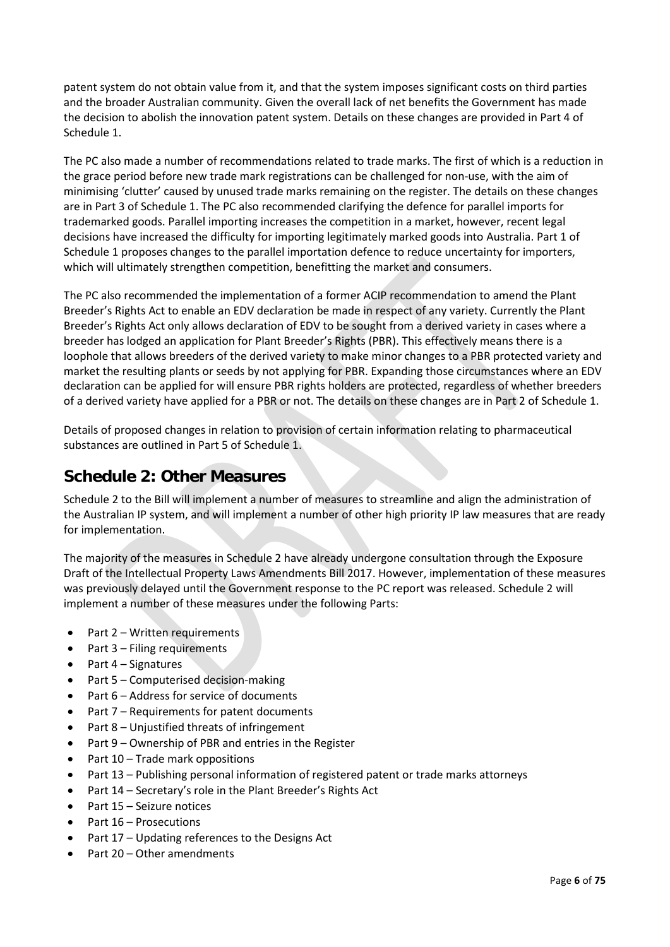patent system do not obtain value from it, and that the system imposes significant costs on third parties and the broader Australian community. Given the overall lack of net benefits the Government has made the decision to abolish the innovation patent system. Details on these changes are provided in Part 4 of Schedule 1.

The PC also made a number of recommendations related to trade marks. The first of which is a reduction in the grace period before new trade mark registrations can be challenged for non-use, with the aim of minimising 'clutter' caused by unused trade marks remaining on the register. The details on these changes are in Part 3 of Schedule 1. The PC also recommended clarifying the defence for parallel imports for trademarked goods. Parallel importing increases the competition in a market, however, recent legal decisions have increased the difficulty for importing legitimately marked goods into Australia. Part 1 of Schedule 1 proposes changes to the parallel importation defence to reduce uncertainty for importers, which will ultimately strengthen competition, benefitting the market and consumers.

The PC also recommended the implementation of a former ACIP recommendation to amend the Plant Breeder's Rights Act to enable an EDV declaration be made in respect of any variety. Currently the Plant Breeder's Rights Act only allows declaration of EDV to be sought from a derived variety in cases where a breeder has lodged an application for Plant Breeder's Rights (PBR). This effectively means there is a loophole that allows breeders of the derived variety to make minor changes to a PBR protected variety and market the resulting plants or seeds by not applying for PBR. Expanding those circumstances where an EDV declaration can be applied for will ensure PBR rights holders are protected, regardless of whether breeders of a derived variety have applied for a PBR or not. The details on these changes are in Part 2 of Schedule 1.

Details of proposed changes in relation to provision of certain information relating to pharmaceutical substances are outlined in Part 5 of Schedule 1.

### **Schedule 2: Other Measures**

Schedule 2 to the Bill will implement a number of measures to streamline and align the administration of the Australian IP system, and will implement a number of other high priority IP law measures that are ready for implementation.

The majority of the measures in Schedule 2 have already undergone consultation through the Exposure Draft of the Intellectual Property Laws Amendments Bill 2017. However, implementation of these measures was previously delayed until the Government response to the PC report was released. Schedule 2 will implement a number of these measures under the following Parts:

- Part 2 Written requirements
- Part 3 Filing requirements
- Part 4 Signatures
- Part 5 Computerised decision-making
- Part 6 Address for service of documents
- Part 7 Requirements for patent documents
- Part 8 Unjustified threats of infringement
- Part 9 Ownership of PBR and entries in the Register
- Part 10 Trade mark oppositions
- Part 13 Publishing personal information of registered patent or trade marks attorneys
- Part 14 Secretary's role in the Plant Breeder's Rights Act
- Part 15 Seizure notices
- Part 16 Prosecutions
- Part 17 Updating references to the Designs Act
- Part 20 Other amendments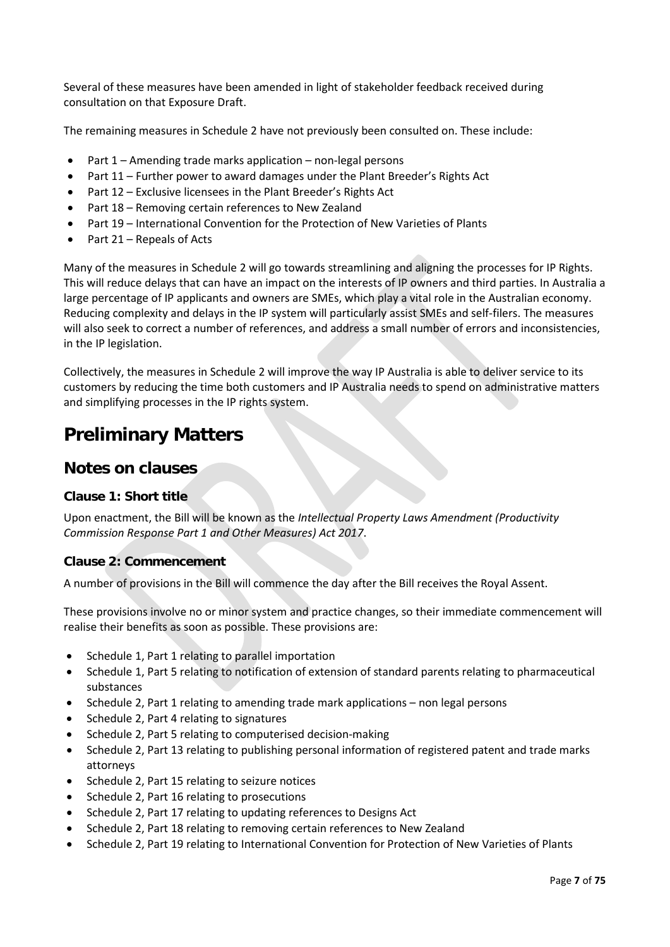Several of these measures have been amended in light of stakeholder feedback received during consultation on that Exposure Draft.

The remaining measures in Schedule 2 have not previously been consulted on. These include:

- Part 1 Amending trade marks application non-legal persons
- Part 11 Further power to award damages under the Plant Breeder's Rights Act
- Part 12 Exclusive licensees in the Plant Breeder's Rights Act
- Part 18 Removing certain references to New Zealand
- Part 19 International Convention for the Protection of New Varieties of Plants
- Part 21 Repeals of Acts

Many of the measures in Schedule 2 will go towards streamlining and aligning the processes for IP Rights. This will reduce delays that can have an impact on the interests of IP owners and third parties. In Australia a large percentage of IP applicants and owners are SMEs, which play a vital role in the Australian economy. Reducing complexity and delays in the IP system will particularly assist SMEs and self-filers. The measures will also seek to correct a number of references, and address a small number of errors and inconsistencies, in the IP legislation.

Collectively, the measures in Schedule 2 will improve the way IP Australia is able to deliver service to its customers by reducing the time both customers and IP Australia needs to spend on administrative matters and simplifying processes in the IP rights system.

# <span id="page-6-0"></span>**Preliminary Matters**

### **Notes on clauses**

#### **Clause 1: Short title**

Upon enactment, the Bill will be known as the *Intellectual Property Laws Amendment (Productivity Commission Response Part 1 and Other Measures) Act 2017*.

#### **Clause 2: Commencement**

A number of provisions in the Bill will commence the day after the Bill receives the Royal Assent.

These provisions involve no or minor system and practice changes, so their immediate commencement will realise their benefits as soon as possible. These provisions are:

- Schedule 1, Part 1 relating to parallel importation
- Schedule 1, Part 5 relating to notification of extension of standard parents relating to pharmaceutical substances
- Schedule 2, Part 1 relating to amending trade mark applications non legal persons
- Schedule 2, Part 4 relating to signatures
- Schedule 2, Part 5 relating to computerised decision-making
- Schedule 2, Part 13 relating to publishing personal information of registered patent and trade marks attorneys
- Schedule 2, Part 15 relating to seizure notices
- Schedule 2, Part 16 relating to prosecutions
- Schedule 2, Part 17 relating to updating references to Designs Act
- Schedule 2, Part 18 relating to removing certain references to New Zealand
- Schedule 2, Part 19 relating to International Convention for Protection of New Varieties of Plants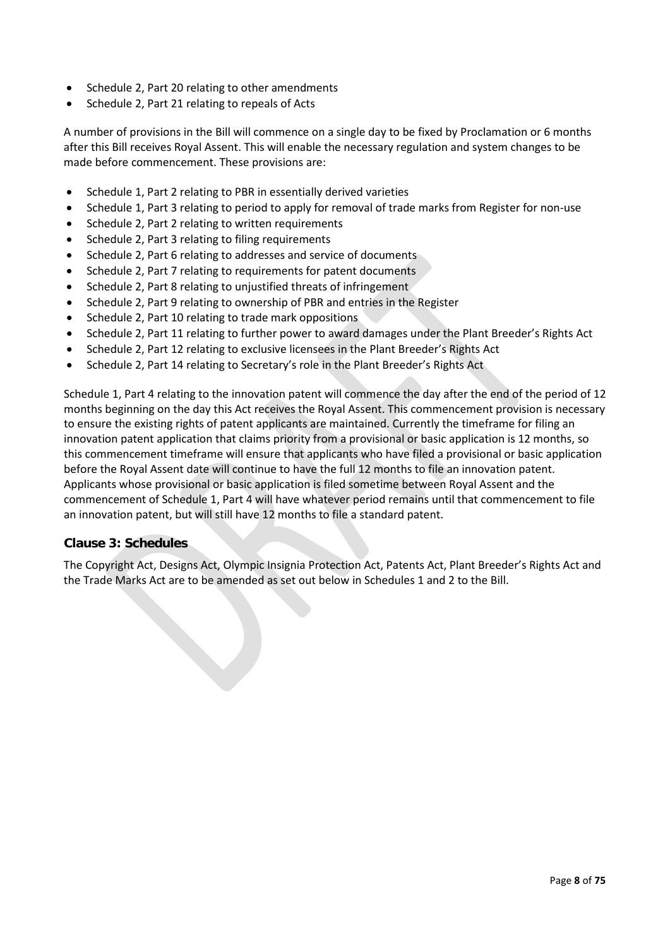- Schedule 2, Part 20 relating to other amendments
- Schedule 2, Part 21 relating to repeals of Acts

A number of provisions in the Bill will commence on a single day to be fixed by Proclamation or 6 months after this Bill receives Royal Assent. This will enable the necessary regulation and system changes to be made before commencement. These provisions are:

- Schedule 1, Part 2 relating to PBR in essentially derived varieties
- Schedule 1, Part 3 relating to period to apply for removal of trade marks from Register for non-use
- Schedule 2, Part 2 relating to written requirements
- Schedule 2, Part 3 relating to filing requirements
- Schedule 2, Part 6 relating to addresses and service of documents
- Schedule 2, Part 7 relating to requirements for patent documents
- Schedule 2, Part 8 relating to unjustified threats of infringement
- Schedule 2, Part 9 relating to ownership of PBR and entries in the Register
- Schedule 2, Part 10 relating to trade mark oppositions
- Schedule 2, Part 11 relating to further power to award damages under the Plant Breeder's Rights Act
- Schedule 2, Part 12 relating to exclusive licensees in the Plant Breeder's Rights Act
- Schedule 2, Part 14 relating to Secretary's role in the Plant Breeder's Rights Act

Schedule 1, Part 4 relating to the innovation patent will commence the day after the end of the period of 12 months beginning on the day this Act receives the Royal Assent. This commencement provision is necessary to ensure the existing rights of patent applicants are maintained. Currently the timeframe for filing an innovation patent application that claims priority from a provisional or basic application is 12 months, so this commencement timeframe will ensure that applicants who have filed a provisional or basic application before the Royal Assent date will continue to have the full 12 months to file an innovation patent. Applicants whose provisional or basic application is filed sometime between Royal Assent and the commencement of Schedule 1, Part 4 will have whatever period remains until that commencement to file an innovation patent, but will still have 12 months to file a standard patent.

#### **Clause 3: Schedules**

The Copyright Act, Designs Act, Olympic Insignia Protection Act, Patents Act, Plant Breeder's Rights Act and the Trade Marks Act are to be amended as set out below in Schedules 1 and 2 to the Bill.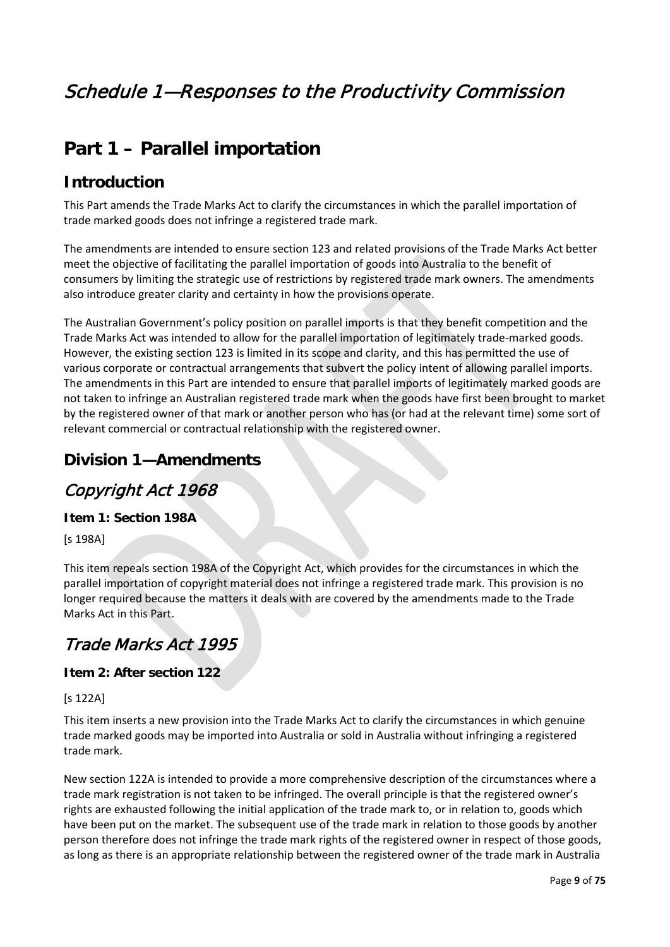# <span id="page-8-0"></span>Schedule 1—Responses to the Productivity Commission

# <span id="page-8-1"></span>**Part 1 – Parallel importation**

### **Introduction**

This Part amends the Trade Marks Act to clarify the circumstances in which the parallel importation of trade marked goods does not infringe a registered trade mark.

The amendments are intended to ensure section 123 and related provisions of the Trade Marks Act better meet the objective of facilitating the parallel importation of goods into Australia to the benefit of consumers by limiting the strategic use of restrictions by registered trade mark owners. The amendments also introduce greater clarity and certainty in how the provisions operate.

The Australian Government's policy position on parallel imports is that they benefit competition and the Trade Marks Act was intended to allow for the parallel importation of legitimately trade-marked goods. However, the existing section 123 is limited in its scope and clarity, and this has permitted the use of various corporate or contractual arrangements that subvert the policy intent of allowing parallel imports. The amendments in this Part are intended to ensure that parallel imports of legitimately marked goods are not taken to infringe an Australian registered trade mark when the goods have first been brought to market by the registered owner of that mark or another person who has (or had at the relevant time) some sort of relevant commercial or contractual relationship with the registered owner.

### **Division 1—Amendments**

### Copyright Act 1968

#### **Item 1: Section 198A**

[s 198A]

This item repeals section 198A of the Copyright Act, which provides for the circumstances in which the parallel importation of copyright material does not infringe a registered trade mark. This provision is no longer required because the matters it deals with are covered by the amendments made to the Trade Marks Act in this Part.

# Trade Marks Act 1995

#### **Item 2: After section 122**

#### [s 122A]

This item inserts a new provision into the Trade Marks Act to clarify the circumstances in which genuine trade marked goods may be imported into Australia or sold in Australia without infringing a registered trade mark.

New section 122A is intended to provide a more comprehensive description of the circumstances where a trade mark registration is not taken to be infringed. The overall principle is that the registered owner's rights are exhausted following the initial application of the trade mark to, or in relation to, goods which have been put on the market. The subsequent use of the trade mark in relation to those goods by another person therefore does not infringe the trade mark rights of the registered owner in respect of those goods, as long as there is an appropriate relationship between the registered owner of the trade mark in Australia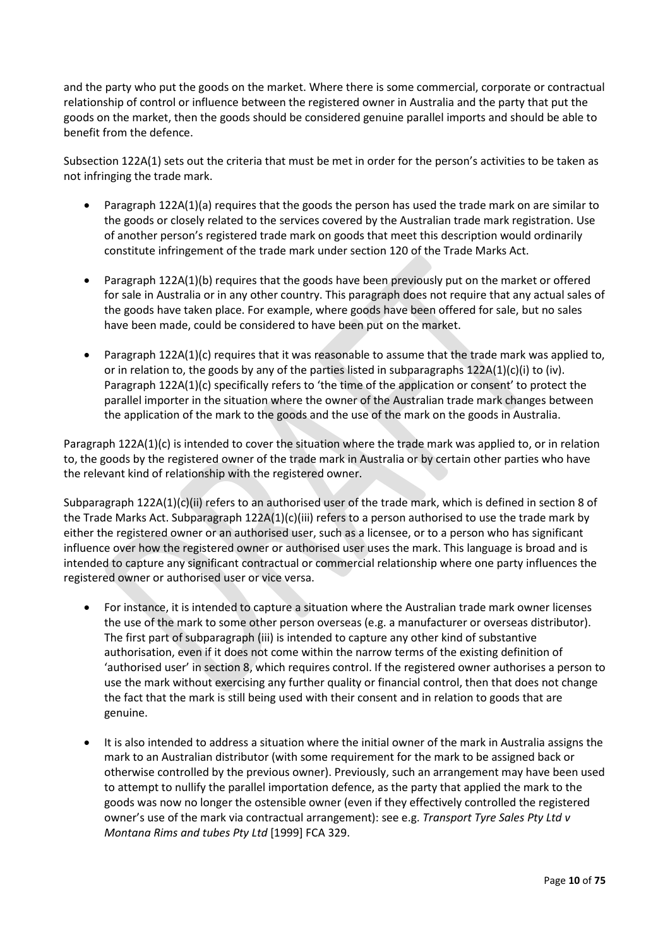and the party who put the goods on the market. Where there is some commercial, corporate or contractual relationship of control or influence between the registered owner in Australia and the party that put the goods on the market, then the goods should be considered genuine parallel imports and should be able to benefit from the defence.

Subsection 122A(1) sets out the criteria that must be met in order for the person's activities to be taken as not infringing the trade mark.

- Paragraph 122A(1)(a) requires that the goods the person has used the trade mark on are similar to the goods or closely related to the services covered by the Australian trade mark registration. Use of another person's registered trade mark on goods that meet this description would ordinarily constitute infringement of the trade mark under section 120 of the Trade Marks Act.
- Paragraph 122A(1)(b) requires that the goods have been previously put on the market or offered for sale in Australia or in any other country. This paragraph does not require that any actual sales of the goods have taken place. For example, where goods have been offered for sale, but no sales have been made, could be considered to have been put on the market.
- Paragraph 122A(1)(c) requires that it was reasonable to assume that the trade mark was applied to, or in relation to, the goods by any of the parties listed in subparagraphs  $122A(1)(c)(i)$  to (iv). Paragraph 122A(1)(c) specifically refers to 'the time of the application or consent' to protect the parallel importer in the situation where the owner of the Australian trade mark changes between the application of the mark to the goods and the use of the mark on the goods in Australia.

Paragraph 122A(1)(c) is intended to cover the situation where the trade mark was applied to, or in relation to, the goods by the registered owner of the trade mark in Australia or by certain other parties who have the relevant kind of relationship with the registered owner.

Subparagraph 122A(1)(c)(ii) refers to an authorised user of the trade mark, which is defined in section 8 of the Trade Marks Act. Subparagraph 122A(1)(c)(iii) refers to a person authorised to use the trade mark by either the registered owner or an authorised user, such as a licensee, or to a person who has significant influence over how the registered owner or authorised user uses the mark. This language is broad and is intended to capture any significant contractual or commercial relationship where one party influences the registered owner or authorised user or vice versa.

- For instance, it is intended to capture a situation where the Australian trade mark owner licenses the use of the mark to some other person overseas (e.g. a manufacturer or overseas distributor). The first part of subparagraph (iii) is intended to capture any other kind of substantive authorisation, even if it does not come within the narrow terms of the existing definition of 'authorised user' in section 8, which requires control. If the registered owner authorises a person to use the mark without exercising any further quality or financial control, then that does not change the fact that the mark is still being used with their consent and in relation to goods that are genuine.
- It is also intended to address a situation where the initial owner of the mark in Australia assigns the mark to an Australian distributor (with some requirement for the mark to be assigned back or otherwise controlled by the previous owner). Previously, such an arrangement may have been used to attempt to nullify the parallel importation defence, as the party that applied the mark to the goods was now no longer the ostensible owner (even if they effectively controlled the registered owner's use of the mark via contractual arrangement): see e.g. *Transport Tyre Sales Pty Ltd v Montana Rims and tubes Pty Ltd* [1999] FCA 329.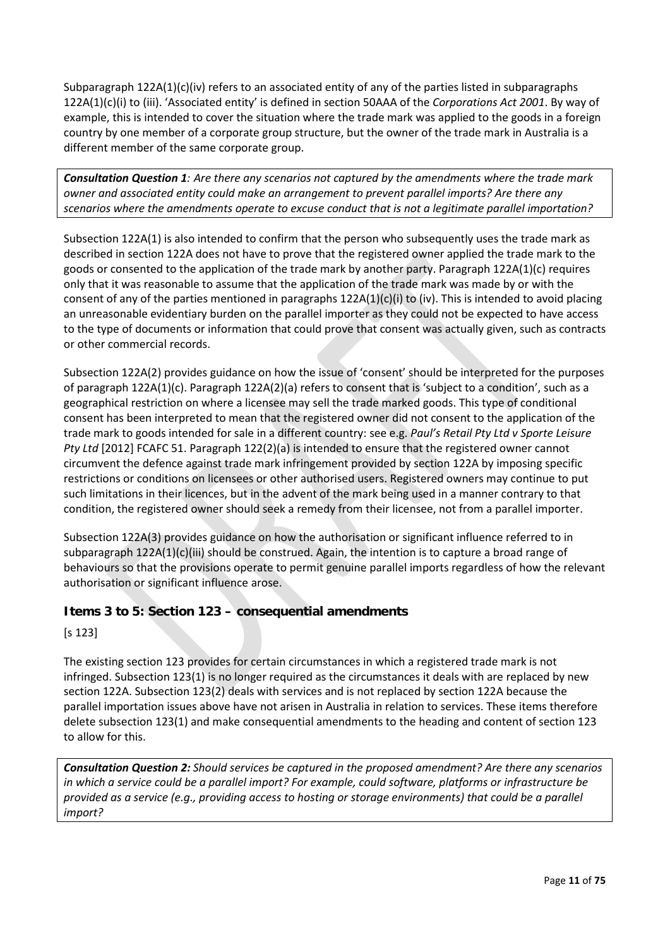Subparagraph 122A(1)(c)(iv) refers to an associated entity of any of the parties listed in subparagraphs 122A(1)(c)(i) to (iii). 'Associated entity' is defined in section 50AAA of the *Corporations Act 2001*. By way of example, this is intended to cover the situation where the trade mark was applied to the goods in a foreign country by one member of a corporate group structure, but the owner of the trade mark in Australia is a different member of the same corporate group.

*Consultation Question 1: Are there any scenarios not captured by the amendments where the trade mark owner and associated entity could make an arrangement to prevent parallel imports? Are there any scenarios where the amendments operate to excuse conduct that is not a legitimate parallel importation?*

Subsection 122A(1) is also intended to confirm that the person who subsequently uses the trade mark as described in section 122A does not have to prove that the registered owner applied the trade mark to the goods or consented to the application of the trade mark by another party. Paragraph 122A(1)(c) requires only that it was reasonable to assume that the application of the trade mark was made by or with the consent of any of the parties mentioned in paragraphs  $122A(1)(c)(i)$  to (iv). This is intended to avoid placing an unreasonable evidentiary burden on the parallel importer as they could not be expected to have access to the type of documents or information that could prove that consent was actually given, such as contracts or other commercial records.

Subsection 122A(2) provides guidance on how the issue of 'consent' should be interpreted for the purposes of paragraph 122A(1)(c). Paragraph 122A(2)(a) refers to consent that is 'subject to a condition', such as a geographical restriction on where a licensee may sell the trade marked goods. This type of conditional consent has been interpreted to mean that the registered owner did not consent to the application of the trade mark to goods intended for sale in a different country: see e.g. *Paul's Retail Pty Ltd v Sporte Leisure Pty Ltd* [2012] FCAFC 51. Paragraph 122(2)(a) is intended to ensure that the registered owner cannot circumvent the defence against trade mark infringement provided by section 122A by imposing specific restrictions or conditions on licensees or other authorised users. Registered owners may continue to put such limitations in their licences, but in the advent of the mark being used in a manner contrary to that condition, the registered owner should seek a remedy from their licensee, not from a parallel importer.

Subsection 122A(3) provides guidance on how the authorisation or significant influence referred to in subparagraph 122A(1)(c)(iii) should be construed. Again, the intention is to capture a broad range of behaviours so that the provisions operate to permit genuine parallel imports regardless of how the relevant authorisation or significant influence arose.

#### **Items 3 to 5: Section 123 – consequential amendments**

[s 123]

The existing section 123 provides for certain circumstances in which a registered trade mark is not infringed. Subsection 123(1) is no longer required as the circumstances it deals with are replaced by new section 122A. Subsection 123(2) deals with services and is not replaced by section 122A because the parallel importation issues above have not arisen in Australia in relation to services. These items therefore delete subsection 123(1) and make consequential amendments to the heading and content of section 123 to allow for this.

*Consultation Question 2: Should services be captured in the proposed amendment? Are there any scenarios in which a service could be a parallel import? For example, could software, platforms or infrastructure be provided as a service (e.g., providing access to hosting or storage environments) that could be a parallel import?*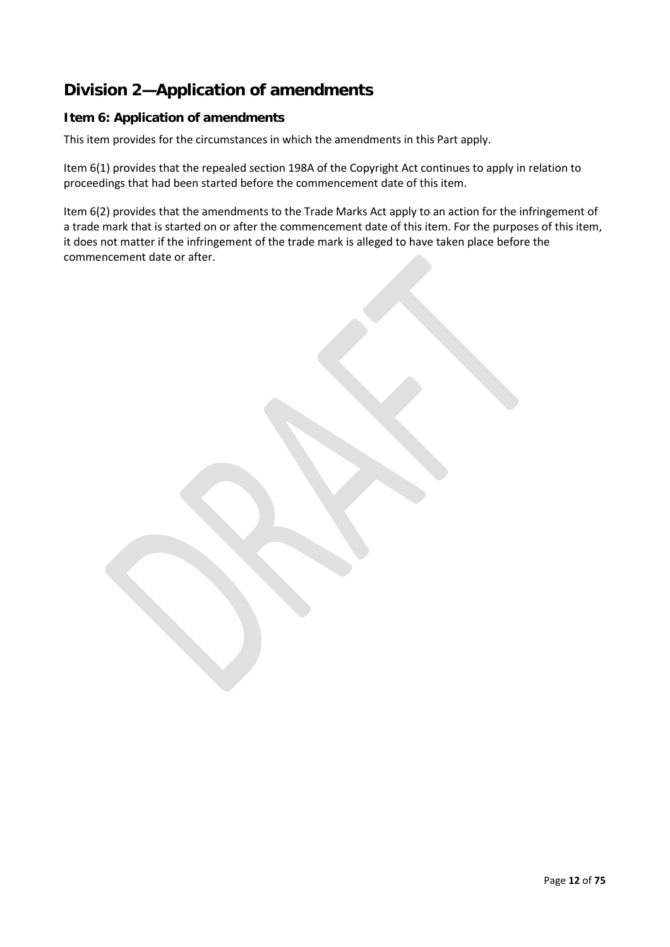# **Division 2—Application of amendments**

#### **Item 6: Application of amendments**

This item provides for the circumstances in which the amendments in this Part apply.

Item 6(1) provides that the repealed section 198A of the Copyright Act continues to apply in relation to proceedings that had been started before the commencement date of this item.

Item 6(2) provides that the amendments to the Trade Marks Act apply to an action for the infringement of a trade mark that is started on or after the commencement date of this item. For the purposes of this item, it does not matter if the infringement of the trade mark is alleged to have taken place before the commencement date or after.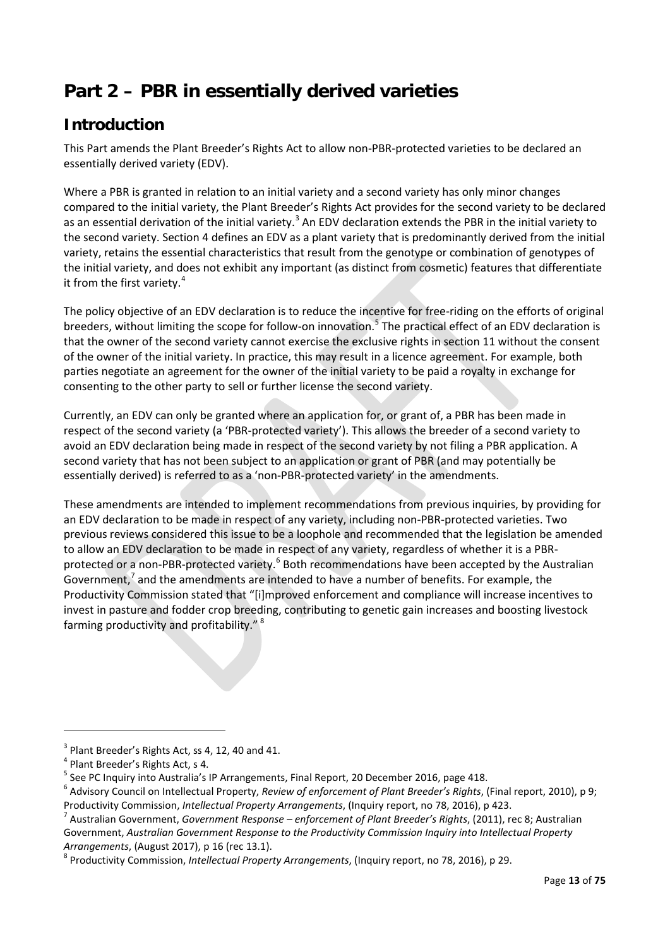# <span id="page-12-0"></span>**Part 2 – PBR in essentially derived varieties**

# **Introduction**

This Part amends the Plant Breeder's Rights Act to allow non-PBR-protected varieties to be declared an essentially derived variety (EDV).

Where a PBR is granted in relation to an initial variety and a second variety has only minor changes compared to the initial variety, the Plant Breeder's Rights Act provides for the second variety to be declared as an essential derivation of the initial variety.<sup>[3](#page-12-1)</sup> An EDV declaration extends the PBR in the initial variety to the second variety. Section 4 defines an EDV as a plant variety that is predominantly derived from the initial variety, retains the essential characteristics that result from the genotype or combination of genotypes of the initial variety, and does not exhibit any important (as distinct from cosmetic) features that differentiate it from the first variety.<sup>[4](#page-12-2)</sup>

The policy objective of an EDV declaration is to reduce the incentive for free-riding on the efforts of original breeders, without limiting the scope for follow-on innovation.<sup>[5](#page-12-3)</sup> The practical effect of an EDV declaration is that the owner of the second variety cannot exercise the exclusive rights in section 11 without the consent of the owner of the initial variety. In practice, this may result in a licence agreement. For example, both parties negotiate an agreement for the owner of the initial variety to be paid a royalty in exchange for consenting to the other party to sell or further license the second variety.

Currently, an EDV can only be granted where an application for, or grant of, a PBR has been made in respect of the second variety (a 'PBR-protected variety'). This allows the breeder of a second variety to avoid an EDV declaration being made in respect of the second variety by not filing a PBR application. A second variety that has not been subject to an application or grant of PBR (and may potentially be essentially derived) is referred to as a 'non-PBR-protected variety' in the amendments.

These amendments are intended to implement recommendations from previous inquiries, by providing for an EDV declaration to be made in respect of any variety, including non-PBR-protected varieties. Two previous reviews considered this issue to be a loophole and recommended that the legislation be amended to allow an EDV declaration to be made in respect of any variety, regardless of whether it is a PBR-protected or a non-PBR-protected variety.<sup>[6](#page-12-4)</sup> Both recommendations have been accepted by the Australian Government, $^7$  $^7$  and the amendments are intended to have a number of benefits. For example, the Productivity Commission stated that "[i]mproved enforcement and compliance will increase incentives to invest in pasture and fodder crop breeding, contributing to genetic gain increases and boosting livestock farming productivity and profitability."<sup>[8](#page-12-6)</sup>

**.** 

<span id="page-12-2"></span>

<span id="page-12-1"></span><sup>&</sup>lt;sup>3</sup> Plant Breeder's Rights Act, ss 4, 12, 40 and 41.<br><sup>4</sup> Plant Breeder's Rights Act, s 4.<br><sup>5</sup> See PC Inquiry into Australia's IP Arrangements, Final Report, 20 December 2016, page 418.

<span id="page-12-4"></span><span id="page-12-3"></span><sup>6</sup> Advisory Council on Intellectual Property, *Review of enforcement of Plant Breeder's Rights*, (Final report, 2010), p 9; Productivity Commission, *Intellectual Property Arrangements*, (Inquiry report, no 78, 2016), p 423.<br><sup>7</sup> Australian Government, *Government Response – enforcement of Plant Breeder's Rights*, (2011), rec 8; Australian

<span id="page-12-5"></span>Government, *Australian Government Response to the Productivity Commission Inquiry into Intellectual Property* 

<span id="page-12-6"></span>*Arrangements*, (August 2017), p 16 (rec 13.1).<br><sup>8</sup> Productivity Commission, *Intellectual Property Arrangements*, (Inquiry report, no 78, 2016), p 29.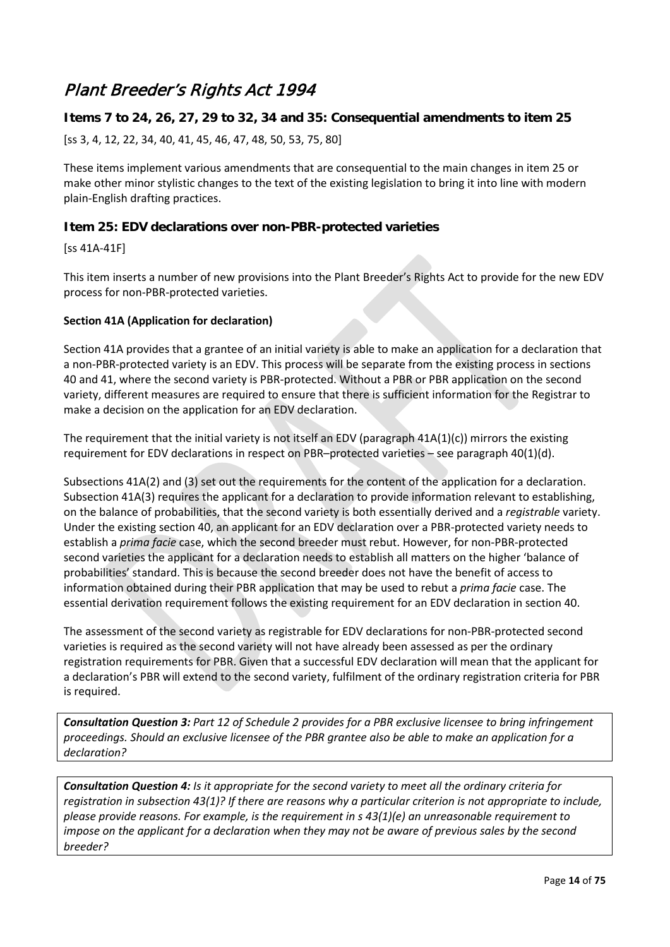# Plant Breeder's Rights Act 1994

#### **Items 7 to 24, 26, 27, 29 to 32, 34 and 35: Consequential amendments to item 25**

[ss 3, 4, 12, 22, 34, 40, 41, 45, 46, 47, 48, 50, 53, 75, 80]

These items implement various amendments that are consequential to the main changes in item 25 or make other minor stylistic changes to the text of the existing legislation to bring it into line with modern plain-English drafting practices.

#### **Item 25: EDV declarations over non-PBR-protected varieties**

[ss 41A-41F]

This item inserts a number of new provisions into the Plant Breeder's Rights Act to provide for the new EDV process for non-PBR-protected varieties.

#### **Section 41A (Application for declaration)**

Section 41A provides that a grantee of an initial variety is able to make an application for a declaration that a non-PBR-protected variety is an EDV. This process will be separate from the existing process in sections 40 and 41, where the second variety is PBR-protected. Without a PBR or PBR application on the second variety, different measures are required to ensure that there is sufficient information for the Registrar to make a decision on the application for an EDV declaration.

The requirement that the initial variety is not itself an EDV (paragraph 41A(1)(c)) mirrors the existing requirement for EDV declarations in respect on PBR–protected varieties – see paragraph 40(1)(d).

Subsections 41A(2) and (3) set out the requirements for the content of the application for a declaration. Subsection 41A(3) requires the applicant for a declaration to provide information relevant to establishing, on the balance of probabilities, that the second variety is both essentially derived and a *registrable* variety. Under the existing section 40, an applicant for an EDV declaration over a PBR-protected variety needs to establish a *prima facie* case, which the second breeder must rebut. However, for non-PBR-protected second varieties the applicant for a declaration needs to establish all matters on the higher 'balance of probabilities' standard. This is because the second breeder does not have the benefit of access to information obtained during their PBR application that may be used to rebut a *prima facie* case. The essential derivation requirement follows the existing requirement for an EDV declaration in section 40.

The assessment of the second variety as registrable for EDV declarations for non-PBR-protected second varieties is required as the second variety will not have already been assessed as per the ordinary registration requirements for PBR. Given that a successful EDV declaration will mean that the applicant for a declaration's PBR will extend to the second variety, fulfilment of the ordinary registration criteria for PBR is required.

*Consultation Question 3: Part 12 of Schedule 2 provides for a PBR exclusive licensee to bring infringement proceedings. Should an exclusive licensee of the PBR grantee also be able to make an application for a declaration?*

*Consultation Question 4: Is it appropriate for the second variety to meet all the ordinary criteria for registration in subsection 43(1)? If there are reasons why a particular criterion is not appropriate to include, please provide reasons. For example, is the requirement in s 43(1)(e) an unreasonable requirement to impose on the applicant for a declaration when they may not be aware of previous sales by the second breeder?*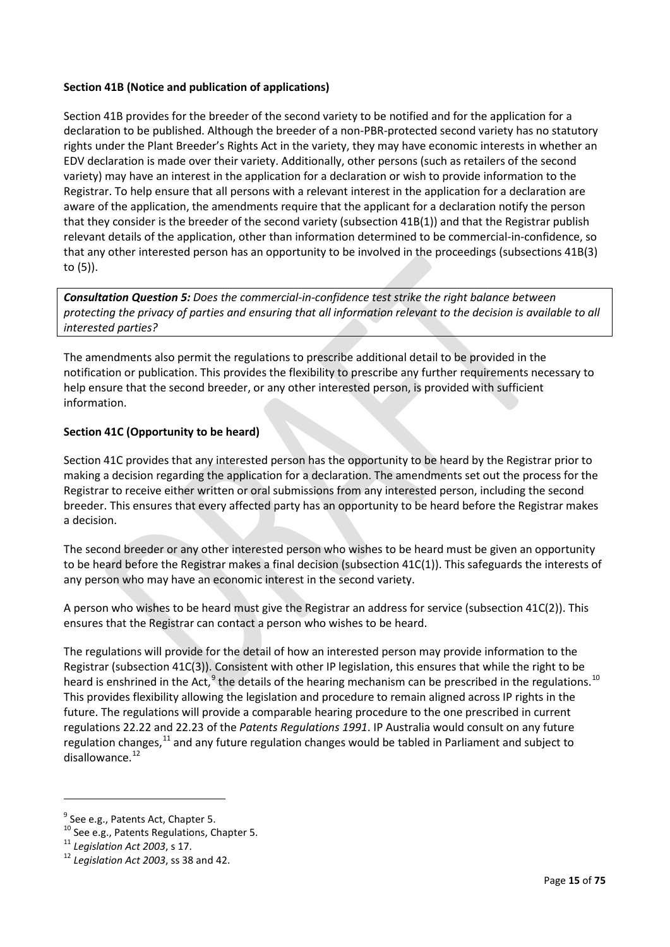#### **Section 41B (Notice and publication of applications)**

Section 41B provides for the breeder of the second variety to be notified and for the application for a declaration to be published. Although the breeder of a non-PBR-protected second variety has no statutory rights under the Plant Breeder's Rights Act in the variety, they may have economic interests in whether an EDV declaration is made over their variety. Additionally, other persons (such as retailers of the second variety) may have an interest in the application for a declaration or wish to provide information to the Registrar. To help ensure that all persons with a relevant interest in the application for a declaration are aware of the application, the amendments require that the applicant for a declaration notify the person that they consider is the breeder of the second variety (subsection 41B(1)) and that the Registrar publish relevant details of the application, other than information determined to be commercial-in-confidence, so that any other interested person has an opportunity to be involved in the proceedings (subsections 41B(3) to (5)).

*Consultation Question 5: Does the commercial-in-confidence test strike the right balance between protecting the privacy of parties and ensuring that all information relevant to the decision is available to all interested parties?*

The amendments also permit the regulations to prescribe additional detail to be provided in the notification or publication. This provides the flexibility to prescribe any further requirements necessary to help ensure that the second breeder, or any other interested person, is provided with sufficient information.

#### **Section 41C (Opportunity to be heard)**

Section 41C provides that any interested person has the opportunity to be heard by the Registrar prior to making a decision regarding the application for a declaration. The amendments set out the process for the Registrar to receive either written or oral submissions from any interested person, including the second breeder. This ensures that every affected party has an opportunity to be heard before the Registrar makes a decision.

The second breeder or any other interested person who wishes to be heard must be given an opportunity to be heard before the Registrar makes a final decision (subsection 41C(1)). This safeguards the interests of any person who may have an economic interest in the second variety.

A person who wishes to be heard must give the Registrar an address for service (subsection 41C(2)). This ensures that the Registrar can contact a person who wishes to be heard.

The regulations will provide for the detail of how an interested person may provide information to the Registrar (subsection 41C(3)). Consistent with other IP legislation, this ensures that while the right to be heard is enshrined in the Act, $9$  the details of the hearing mechanism can be prescribed in the regulations.<sup>[10](#page-14-1)</sup> This provides flexibility allowing the legislation and procedure to remain aligned across IP rights in the future. The regulations will provide a comparable hearing procedure to the one prescribed in current regulations 22.22 and 22.23 of the *Patents Regulations 1991*. IP Australia would consult on any future regulation changes,<sup>[11](#page-14-2)</sup> and any future regulation changes would be tabled in Parliament and subject to disallowance. $12$ 

**.** 

<span id="page-14-1"></span><span id="page-14-0"></span><sup>&</sup>lt;sup>9</sup> See e.g., Patents Act, Chapter 5.<br><sup>10</sup> See e.g., Patents Regulations, Chapter 5.<br><sup>11</sup> *Legislation Act 2003*, ss 17.<br><sup>12</sup> *Leaislation Act 2003*, ss 38 and 42.

<span id="page-14-2"></span>

<span id="page-14-3"></span>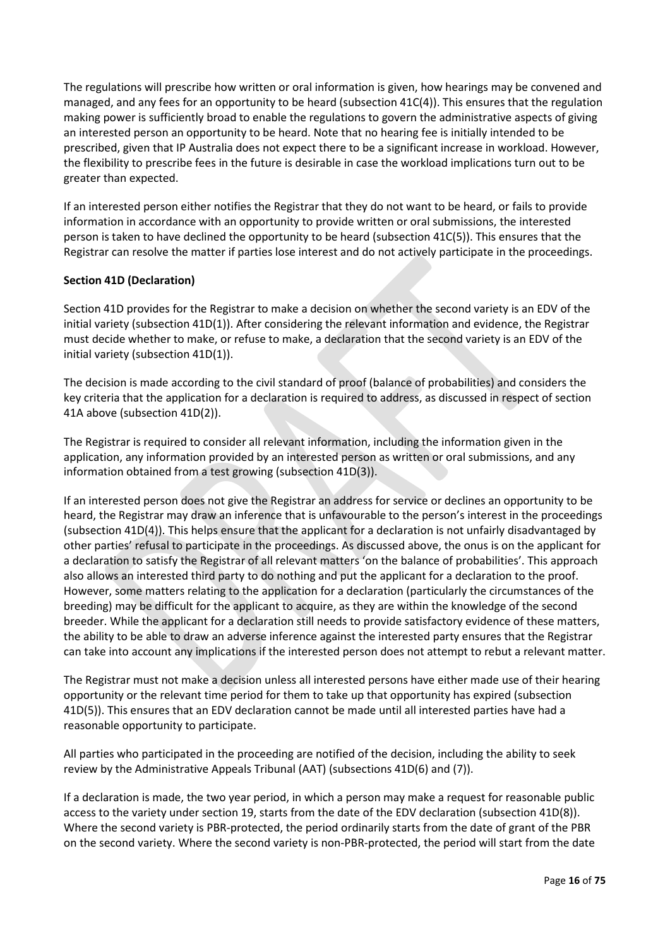The regulations will prescribe how written or oral information is given, how hearings may be convened and managed, and any fees for an opportunity to be heard (subsection 41C(4)). This ensures that the regulation making power is sufficiently broad to enable the regulations to govern the administrative aspects of giving an interested person an opportunity to be heard. Note that no hearing fee is initially intended to be prescribed, given that IP Australia does not expect there to be a significant increase in workload. However, the flexibility to prescribe fees in the future is desirable in case the workload implications turn out to be greater than expected.

If an interested person either notifies the Registrar that they do not want to be heard, or fails to provide information in accordance with an opportunity to provide written or oral submissions, the interested person is taken to have declined the opportunity to be heard (subsection 41C(5)). This ensures that the Registrar can resolve the matter if parties lose interest and do not actively participate in the proceedings.

#### **Section 41D (Declaration)**

Section 41D provides for the Registrar to make a decision on whether the second variety is an EDV of the initial variety (subsection 41D(1)). After considering the relevant information and evidence, the Registrar must decide whether to make, or refuse to make, a declaration that the second variety is an EDV of the initial variety (subsection 41D(1)).

The decision is made according to the civil standard of proof (balance of probabilities) and considers the key criteria that the application for a declaration is required to address, as discussed in respect of section 41A above (subsection 41D(2)).

The Registrar is required to consider all relevant information, including the information given in the application, any information provided by an interested person as written or oral submissions, and any information obtained from a test growing (subsection 41D(3)).

If an interested person does not give the Registrar an address for service or declines an opportunity to be heard, the Registrar may draw an inference that is unfavourable to the person's interest in the proceedings (subsection 41D(4)). This helps ensure that the applicant for a declaration is not unfairly disadvantaged by other parties' refusal to participate in the proceedings. As discussed above, the onus is on the applicant for a declaration to satisfy the Registrar of all relevant matters 'on the balance of probabilities'. This approach also allows an interested third party to do nothing and put the applicant for a declaration to the proof. However, some matters relating to the application for a declaration (particularly the circumstances of the breeding) may be difficult for the applicant to acquire, as they are within the knowledge of the second breeder. While the applicant for a declaration still needs to provide satisfactory evidence of these matters, the ability to be able to draw an adverse inference against the interested party ensures that the Registrar can take into account any implications if the interested person does not attempt to rebut a relevant matter.

The Registrar must not make a decision unless all interested persons have either made use of their hearing opportunity or the relevant time period for them to take up that opportunity has expired (subsection 41D(5)). This ensures that an EDV declaration cannot be made until all interested parties have had a reasonable opportunity to participate.

All parties who participated in the proceeding are notified of the decision, including the ability to seek review by the Administrative Appeals Tribunal (AAT) (subsections 41D(6) and (7)).

If a declaration is made, the two year period, in which a person may make a request for reasonable public access to the variety under section 19, starts from the date of the EDV declaration (subsection 41D(8)). Where the second variety is PBR-protected, the period ordinarily starts from the date of grant of the PBR on the second variety. Where the second variety is non-PBR-protected, the period will start from the date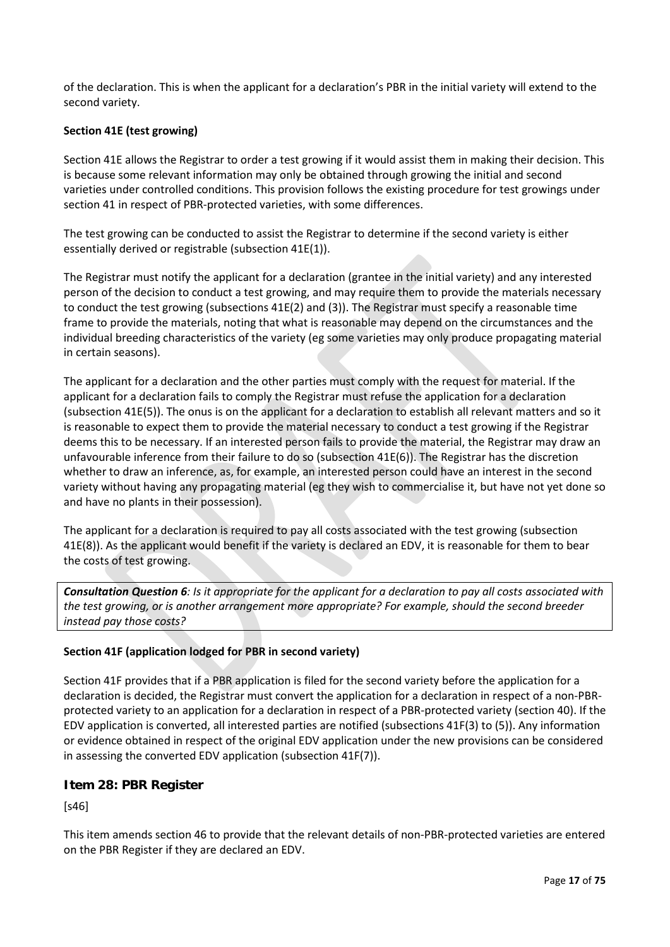of the declaration. This is when the applicant for a declaration's PBR in the initial variety will extend to the second variety.

#### **Section 41E (test growing)**

Section 41E allows the Registrar to order a test growing if it would assist them in making their decision. This is because some relevant information may only be obtained through growing the initial and second varieties under controlled conditions. This provision follows the existing procedure for test growings under section 41 in respect of PBR-protected varieties, with some differences.

The test growing can be conducted to assist the Registrar to determine if the second variety is either essentially derived or registrable (subsection 41E(1)).

The Registrar must notify the applicant for a declaration (grantee in the initial variety) and any interested person of the decision to conduct a test growing, and may require them to provide the materials necessary to conduct the test growing (subsections 41E(2) and (3)). The Registrar must specify a reasonable time frame to provide the materials, noting that what is reasonable may depend on the circumstances and the individual breeding characteristics of the variety (eg some varieties may only produce propagating material in certain seasons).

The applicant for a declaration and the other parties must comply with the request for material. If the applicant for a declaration fails to comply the Registrar must refuse the application for a declaration (subsection 41E(5)). The onus is on the applicant for a declaration to establish all relevant matters and so it is reasonable to expect them to provide the material necessary to conduct a test growing if the Registrar deems this to be necessary. If an interested person fails to provide the material, the Registrar may draw an unfavourable inference from their failure to do so (subsection 41E(6)). The Registrar has the discretion whether to draw an inference, as, for example, an interested person could have an interest in the second variety without having any propagating material (eg they wish to commercialise it, but have not yet done so and have no plants in their possession).

The applicant for a declaration is required to pay all costs associated with the test growing (subsection 41E(8)). As the applicant would benefit if the variety is declared an EDV, it is reasonable for them to bear the costs of test growing.

*Consultation Question 6: Is it appropriate for the applicant for a declaration to pay all costs associated with the test growing, or is another arrangement more appropriate? For example, should the second breeder instead pay those costs?*

#### **Section 41F (application lodged for PBR in second variety)**

Section 41F provides that if a PBR application is filed for the second variety before the application for a declaration is decided, the Registrar must convert the application for a declaration in respect of a non-PBRprotected variety to an application for a declaration in respect of a PBR-protected variety (section 40). If the EDV application is converted, all interested parties are notified (subsections 41F(3) to (5)). Any information or evidence obtained in respect of the original EDV application under the new provisions can be considered in assessing the converted EDV application (subsection 41F(7)).

#### **Item 28: PBR Register**

[s46]

This item amends section 46 to provide that the relevant details of non-PBR-protected varieties are entered on the PBR Register if they are declared an EDV.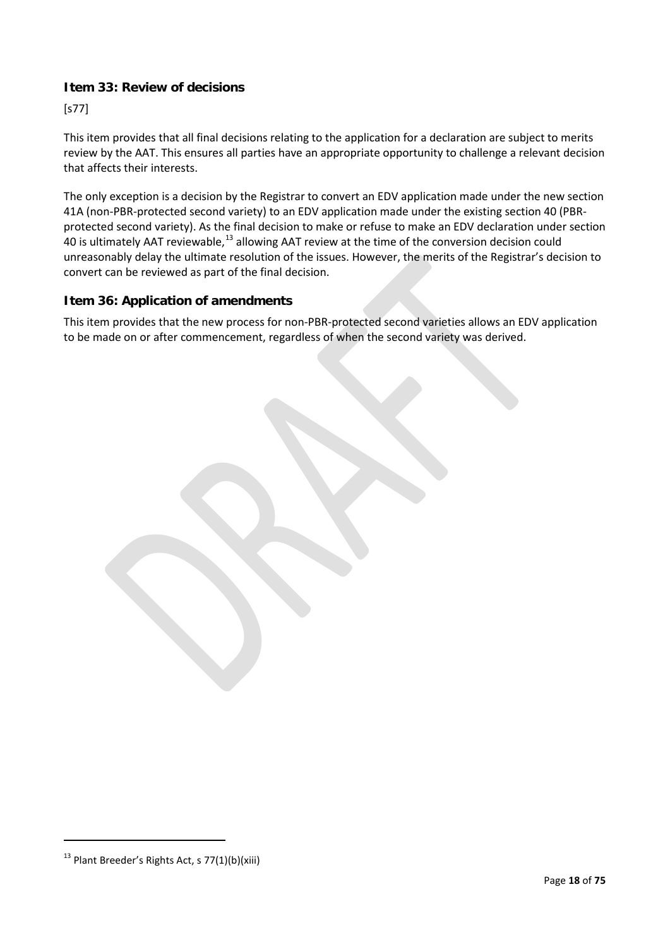#### **Item 33: Review of decisions**

[s77]

This item provides that all final decisions relating to the application for a declaration are subject to merits review by the AAT. This ensures all parties have an appropriate opportunity to challenge a relevant decision that affects their interests.

The only exception is a decision by the Registrar to convert an EDV application made under the new section 41A (non-PBR-protected second variety) to an EDV application made under the existing section 40 (PBRprotected second variety). As the final decision to make or refuse to make an EDV declaration under section 40 is ultimately AAT reviewable,<sup>[13](#page-17-0)</sup> allowing AAT review at the time of the conversion decision could unreasonably delay the ultimate resolution of the issues. However, the merits of the Registrar's decision to convert can be reviewed as part of the final decision.

#### **Item 36: Application of amendments**

This item provides that the new process for non-PBR-protected second varieties allows an EDV application to be made on or after commencement, regardless of when the second variety was derived.

<span id="page-17-0"></span> $13$  Plant Breeder's Rights Act, s 77(1)(b)(xiii)

 $\overline{a}$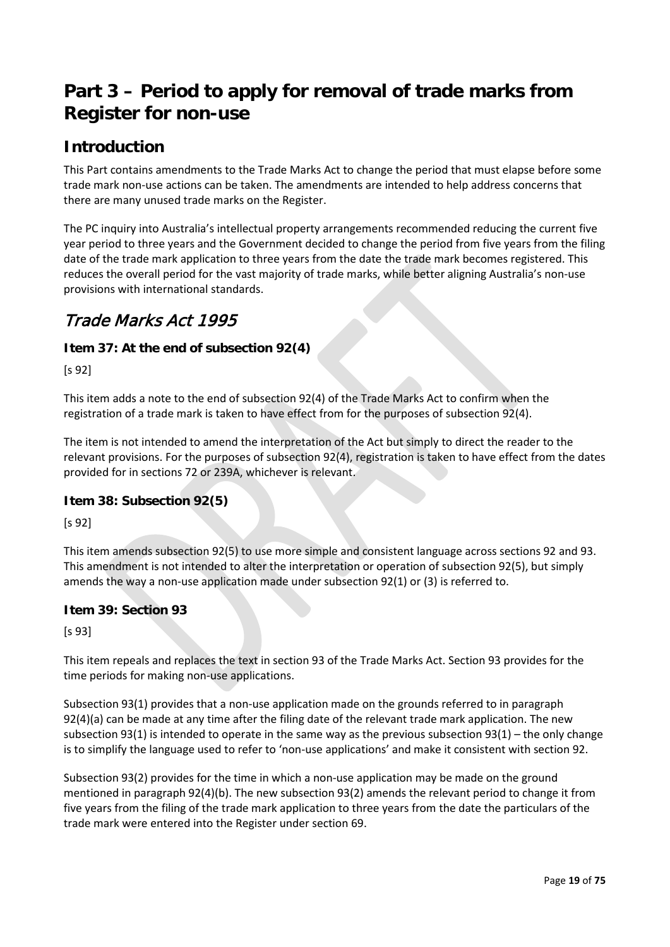# <span id="page-18-0"></span>**Part 3 – Period to apply for removal of trade marks from Register for non-use**

# **Introduction**

This Part contains amendments to the Trade Marks Act to change the period that must elapse before some trade mark non-use actions can be taken. The amendments are intended to help address concerns that there are many unused trade marks on the Register.

The PC inquiry into Australia's intellectual property arrangements recommended reducing the current five year period to three years and the Government decided to change the period from five years from the filing date of the trade mark application to three years from the date the trade mark becomes registered. This reduces the overall period for the vast majority of trade marks, while better aligning Australia's non-use provisions with international standards.

# Trade Marks Act 1995

#### **Item 37: At the end of subsection 92(4)**

[s 92]

This item adds a note to the end of subsection 92(4) of the Trade Marks Act to confirm when the registration of a trade mark is taken to have effect from for the purposes of subsection 92(4).

The item is not intended to amend the interpretation of the Act but simply to direct the reader to the relevant provisions. For the purposes of subsection 92(4), registration is taken to have effect from the dates provided for in sections 72 or 239A, whichever is relevant.

#### **Item 38: Subsection 92(5)**

[s 92]

This item amends subsection 92(5) to use more simple and consistent language across sections 92 and 93. This amendment is not intended to alter the interpretation or operation of subsection 92(5), but simply amends the way a non-use application made under subsection 92(1) or (3) is referred to.

#### **Item 39: Section 93**

[s 93]

This item repeals and replaces the text in section 93 of the Trade Marks Act. Section 93 provides for the time periods for making non-use applications.

Subsection 93(1) provides that a non-use application made on the grounds referred to in paragraph 92(4)(a) can be made at any time after the filing date of the relevant trade mark application. The new subsection 93(1) is intended to operate in the same way as the previous subsection 93(1) – the only change is to simplify the language used to refer to 'non-use applications' and make it consistent with section 92.

Subsection 93(2) provides for the time in which a non-use application may be made on the ground mentioned in paragraph 92(4)(b). The new subsection 93(2) amends the relevant period to change it from five years from the filing of the trade mark application to three years from the date the particulars of the trade mark were entered into the Register under section 69.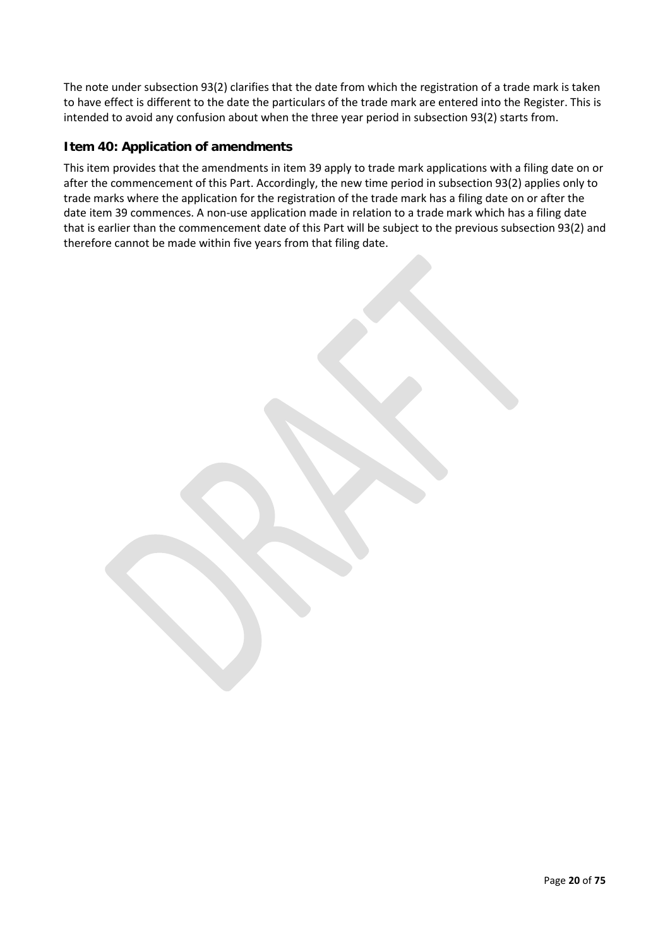The note under subsection 93(2) clarifies that the date from which the registration of a trade mark is taken to have effect is different to the date the particulars of the trade mark are entered into the Register. This is intended to avoid any confusion about when the three year period in subsection 93(2) starts from.

#### **Item 40: Application of amendments**

This item provides that the amendments in item 39 apply to trade mark applications with a filing date on or after the commencement of this Part. Accordingly, the new time period in subsection 93(2) applies only to trade marks where the application for the registration of the trade mark has a filing date on or after the date item 39 commences. A non-use application made in relation to a trade mark which has a filing date that is earlier than the commencement date of this Part will be subject to the previous subsection 93(2) and therefore cannot be made within five years from that filing date.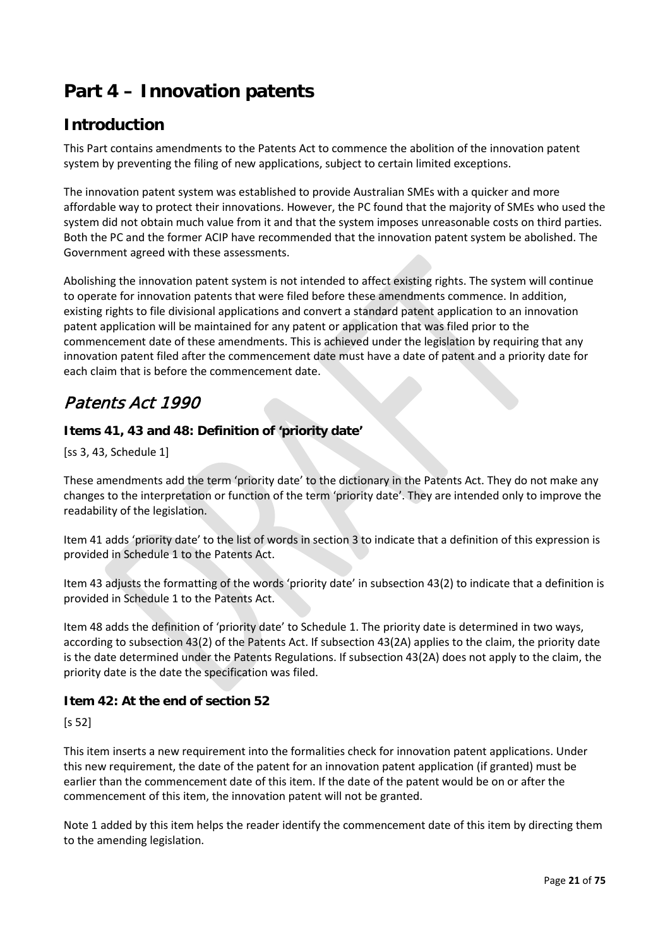# <span id="page-20-0"></span>**Part 4 – Innovation patents**

# **Introduction**

This Part contains amendments to the Patents Act to commence the abolition of the innovation patent system by preventing the filing of new applications, subject to certain limited exceptions.

The innovation patent system was established to provide Australian SMEs with a quicker and more affordable way to protect their innovations. However, the PC found that the majority of SMEs who used the system did not obtain much value from it and that the system imposes unreasonable costs on third parties. Both the PC and the former ACIP have recommended that the innovation patent system be abolished. The Government agreed with these assessments.

Abolishing the innovation patent system is not intended to affect existing rights. The system will continue to operate for innovation patents that were filed before these amendments commence. In addition, existing rights to file divisional applications and convert a standard patent application to an innovation patent application will be maintained for any patent or application that was filed prior to the commencement date of these amendments. This is achieved under the legislation by requiring that any innovation patent filed after the commencement date must have a date of patent and a priority date for each claim that is before the commencement date.

# Patents Act 1990

#### **Items 41, 43 and 48: Definition of 'priority date'**

[ss 3, 43, Schedule 1]

These amendments add the term 'priority date' to the dictionary in the Patents Act. They do not make any changes to the interpretation or function of the term 'priority date'. They are intended only to improve the readability of the legislation.

Item 41 adds 'priority date' to the list of words in section 3 to indicate that a definition of this expression is provided in Schedule 1 to the Patents Act.

Item 43 adjusts the formatting of the words 'priority date' in subsection 43(2) to indicate that a definition is provided in Schedule 1 to the Patents Act.

Item 48 adds the definition of 'priority date' to Schedule 1. The priority date is determined in two ways, according to subsection 43(2) of the Patents Act. If subsection 43(2A) applies to the claim, the priority date is the date determined under the Patents Regulations. If subsection 43(2A) does not apply to the claim, the priority date is the date the specification was filed.

#### **Item 42: At the end of section 52**

[s 52]

This item inserts a new requirement into the formalities check for innovation patent applications. Under this new requirement, the date of the patent for an innovation patent application (if granted) must be earlier than the commencement date of this item. If the date of the patent would be on or after the commencement of this item, the innovation patent will not be granted.

Note 1 added by this item helps the reader identify the commencement date of this item by directing them to the amending legislation.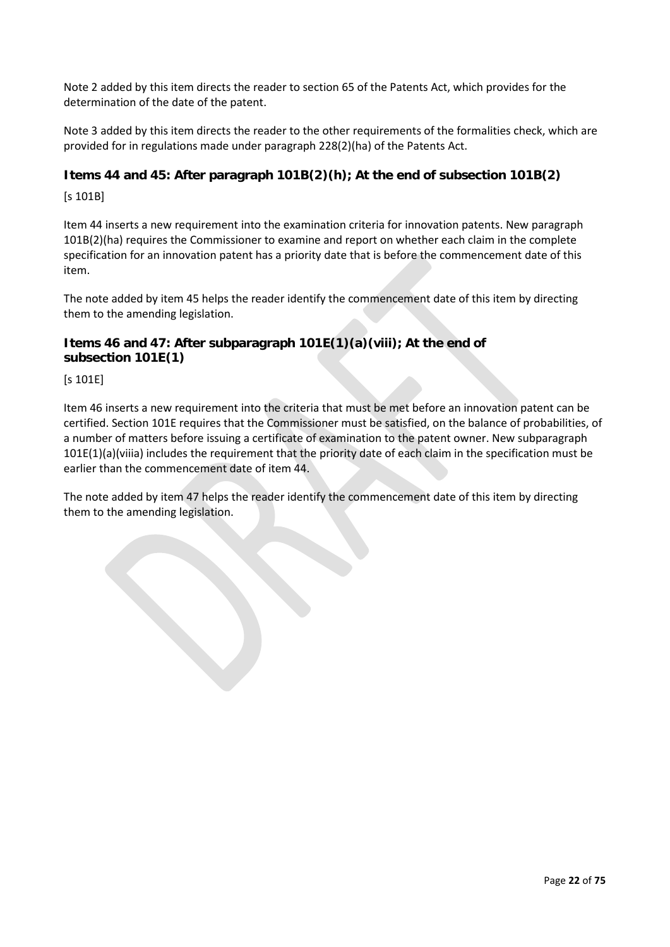Note 2 added by this item directs the reader to section 65 of the Patents Act, which provides for the determination of the date of the patent.

Note 3 added by this item directs the reader to the other requirements of the formalities check, which are provided for in regulations made under paragraph 228(2)(ha) of the Patents Act.

#### **Items 44 and 45: After paragraph 101B(2)(h); At the end of subsection 101B(2)**

[s 101B]

Item 44 inserts a new requirement into the examination criteria for innovation patents. New paragraph 101B(2)(ha) requires the Commissioner to examine and report on whether each claim in the complete specification for an innovation patent has a priority date that is before the commencement date of this item.

The note added by item 45 helps the reader identify the commencement date of this item by directing them to the amending legislation.

#### **Items 46 and 47: After subparagraph 101E(1)(a)(viii); At the end of subsection 101E(1)**

[s 101E]

Item 46 inserts a new requirement into the criteria that must be met before an innovation patent can be certified. Section 101E requires that the Commissioner must be satisfied, on the balance of probabilities, of a number of matters before issuing a certificate of examination to the patent owner. New subparagraph 101E(1)(a)(viiia) includes the requirement that the priority date of each claim in the specification must be earlier than the commencement date of item 44.

The note added by item 47 helps the reader identify the commencement date of this item by directing them to the amending legislation.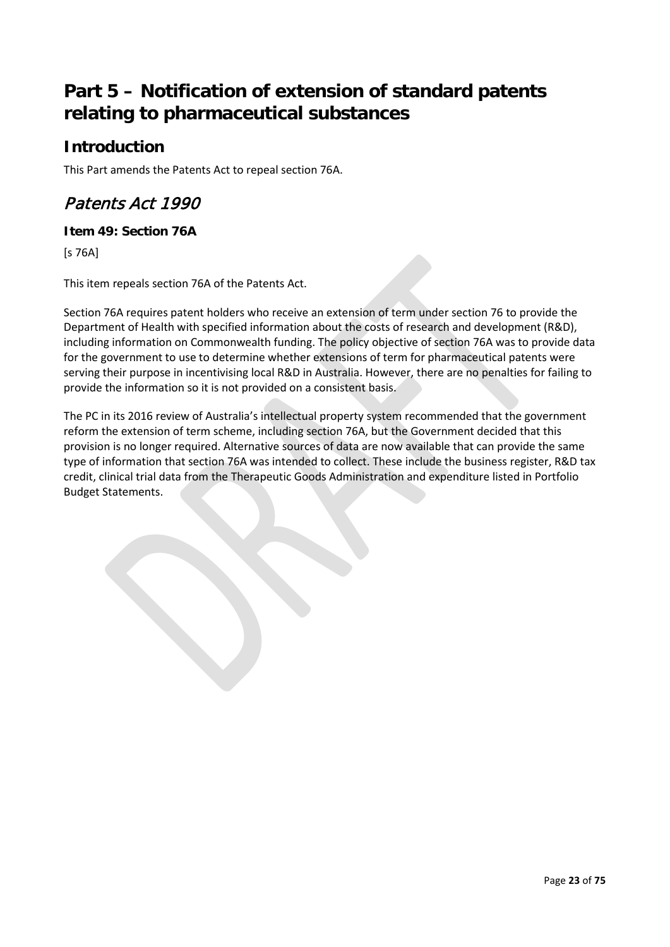# <span id="page-22-0"></span>**Part 5 – Notification of extension of standard patents relating to pharmaceutical substances**

# **Introduction**

This Part amends the Patents Act to repeal section 76A.

# Patents Act 1990

#### **Item 49: Section 76A**

[s 76A]

This item repeals section 76A of the Patents Act.

Section 76A requires patent holders who receive an extension of term under section 76 to provide the Department of Health with specified information about the costs of research and development (R&D), including information on Commonwealth funding. The policy objective of section 76A was to provide data for the government to use to determine whether extensions of term for pharmaceutical patents were serving their purpose in incentivising local R&D in Australia. However, there are no penalties for failing to provide the information so it is not provided on a consistent basis.

The PC in its 2016 review of Australia's intellectual property system recommended that the government reform the extension of term scheme, including section 76A, but the Government decided that this provision is no longer required. Alternative sources of data are now available that can provide the same type of information that section 76A was intended to collect. These include the business register, R&D tax credit, clinical trial data from the Therapeutic Goods Administration and expenditure listed in Portfolio Budget Statements.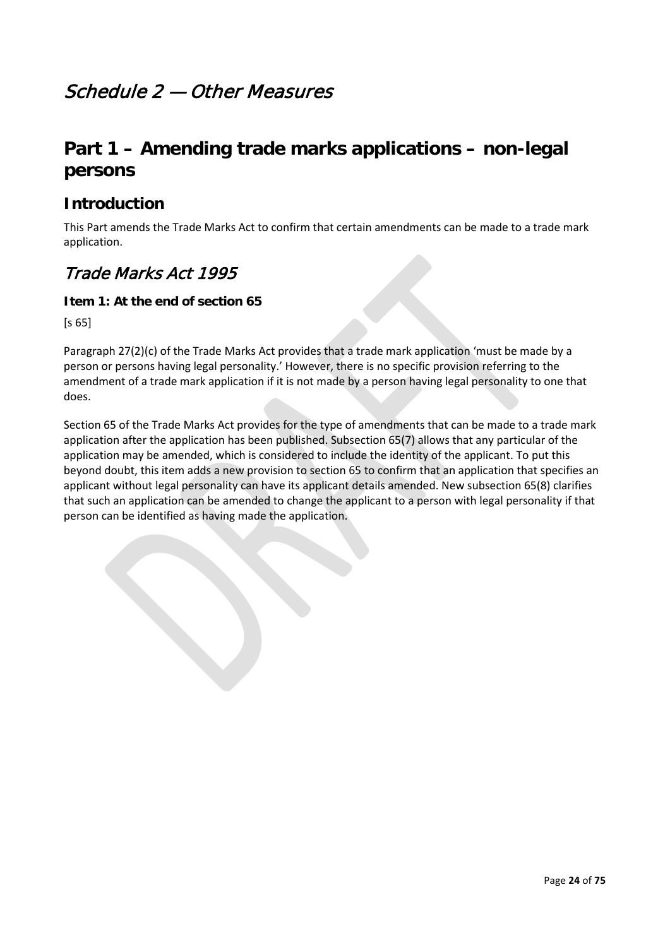# <span id="page-23-0"></span>Schedule 2 — Other Measures

# <span id="page-23-1"></span>**Part 1 – Amending trade marks applications – non-legal persons**

### **Introduction**

This Part amends the Trade Marks Act to confirm that certain amendments can be made to a trade mark application.

## Trade Marks Act 1995

#### **Item 1: At the end of section 65**

[s 65]

Paragraph 27(2)(c) of the Trade Marks Act provides that a trade mark application 'must be made by a person or persons having legal personality.' However, there is no specific provision referring to the amendment of a trade mark application if it is not made by a person having legal personality to one that does.

Section 65 of the Trade Marks Act provides for the type of amendments that can be made to a trade mark application after the application has been published. Subsection 65(7) allows that any particular of the application may be amended, which is considered to include the identity of the applicant. To put this beyond doubt, this item adds a new provision to section 65 to confirm that an application that specifies an applicant without legal personality can have its applicant details amended. New subsection 65(8) clarifies that such an application can be amended to change the applicant to a person with legal personality if that person can be identified as having made the application.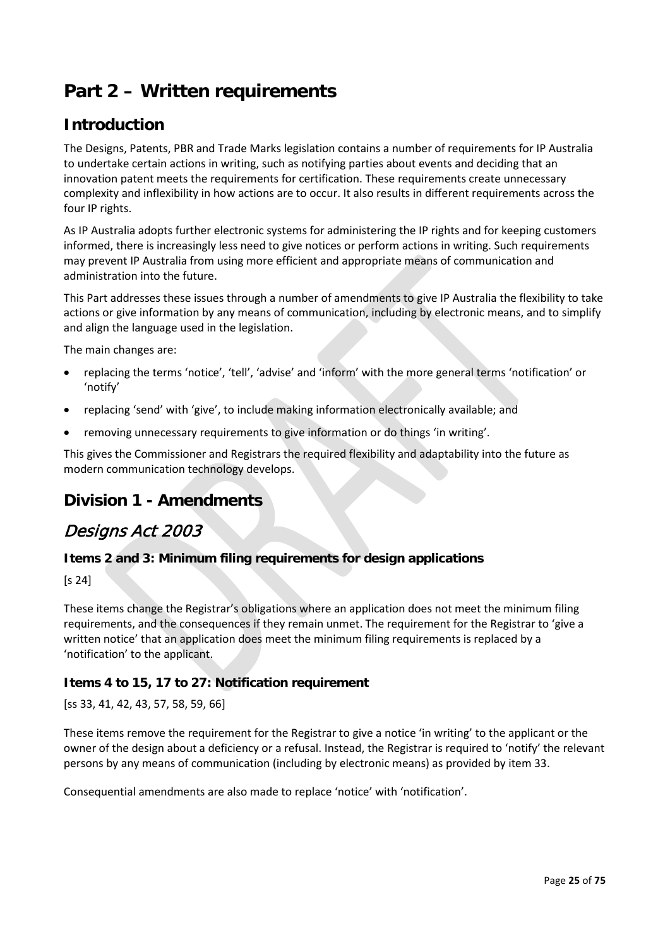# <span id="page-24-0"></span>**Part 2 – Written requirements**

# **Introduction**

The Designs, Patents, PBR and Trade Marks legislation contains a number of requirements for IP Australia to undertake certain actions in writing, such as notifying parties about events and deciding that an innovation patent meets the requirements for certification. These requirements create unnecessary complexity and inflexibility in how actions are to occur. It also results in different requirements across the four IP rights.

As IP Australia adopts further electronic systems for administering the IP rights and for keeping customers informed, there is increasingly less need to give notices or perform actions in writing. Such requirements may prevent IP Australia from using more efficient and appropriate means of communication and administration into the future.

This Part addresses these issues through a number of amendments to give IP Australia the flexibility to take actions or give information by any means of communication, including by electronic means, and to simplify and align the language used in the legislation.

The main changes are:

- replacing the terms 'notice', 'tell', 'advise' and 'inform' with the more general terms 'notification' or 'notify'
- replacing 'send' with 'give', to include making information electronically available; and
- removing unnecessary requirements to give information or do things 'in writing'.

This gives the Commissioner and Registrars the required flexibility and adaptability into the future as modern communication technology develops.

### **Division 1 - Amendments**

### Designs Act 2003

#### **Items 2 and 3: Minimum filing requirements for design applications**

[s 24]

These items change the Registrar's obligations where an application does not meet the minimum filing requirements, and the consequences if they remain unmet. The requirement for the Registrar to 'give a written notice' that an application does meet the minimum filing requirements is replaced by a 'notification' to the applicant.

#### **Items 4 to 15, 17 to 27: Notification requirement**

[ss 33, 41, 42, 43, 57, 58, 59, 66]

These items remove the requirement for the Registrar to give a notice 'in writing' to the applicant or the owner of the design about a deficiency or a refusal. Instead, the Registrar is required to 'notify' the relevant persons by any means of communication (including by electronic means) as provided by item 33.

Consequential amendments are also made to replace 'notice' with 'notification'.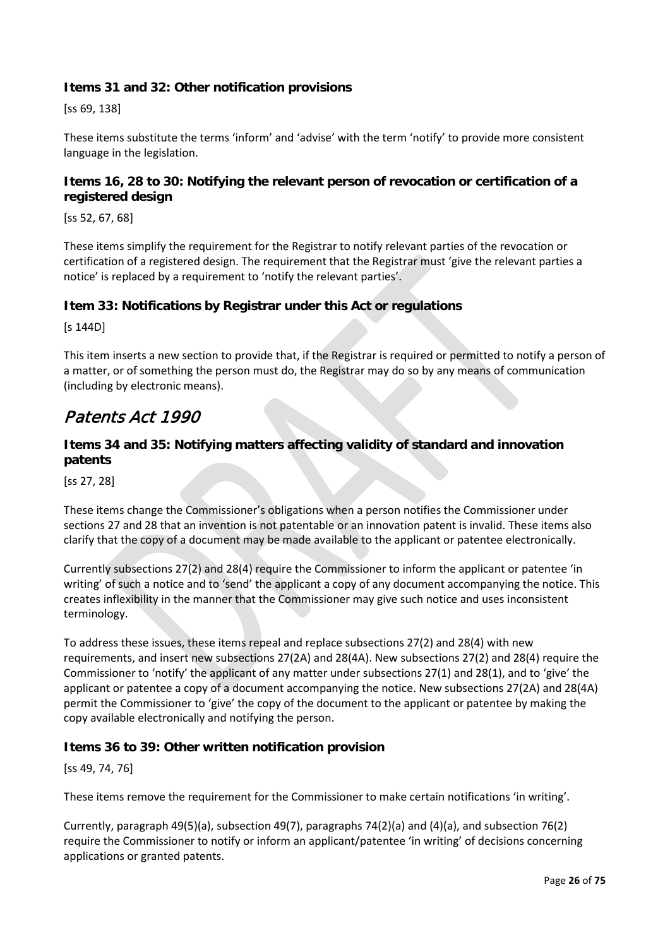#### **Items 31 and 32: Other notification provisions**

[ss 69, 138]

These items substitute the terms 'inform' and 'advise' with the term 'notify' to provide more consistent language in the legislation.

#### **Items 16, 28 to 30: Notifying the relevant person of revocation or certification of a registered design**

[ss 52, 67, 68]

These items simplify the requirement for the Registrar to notify relevant parties of the revocation or certification of a registered design. The requirement that the Registrar must 'give the relevant parties a notice' is replaced by a requirement to 'notify the relevant parties'.

#### **Item 33: Notifications by Registrar under this Act or regulations**

[s 144D]

This item inserts a new section to provide that, if the Registrar is required or permitted to notify a person of a matter, or of something the person must do, the Registrar may do so by any means of communication (including by electronic means).

### Patents Act 1990

#### **Items 34 and 35: Notifying matters affecting validity of standard and innovation patents**

[ss 27, 28]

These items change the Commissioner's obligations when a person notifies the Commissioner under sections 27 and 28 that an invention is not patentable or an innovation patent is invalid. These items also clarify that the copy of a document may be made available to the applicant or patentee electronically.

Currently subsections 27(2) and 28(4) require the Commissioner to inform the applicant or patentee 'in writing' of such a notice and to 'send' the applicant a copy of any document accompanying the notice. This creates inflexibility in the manner that the Commissioner may give such notice and uses inconsistent terminology.

To address these issues, these items repeal and replace subsections 27(2) and 28(4) with new requirements, and insert new subsections 27(2A) and 28(4A). New subsections 27(2) and 28(4) require the Commissioner to 'notify' the applicant of any matter under subsections 27(1) and 28(1), and to 'give' the applicant or patentee a copy of a document accompanying the notice. New subsections 27(2A) and 28(4A) permit the Commissioner to 'give' the copy of the document to the applicant or patentee by making the copy available electronically and notifying the person.

#### **Items 36 to 39: Other written notification provision**

[ss 49, 74, 76]

These items remove the requirement for the Commissioner to make certain notifications 'in writing'.

Currently, paragraph 49(5)(a), subsection 49(7), paragraphs 74(2)(a) and (4)(a), and subsection 76(2) require the Commissioner to notify or inform an applicant/patentee 'in writing' of decisions concerning applications or granted patents.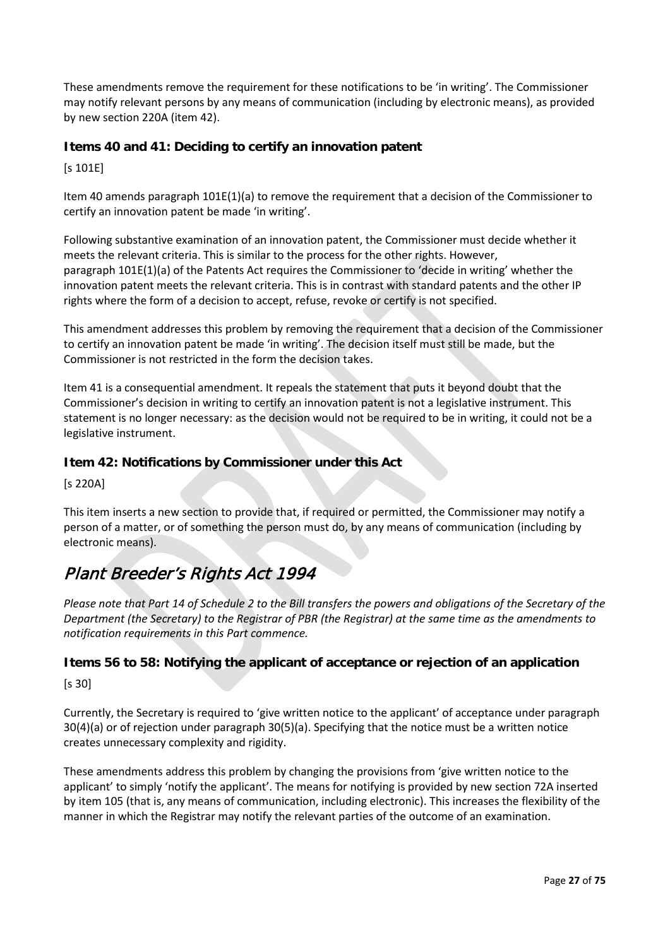These amendments remove the requirement for these notifications to be 'in writing'. The Commissioner may notify relevant persons by any means of communication (including by electronic means), as provided by new section 220A (item 42).

#### **Items 40 and 41: Deciding to certify an innovation patent**

[s 101E]

Item 40 amends paragraph 101E(1)(a) to remove the requirement that a decision of the Commissioner to certify an innovation patent be made 'in writing'.

Following substantive examination of an innovation patent, the Commissioner must decide whether it meets the relevant criteria. This is similar to the process for the other rights. However, paragraph 101E(1)(a) of the Patents Act requires the Commissioner to 'decide in writing' whether the innovation patent meets the relevant criteria. This is in contrast with standard patents and the other IP rights where the form of a decision to accept, refuse, revoke or certify is not specified.

This amendment addresses this problem by removing the requirement that a decision of the Commissioner to certify an innovation patent be made 'in writing'. The decision itself must still be made, but the Commissioner is not restricted in the form the decision takes.

Item 41 is a consequential amendment. It repeals the statement that puts it beyond doubt that the Commissioner's decision in writing to certify an innovation patent is not a legislative instrument. This statement is no longer necessary: as the decision would not be required to be in writing, it could not be a legislative instrument.

#### **Item 42: Notifications by Commissioner under this Act**

[s 220A]

This item inserts a new section to provide that, if required or permitted, the Commissioner may notify a person of a matter, or of something the person must do, by any means of communication (including by electronic means).

# Plant Breeder's Rights Act 1994

*Please note that Part 14 of Schedule 2 to the Bill transfers the powers and obligations of the Secretary of the Department (the Secretary) to the Registrar of PBR (the Registrar) at the same time as the amendments to notification requirements in this Part commence.*

### **Items 56 to 58: Notifying the applicant of acceptance or rejection of an application**

[s 30]

Currently, the Secretary is required to 'give written notice to the applicant' of acceptance under paragraph 30(4)(a) or of rejection under paragraph 30(5)(a). Specifying that the notice must be a written notice creates unnecessary complexity and rigidity.

These amendments address this problem by changing the provisions from 'give written notice to the applicant' to simply 'notify the applicant'. The means for notifying is provided by new section 72A inserted by item 105 (that is, any means of communication, including electronic). This increases the flexibility of the manner in which the Registrar may notify the relevant parties of the outcome of an examination.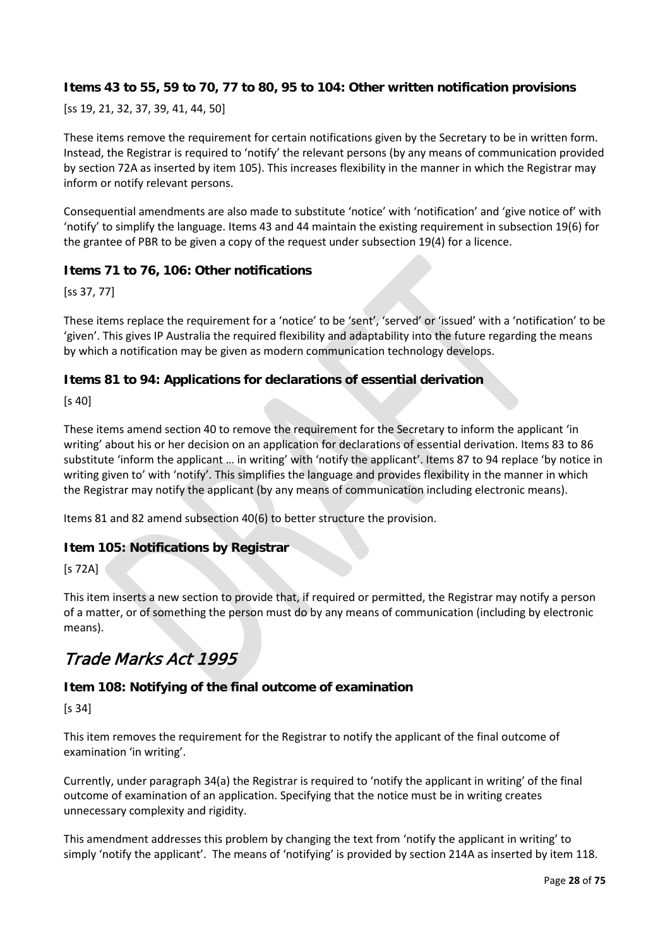#### **Items 43 to 55, 59 to 70, 77 to 80, 95 to 104: Other written notification provisions**

[ss 19, 21, 32, 37, 39, 41, 44, 50]

These items remove the requirement for certain notifications given by the Secretary to be in written form. Instead, the Registrar is required to 'notify' the relevant persons (by any means of communication provided by section 72A as inserted by item 105). This increases flexibility in the manner in which the Registrar may inform or notify relevant persons.

Consequential amendments are also made to substitute 'notice' with 'notification' and 'give notice of' with 'notify' to simplify the language. Items 43 and 44 maintain the existing requirement in subsection 19(6) for the grantee of PBR to be given a copy of the request under subsection 19(4) for a licence.

#### **Items 71 to 76, 106: Other notifications**

[ss 37, 77]

These items replace the requirement for a 'notice' to be 'sent', 'served' or 'issued' with a 'notification' to be 'given'. This gives IP Australia the required flexibility and adaptability into the future regarding the means by which a notification may be given as modern communication technology develops.

#### **Items 81 to 94: Applications for declarations of essential derivation**

[s 40]

These items amend section 40 to remove the requirement for the Secretary to inform the applicant 'in writing' about his or her decision on an application for declarations of essential derivation. Items 83 to 86 substitute 'inform the applicant … in writing' with 'notify the applicant'. Items 87 to 94 replace 'by notice in writing given to' with 'notify'. This simplifies the language and provides flexibility in the manner in which the Registrar may notify the applicant (by any means of communication including electronic means).

Items 81 and 82 amend subsection 40(6) to better structure the provision.

#### **Item 105: Notifications by Registrar**

 $[s 72A]$ 

This item inserts a new section to provide that, if required or permitted, the Registrar may notify a person of a matter, or of something the person must do by any means of communication (including by electronic means).

# Trade Marks Act 1995

#### **Item 108: Notifying of the final outcome of examination**

[s 34]

This item removes the requirement for the Registrar to notify the applicant of the final outcome of examination 'in writing'.

Currently, under paragraph 34(a) the Registrar is required to 'notify the applicant in writing' of the final outcome of examination of an application. Specifying that the notice must be in writing creates unnecessary complexity and rigidity.

This amendment addresses this problem by changing the text from 'notify the applicant in writing' to simply 'notify the applicant'. The means of 'notifying' is provided by section 214A as inserted by item 118.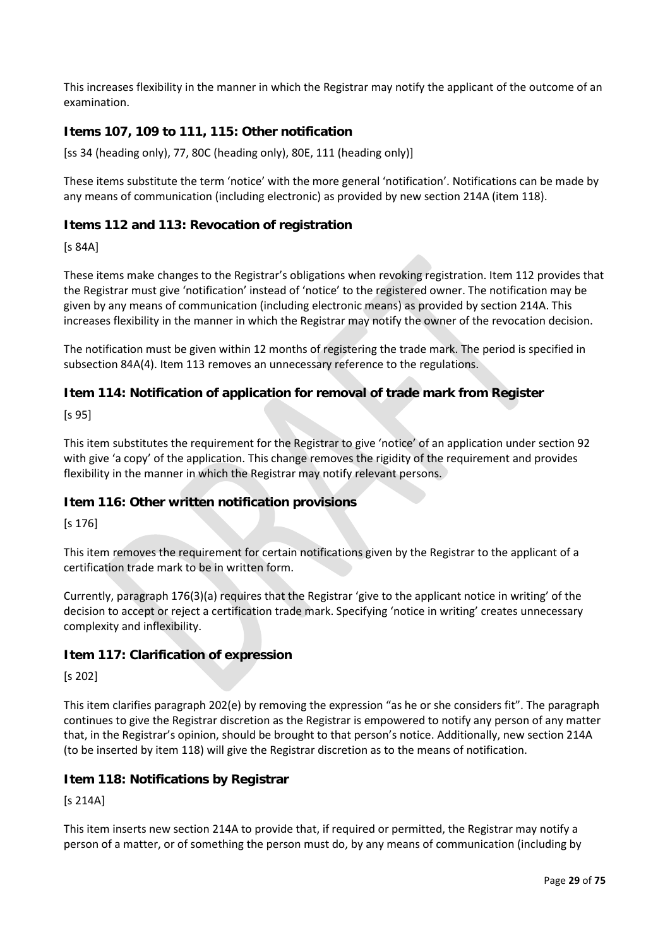This increases flexibility in the manner in which the Registrar may notify the applicant of the outcome of an examination.

#### **Items 107, 109 to 111, 115: Other notification**

[ss 34 (heading only), 77, 80C (heading only), 80E, 111 (heading only)]

These items substitute the term 'notice' with the more general 'notification'. Notifications can be made by any means of communication (including electronic) as provided by new section 214A (item 118).

#### **Items 112 and 113: Revocation of registration**

[s 84A]

These items make changes to the Registrar's obligations when revoking registration. Item 112 provides that the Registrar must give 'notification' instead of 'notice' to the registered owner. The notification may be given by any means of communication (including electronic means) as provided by section 214A. This increases flexibility in the manner in which the Registrar may notify the owner of the revocation decision.

The notification must be given within 12 months of registering the trade mark. The period is specified in subsection 84A(4). Item 113 removes an unnecessary reference to the regulations.

#### **Item 114: Notification of application for removal of trade mark from Register**

[s 95]

This item substitutes the requirement for the Registrar to give 'notice' of an application under section 92 with give 'a copy' of the application. This change removes the rigidity of the requirement and provides flexibility in the manner in which the Registrar may notify relevant persons.

#### **Item 116: Other written notification provisions**

[s 176]

This item removes the requirement for certain notifications given by the Registrar to the applicant of a certification trade mark to be in written form.

Currently, paragraph 176(3)(a) requires that the Registrar 'give to the applicant notice in writing' of the decision to accept or reject a certification trade mark. Specifying 'notice in writing' creates unnecessary complexity and inflexibility.

#### **Item 117: Clarification of expression**

[s 202]

This item clarifies paragraph 202(e) by removing the expression "as he or she considers fit". The paragraph continues to give the Registrar discretion as the Registrar is empowered to notify any person of any matter that, in the Registrar's opinion, should be brought to that person's notice. Additionally, new section 214A (to be inserted by item 118) will give the Registrar discretion as to the means of notification.

#### **Item 118: Notifications by Registrar**

[s 214A]

This item inserts new section 214A to provide that, if required or permitted, the Registrar may notify a person of a matter, or of something the person must do, by any means of communication (including by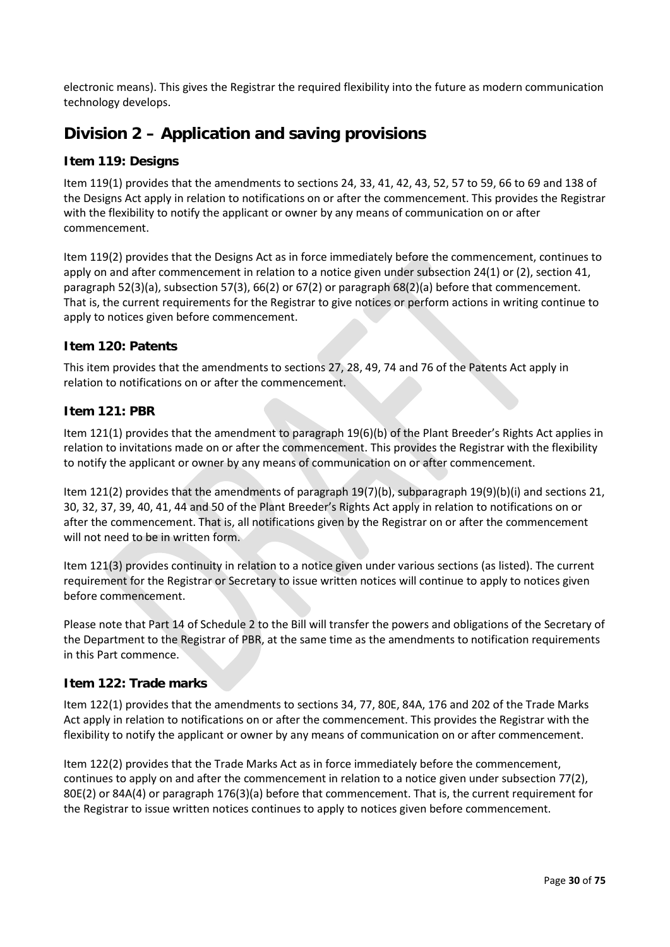electronic means). This gives the Registrar the required flexibility into the future as modern communication technology develops.

# **Division 2 – Application and saving provisions**

#### **Item 119: Designs**

Item 119(1) provides that the amendments to sections 24, 33, 41, 42, 43, 52, 57 to 59, 66 to 69 and 138 of the Designs Act apply in relation to notifications on or after the commencement. This provides the Registrar with the flexibility to notify the applicant or owner by any means of communication on or after commencement.

Item 119(2) provides that the Designs Act as in force immediately before the commencement, continues to apply on and after commencement in relation to a notice given under subsection 24(1) or (2), section 41, paragraph 52(3)(a), subsection 57(3), 66(2) or 67(2) or paragraph 68(2)(a) before that commencement. That is, the current requirements for the Registrar to give notices or perform actions in writing continue to apply to notices given before commencement.

#### **Item 120: Patents**

This item provides that the amendments to sections 27, 28, 49, 74 and 76 of the Patents Act apply in relation to notifications on or after the commencement.

#### **Item 121: PBR**

Item 121(1) provides that the amendment to paragraph 19(6)(b) of the Plant Breeder's Rights Act applies in relation to invitations made on or after the commencement. This provides the Registrar with the flexibility to notify the applicant or owner by any means of communication on or after commencement.

Item 121(2) provides that the amendments of paragraph 19(7)(b), subparagraph 19(9)(b)(i) and sections 21, 30, 32, 37, 39, 40, 41, 44 and 50 of the Plant Breeder's Rights Act apply in relation to notifications on or after the commencement. That is, all notifications given by the Registrar on or after the commencement will not need to be in written form.

Item 121(3) provides continuity in relation to a notice given under various sections (as listed). The current requirement for the Registrar or Secretary to issue written notices will continue to apply to notices given before commencement.

Please note that Part 14 of Schedule 2 to the Bill will transfer the powers and obligations of the Secretary of the Department to the Registrar of PBR, at the same time as the amendments to notification requirements in this Part commence.

#### **Item 122: Trade marks**

Item 122(1) provides that the amendments to sections 34, 77, 80E, 84A, 176 and 202 of the Trade Marks Act apply in relation to notifications on or after the commencement. This provides the Registrar with the flexibility to notify the applicant or owner by any means of communication on or after commencement.

Item 122(2) provides that the Trade Marks Act as in force immediately before the commencement, continues to apply on and after the commencement in relation to a notice given under subsection 77(2), 80E(2) or 84A(4) or paragraph 176(3)(a) before that commencement. That is, the current requirement for the Registrar to issue written notices continues to apply to notices given before commencement.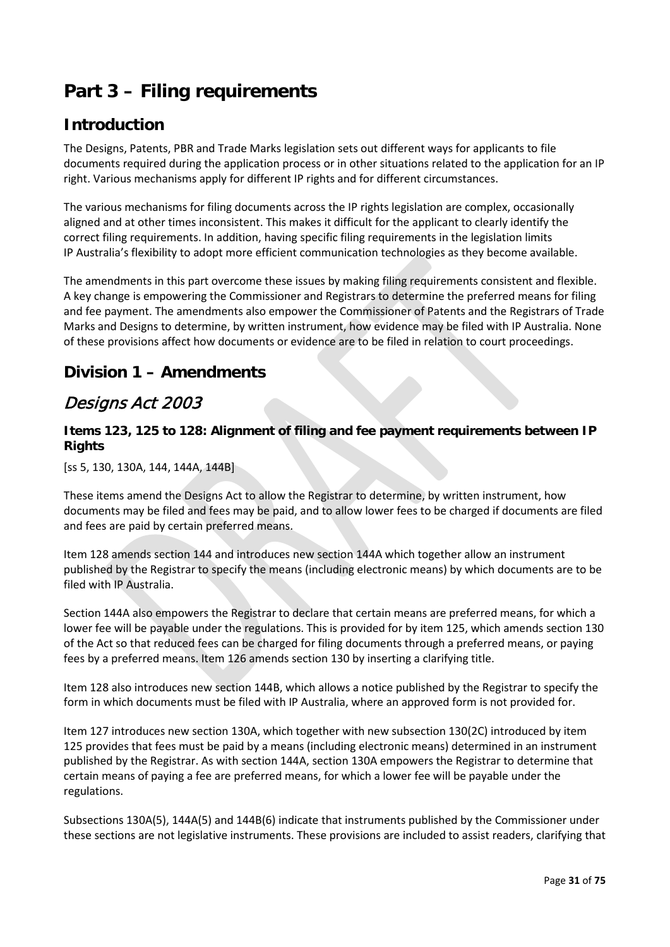# <span id="page-30-0"></span>**Part 3 – Filing requirements**

## **Introduction**

The Designs, Patents, PBR and Trade Marks legislation sets out different ways for applicants to file documents required during the application process or in other situations related to the application for an IP right. Various mechanisms apply for different IP rights and for different circumstances.

The various mechanisms for filing documents across the IP rights legislation are complex, occasionally aligned and at other times inconsistent. This makes it difficult for the applicant to clearly identify the correct filing requirements. In addition, having specific filing requirements in the legislation limits IP Australia's flexibility to adopt more efficient communication technologies as they become available.

The amendments in this part overcome these issues by making filing requirements consistent and flexible. A key change is empowering the Commissioner and Registrars to determine the preferred means for filing and fee payment. The amendments also empower the Commissioner of Patents and the Registrars of Trade Marks and Designs to determine, by written instrument, how evidence may be filed with IP Australia. None of these provisions affect how documents or evidence are to be filed in relation to court proceedings.

## **Division 1 – Amendments**

# Designs Act 2003

#### **Items 123, 125 to 128: Alignment of filing and fee payment requirements between IP Rights**

[ss 5, 130, 130A, 144, 144A, 144B]

These items amend the Designs Act to allow the Registrar to determine, by written instrument, how documents may be filed and fees may be paid, and to allow lower fees to be charged if documents are filed and fees are paid by certain preferred means.

Item 128 amends section 144 and introduces new section 144A which together allow an instrument published by the Registrar to specify the means (including electronic means) by which documents are to be filed with IP Australia.

Section 144A also empowers the Registrar to declare that certain means are preferred means, for which a lower fee will be payable under the regulations. This is provided for by item 125, which amends section 130 of the Act so that reduced fees can be charged for filing documents through a preferred means, or paying fees by a preferred means. Item 126 amends section 130 by inserting a clarifying title.

Item 128 also introduces new section 144B, which allows a notice published by the Registrar to specify the form in which documents must be filed with IP Australia, where an approved form is not provided for.

Item 127 introduces new section 130A, which together with new subsection 130(2C) introduced by item 125 provides that fees must be paid by a means (including electronic means) determined in an instrument published by the Registrar. As with section 144A, section 130A empowers the Registrar to determine that certain means of paying a fee are preferred means, for which a lower fee will be payable under the regulations.

Subsections 130A(5), 144A(5) and 144B(6) indicate that instruments published by the Commissioner under these sections are not legislative instruments. These provisions are included to assist readers, clarifying that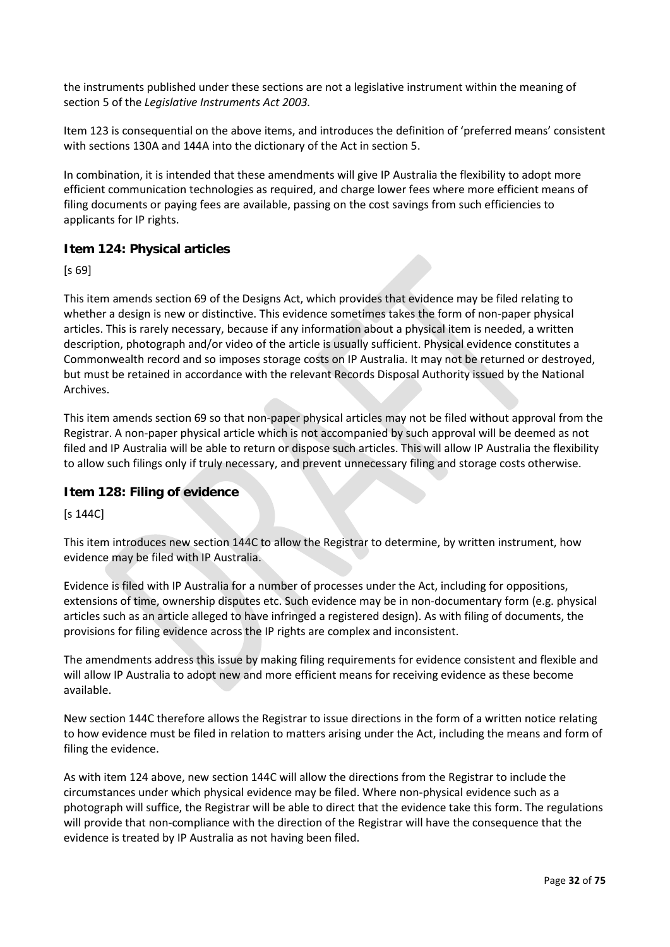the instruments published under these sections are not a legislative instrument within the meaning of section 5 of the *Legislative Instruments Act 2003.*

Item 123 is consequential on the above items, and introduces the definition of 'preferred means' consistent with sections 130A and 144A into the dictionary of the Act in section 5.

In combination, it is intended that these amendments will give IP Australia the flexibility to adopt more efficient communication technologies as required, and charge lower fees where more efficient means of filing documents or paying fees are available, passing on the cost savings from such efficiencies to applicants for IP rights.

#### **Item 124: Physical articles**

[s 69]

This item amends section 69 of the Designs Act, which provides that evidence may be filed relating to whether a design is new or distinctive. This evidence sometimes takes the form of non-paper physical articles. This is rarely necessary, because if any information about a physical item is needed, a written description, photograph and/or video of the article is usually sufficient. Physical evidence constitutes a Commonwealth record and so imposes storage costs on IP Australia. It may not be returned or destroyed, but must be retained in accordance with the relevant Records Disposal Authority issued by the National Archives.

This item amends section 69 so that non-paper physical articles may not be filed without approval from the Registrar. A non-paper physical article which is not accompanied by such approval will be deemed as not filed and IP Australia will be able to return or dispose such articles. This will allow IP Australia the flexibility to allow such filings only if truly necessary, and prevent unnecessary filing and storage costs otherwise.

#### **Item 128: Filing of evidence**

[s 144C]

This item introduces new section 144C to allow the Registrar to determine, by written instrument, how evidence may be filed with IP Australia.

Evidence is filed with IP Australia for a number of processes under the Act, including for oppositions, extensions of time, ownership disputes etc. Such evidence may be in non-documentary form (e.g. physical articles such as an article alleged to have infringed a registered design). As with filing of documents, the provisions for filing evidence across the IP rights are complex and inconsistent.

The amendments address this issue by making filing requirements for evidence consistent and flexible and will allow IP Australia to adopt new and more efficient means for receiving evidence as these become available.

New section 144C therefore allows the Registrar to issue directions in the form of a written notice relating to how evidence must be filed in relation to matters arising under the Act, including the means and form of filing the evidence.

As with item 124 above, new section 144C will allow the directions from the Registrar to include the circumstances under which physical evidence may be filed. Where non-physical evidence such as a photograph will suffice, the Registrar will be able to direct that the evidence take this form. The regulations will provide that non-compliance with the direction of the Registrar will have the consequence that the evidence is treated by IP Australia as not having been filed.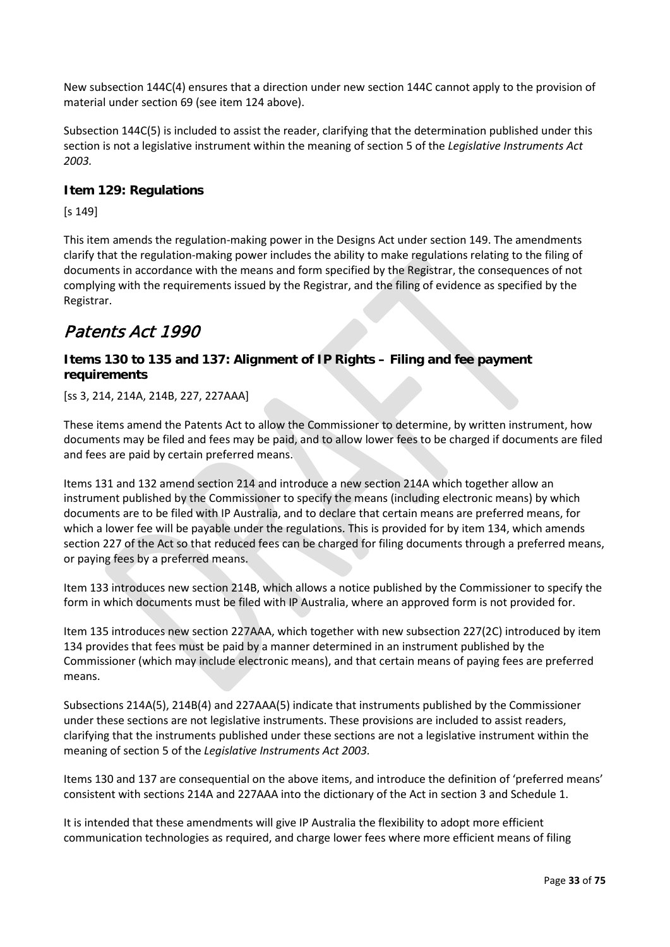New subsection 144C(4) ensures that a direction under new section 144C cannot apply to the provision of material under section 69 (see item 124 above).

Subsection 144C(5) is included to assist the reader, clarifying that the determination published under this section is not a legislative instrument within the meaning of section 5 of the *Legislative Instruments Act 2003.*

#### **Item 129: Regulations**

[s 149]

This item amends the regulation-making power in the Designs Act under section 149. The amendments clarify that the regulation-making power includes the ability to make regulations relating to the filing of documents in accordance with the means and form specified by the Registrar, the consequences of not complying with the requirements issued by the Registrar, and the filing of evidence as specified by the Registrar.

### Patents Act 1990

#### **Items 130 to 135 and 137: Alignment of IP Rights – Filing and fee payment requirements**

[ss 3, 214, 214A, 214B, 227, 227AAA]

These items amend the Patents Act to allow the Commissioner to determine, by written instrument, how documents may be filed and fees may be paid, and to allow lower fees to be charged if documents are filed and fees are paid by certain preferred means.

Items 131 and 132 amend section 214 and introduce a new section 214A which together allow an instrument published by the Commissioner to specify the means (including electronic means) by which documents are to be filed with IP Australia, and to declare that certain means are preferred means, for which a lower fee will be payable under the regulations. This is provided for by item 134, which amends section 227 of the Act so that reduced fees can be charged for filing documents through a preferred means, or paying fees by a preferred means.

Item 133 introduces new section 214B, which allows a notice published by the Commissioner to specify the form in which documents must be filed with IP Australia, where an approved form is not provided for.

Item 135 introduces new section 227AAA, which together with new subsection 227(2C) introduced by item 134 provides that fees must be paid by a manner determined in an instrument published by the Commissioner (which may include electronic means), and that certain means of paying fees are preferred means.

Subsections 214A(5), 214B(4) and 227AAA(5) indicate that instruments published by the Commissioner under these sections are not legislative instruments. These provisions are included to assist readers, clarifying that the instruments published under these sections are not a legislative instrument within the meaning of section 5 of the *Legislative Instruments Act 2003.*

Items 130 and 137 are consequential on the above items, and introduce the definition of 'preferred means' consistent with sections 214A and 227AAA into the dictionary of the Act in section 3 and Schedule 1.

It is intended that these amendments will give IP Australia the flexibility to adopt more efficient communication technologies as required, and charge lower fees where more efficient means of filing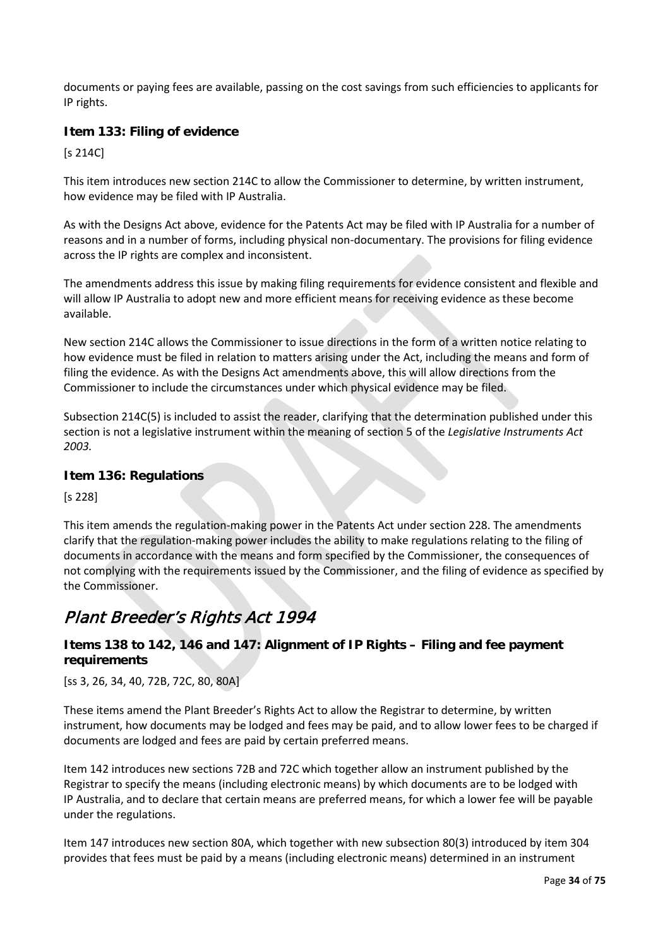documents or paying fees are available, passing on the cost savings from such efficiencies to applicants for IP rights.

#### **Item 133: Filing of evidence**

[s 214C]

This item introduces new section 214C to allow the Commissioner to determine, by written instrument, how evidence may be filed with IP Australia.

As with the Designs Act above, evidence for the Patents Act may be filed with IP Australia for a number of reasons and in a number of forms, including physical non-documentary. The provisions for filing evidence across the IP rights are complex and inconsistent.

The amendments address this issue by making filing requirements for evidence consistent and flexible and will allow IP Australia to adopt new and more efficient means for receiving evidence as these become available.

New section 214C allows the Commissioner to issue directions in the form of a written notice relating to how evidence must be filed in relation to matters arising under the Act, including the means and form of filing the evidence. As with the Designs Act amendments above, this will allow directions from the Commissioner to include the circumstances under which physical evidence may be filed.

Subsection 214C(5) is included to assist the reader, clarifying that the determination published under this section is not a legislative instrument within the meaning of section 5 of the *Legislative Instruments Act 2003.*

#### **Item 136: Regulations**

[s 228]

This item amends the regulation-making power in the Patents Act under section 228. The amendments clarify that the regulation-making power includes the ability to make regulations relating to the filing of documents in accordance with the means and form specified by the Commissioner, the consequences of not complying with the requirements issued by the Commissioner, and the filing of evidence as specified by the Commissioner.

# Plant Breeder's Rights Act 1994

#### **Items 138 to 142, 146 and 147: Alignment of IP Rights – Filing and fee payment requirements**

[ss 3, 26, 34, 40, 72B, 72C, 80, 80A]

These items amend the Plant Breeder's Rights Act to allow the Registrar to determine, by written instrument, how documents may be lodged and fees may be paid, and to allow lower fees to be charged if documents are lodged and fees are paid by certain preferred means.

Item 142 introduces new sections 72B and 72C which together allow an instrument published by the Registrar to specify the means (including electronic means) by which documents are to be lodged with IP Australia, and to declare that certain means are preferred means, for which a lower fee will be payable under the regulations.

Item 147 introduces new section 80A, which together with new subsection 80(3) introduced by item 304 provides that fees must be paid by a means (including electronic means) determined in an instrument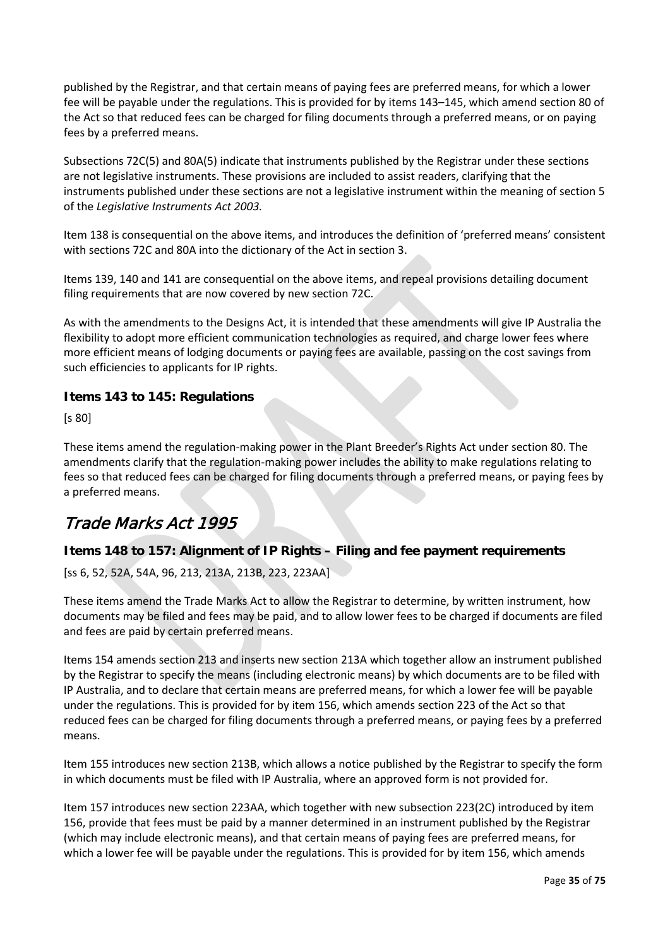published by the Registrar, and that certain means of paying fees are preferred means, for which a lower fee will be payable under the regulations. This is provided for by items 143–145, which amend section 80 of the Act so that reduced fees can be charged for filing documents through a preferred means, or on paying fees by a preferred means.

Subsections 72C(5) and 80A(5) indicate that instruments published by the Registrar under these sections are not legislative instruments. These provisions are included to assist readers, clarifying that the instruments published under these sections are not a legislative instrument within the meaning of section 5 of the *Legislative Instruments Act 2003.*

Item 138 is consequential on the above items, and introduces the definition of 'preferred means' consistent with sections 72C and 80A into the dictionary of the Act in section 3.

Items 139, 140 and 141 are consequential on the above items, and repeal provisions detailing document filing requirements that are now covered by new section 72C.

As with the amendments to the Designs Act, it is intended that these amendments will give IP Australia the flexibility to adopt more efficient communication technologies as required, and charge lower fees where more efficient means of lodging documents or paying fees are available, passing on the cost savings from such efficiencies to applicants for IP rights.

#### **Items 143 to 145: Regulations**

[s 80]

These items amend the regulation-making power in the Plant Breeder's Rights Act under section 80. The amendments clarify that the regulation-making power includes the ability to make regulations relating to fees so that reduced fees can be charged for filing documents through a preferred means, or paying fees by a preferred means.

# Trade Marks Act 1995

#### **Items 148 to 157: Alignment of IP Rights – Filing and fee payment requirements**

[ss 6, 52, 52A, 54A, 96, 213, 213A, 213B, 223, 223AA]

These items amend the Trade Marks Act to allow the Registrar to determine, by written instrument, how documents may be filed and fees may be paid, and to allow lower fees to be charged if documents are filed and fees are paid by certain preferred means.

Items 154 amends section 213 and inserts new section 213A which together allow an instrument published by the Registrar to specify the means (including electronic means) by which documents are to be filed with IP Australia, and to declare that certain means are preferred means, for which a lower fee will be payable under the regulations. This is provided for by item 156, which amends section 223 of the Act so that reduced fees can be charged for filing documents through a preferred means, or paying fees by a preferred means.

Item 155 introduces new section 213B, which allows a notice published by the Registrar to specify the form in which documents must be filed with IP Australia, where an approved form is not provided for.

Item 157 introduces new section 223AA, which together with new subsection 223(2C) introduced by item 156, provide that fees must be paid by a manner determined in an instrument published by the Registrar (which may include electronic means), and that certain means of paying fees are preferred means, for which a lower fee will be payable under the regulations. This is provided for by item 156, which amends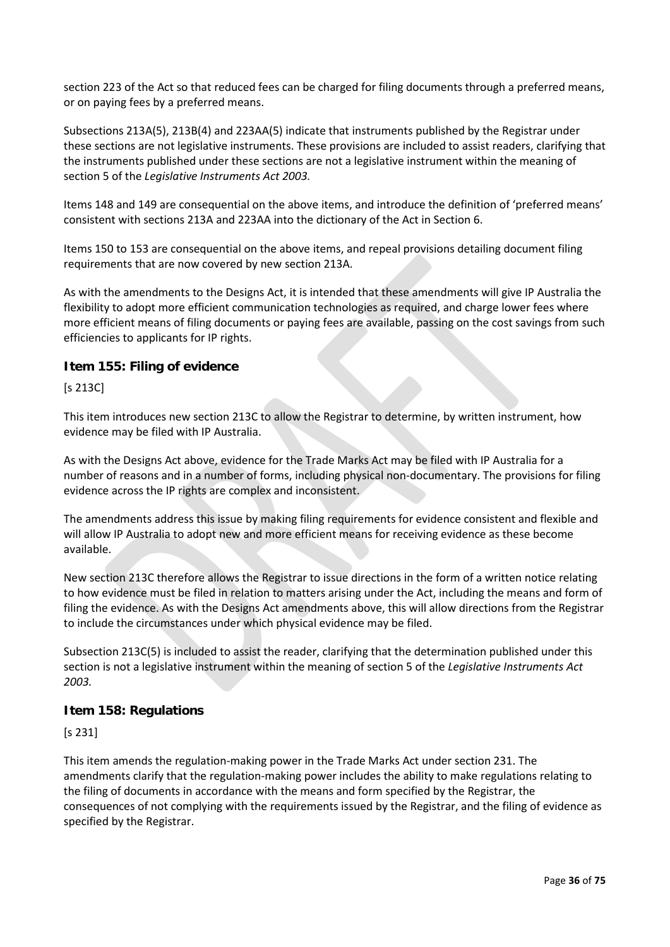section 223 of the Act so that reduced fees can be charged for filing documents through a preferred means, or on paying fees by a preferred means.

Subsections 213A(5), 213B(4) and 223AA(5) indicate that instruments published by the Registrar under these sections are not legislative instruments. These provisions are included to assist readers, clarifying that the instruments published under these sections are not a legislative instrument within the meaning of section 5 of the *Legislative Instruments Act 2003.*

Items 148 and 149 are consequential on the above items, and introduce the definition of 'preferred means' consistent with sections 213A and 223AA into the dictionary of the Act in Section 6.

Items 150 to 153 are consequential on the above items, and repeal provisions detailing document filing requirements that are now covered by new section 213A.

As with the amendments to the Designs Act, it is intended that these amendments will give IP Australia the flexibility to adopt more efficient communication technologies as required, and charge lower fees where more efficient means of filing documents or paying fees are available, passing on the cost savings from such efficiencies to applicants for IP rights.

#### **Item 155: Filing of evidence**

[s 213C]

This item introduces new section 213C to allow the Registrar to determine, by written instrument, how evidence may be filed with IP Australia.

As with the Designs Act above, evidence for the Trade Marks Act may be filed with IP Australia for a number of reasons and in a number of forms, including physical non-documentary. The provisions for filing evidence across the IP rights are complex and inconsistent.

The amendments address this issue by making filing requirements for evidence consistent and flexible and will allow IP Australia to adopt new and more efficient means for receiving evidence as these become available.

New section 213C therefore allows the Registrar to issue directions in the form of a written notice relating to how evidence must be filed in relation to matters arising under the Act, including the means and form of filing the evidence. As with the Designs Act amendments above, this will allow directions from the Registrar to include the circumstances under which physical evidence may be filed.

Subsection 213C(5) is included to assist the reader, clarifying that the determination published under this section is not a legislative instrument within the meaning of section 5 of the *Legislative Instruments Act 2003.*

#### **Item 158: Regulations**

[s 231]

This item amends the regulation-making power in the Trade Marks Act under section 231. The amendments clarify that the regulation-making power includes the ability to make regulations relating to the filing of documents in accordance with the means and form specified by the Registrar, the consequences of not complying with the requirements issued by the Registrar, and the filing of evidence as specified by the Registrar.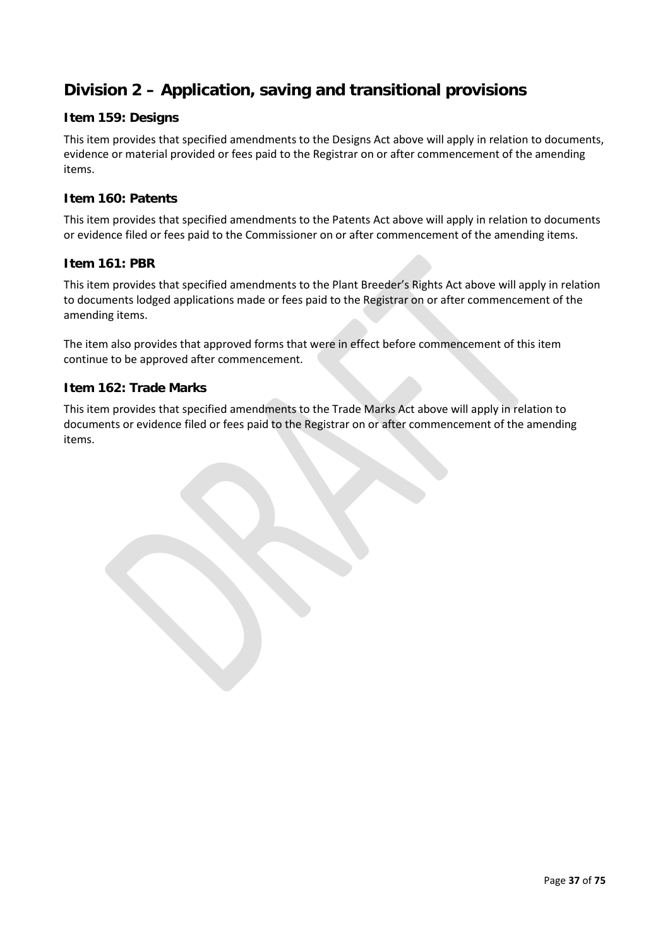## **Division 2 – Application, saving and transitional provisions**

### **Item 159: Designs**

This item provides that specified amendments to the Designs Act above will apply in relation to documents, evidence or material provided or fees paid to the Registrar on or after commencement of the amending items.

### **Item 160: Patents**

This item provides that specified amendments to the Patents Act above will apply in relation to documents or evidence filed or fees paid to the Commissioner on or after commencement of the amending items.

### **Item 161: PBR**

This item provides that specified amendments to the Plant Breeder's Rights Act above will apply in relation to documents lodged applications made or fees paid to the Registrar on or after commencement of the amending items.

The item also provides that approved forms that were in effect before commencement of this item continue to be approved after commencement.

#### **Item 162: Trade Marks**

This item provides that specified amendments to the Trade Marks Act above will apply in relation to documents or evidence filed or fees paid to the Registrar on or after commencement of the amending items.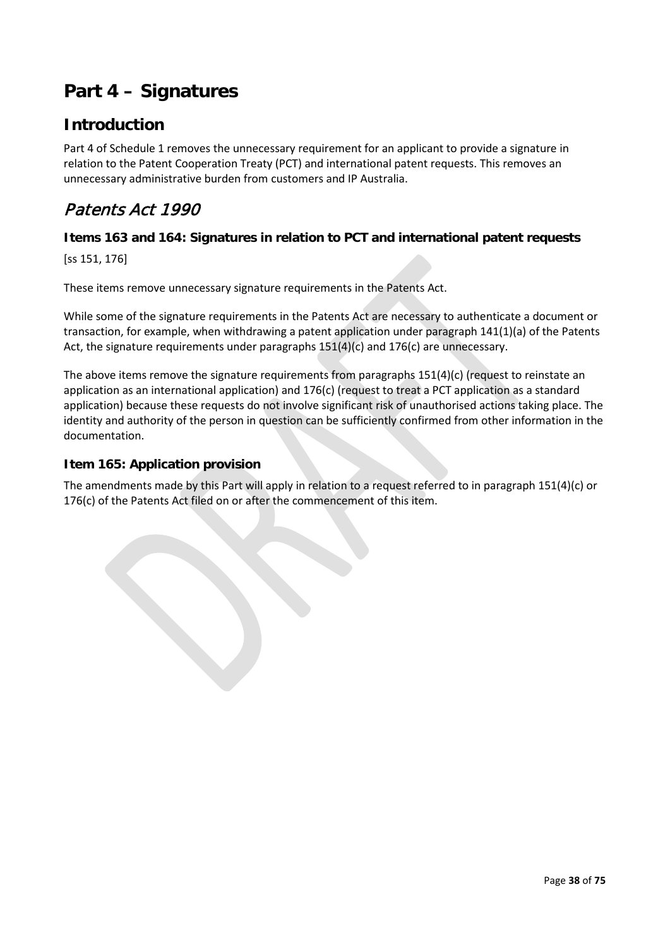# **Part 4 – Signatures**

## **Introduction**

Part 4 of Schedule 1 removes the unnecessary requirement for an applicant to provide a signature in relation to the Patent Cooperation Treaty (PCT) and international patent requests. This removes an unnecessary administrative burden from customers and IP Australia.

## Patents Act 1990

### **Items 163 and 164: Signatures in relation to PCT and international patent requests**

[ss 151, 176]

These items remove unnecessary signature requirements in the Patents Act.

While some of the signature requirements in the Patents Act are necessary to authenticate a document or transaction, for example, when withdrawing a patent application under paragraph 141(1)(a) of the Patents Act, the signature requirements under paragraphs  $151(4)(c)$  and  $176(c)$  are unnecessary.

The above items remove the signature requirements from paragraphs 151(4)(c) (request to reinstate an application as an international application) and 176(c) (request to treat a PCT application as a standard application) because these requests do not involve significant risk of unauthorised actions taking place. The identity and authority of the person in question can be sufficiently confirmed from other information in the documentation.

### **Item 165: Application provision**

The amendments made by this Part will apply in relation to a request referred to in paragraph 151(4)(c) or 176(c) of the Patents Act filed on or after the commencement of this item.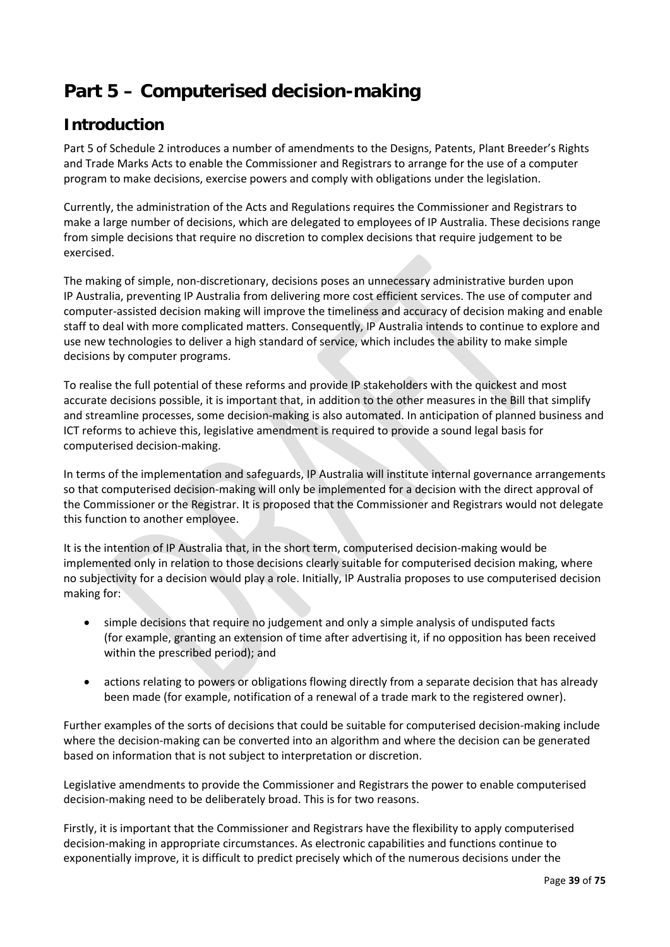# **Part 5 – Computerised decision-making**

## **Introduction**

Part 5 of Schedule 2 introduces a number of amendments to the Designs, Patents, Plant Breeder's Rights and Trade Marks Acts to enable the Commissioner and Registrars to arrange for the use of a computer program to make decisions, exercise powers and comply with obligations under the legislation.

Currently, the administration of the Acts and Regulations requires the Commissioner and Registrars to make a large number of decisions, which are delegated to employees of IP Australia. These decisions range from simple decisions that require no discretion to complex decisions that require judgement to be exercised.

The making of simple, non-discretionary, decisions poses an unnecessary administrative burden upon IP Australia, preventing IP Australia from delivering more cost efficient services. The use of computer and computer-assisted decision making will improve the timeliness and accuracy of decision making and enable staff to deal with more complicated matters. Consequently, IP Australia intends to continue to explore and use new technologies to deliver a high standard of service, which includes the ability to make simple decisions by computer programs.

To realise the full potential of these reforms and provide IP stakeholders with the quickest and most accurate decisions possible, it is important that, in addition to the other measures in the Bill that simplify and streamline processes, some decision-making is also automated. In anticipation of planned business and ICT reforms to achieve this, legislative amendment is required to provide a sound legal basis for computerised decision-making.

In terms of the implementation and safeguards, IP Australia will institute internal governance arrangements so that computerised decision-making will only be implemented for a decision with the direct approval of the Commissioner or the Registrar. It is proposed that the Commissioner and Registrars would not delegate this function to another employee.

It is the intention of IP Australia that, in the short term, computerised decision-making would be implemented only in relation to those decisions clearly suitable for computerised decision making, where no subjectivity for a decision would play a role. Initially, IP Australia proposes to use computerised decision making for:

- simple decisions that require no judgement and only a simple analysis of undisputed facts (for example, granting an extension of time after advertising it, if no opposition has been received within the prescribed period); and
- actions relating to powers or obligations flowing directly from a separate decision that has already been made (for example, notification of a renewal of a trade mark to the registered owner).

Further examples of the sorts of decisions that could be suitable for computerised decision-making include where the decision-making can be converted into an algorithm and where the decision can be generated based on information that is not subject to interpretation or discretion.

Legislative amendments to provide the Commissioner and Registrars the power to enable computerised decision-making need to be deliberately broad. This is for two reasons.

Firstly, it is important that the Commissioner and Registrars have the flexibility to apply computerised decision-making in appropriate circumstances. As electronic capabilities and functions continue to exponentially improve, it is difficult to predict precisely which of the numerous decisions under the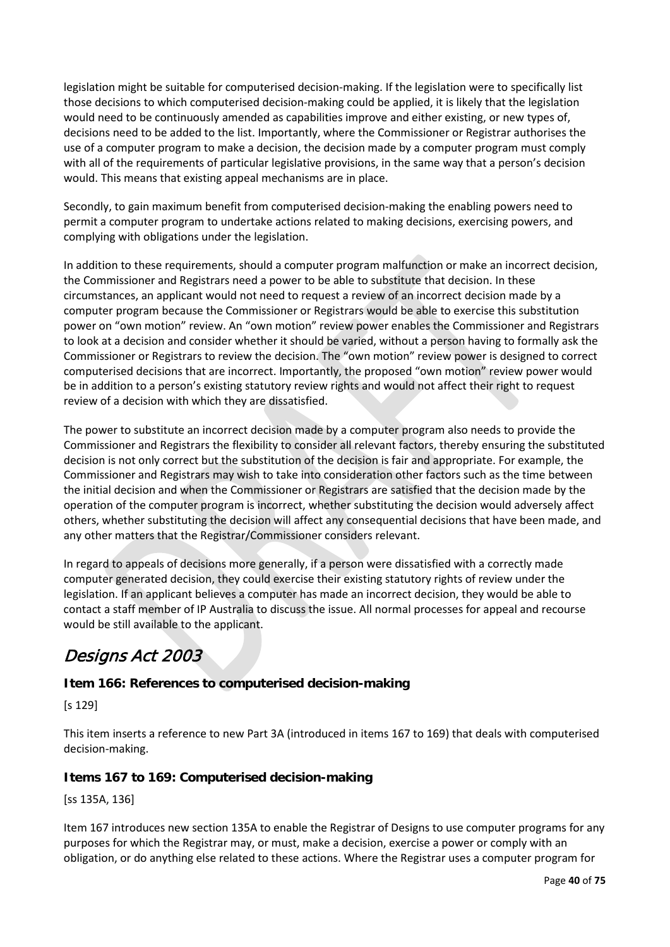legislation might be suitable for computerised decision-making. If the legislation were to specifically list those decisions to which computerised decision-making could be applied, it is likely that the legislation would need to be continuously amended as capabilities improve and either existing, or new types of, decisions need to be added to the list. Importantly, where the Commissioner or Registrar authorises the use of a computer program to make a decision, the decision made by a computer program must comply with all of the requirements of particular legislative provisions, in the same way that a person's decision would. This means that existing appeal mechanisms are in place.

Secondly, to gain maximum benefit from computerised decision-making the enabling powers need to permit a computer program to undertake actions related to making decisions, exercising powers, and complying with obligations under the legislation.

In addition to these requirements, should a computer program malfunction or make an incorrect decision, the Commissioner and Registrars need a power to be able to substitute that decision. In these circumstances, an applicant would not need to request a review of an incorrect decision made by a computer program because the Commissioner or Registrars would be able to exercise this substitution power on "own motion" review. An "own motion" review power enables the Commissioner and Registrars to look at a decision and consider whether it should be varied, without a person having to formally ask the Commissioner or Registrars to review the decision. The "own motion" review power is designed to correct computerised decisions that are incorrect. Importantly, the proposed "own motion" review power would be in addition to a person's existing statutory review rights and would not affect their right to request review of a decision with which they are dissatisfied.

The power to substitute an incorrect decision made by a computer program also needs to provide the Commissioner and Registrars the flexibility to consider all relevant factors, thereby ensuring the substituted decision is not only correct but the substitution of the decision is fair and appropriate. For example, the Commissioner and Registrars may wish to take into consideration other factors such as the time between the initial decision and when the Commissioner or Registrars are satisfied that the decision made by the operation of the computer program is incorrect, whether substituting the decision would adversely affect others, whether substituting the decision will affect any consequential decisions that have been made, and any other matters that the Registrar/Commissioner considers relevant.

In regard to appeals of decisions more generally, if a person were dissatisfied with a correctly made computer generated decision, they could exercise their existing statutory rights of review under the legislation. If an applicant believes a computer has made an incorrect decision, they would be able to contact a staff member of IP Australia to discuss the issue. All normal processes for appeal and recourse would be still available to the applicant.

# Designs Act 2003

### **Item 166: References to computerised decision-making**

[s 129]

This item inserts a reference to new Part 3A (introduced in items 167 to 169) that deals with computerised decision-making.

### **Items 167 to 169: Computerised decision-making**

[ss 135A, 136]

Item 167 introduces new section 135A to enable the Registrar of Designs to use computer programs for any purposes for which the Registrar may, or must, make a decision, exercise a power or comply with an obligation, or do anything else related to these actions. Where the Registrar uses a computer program for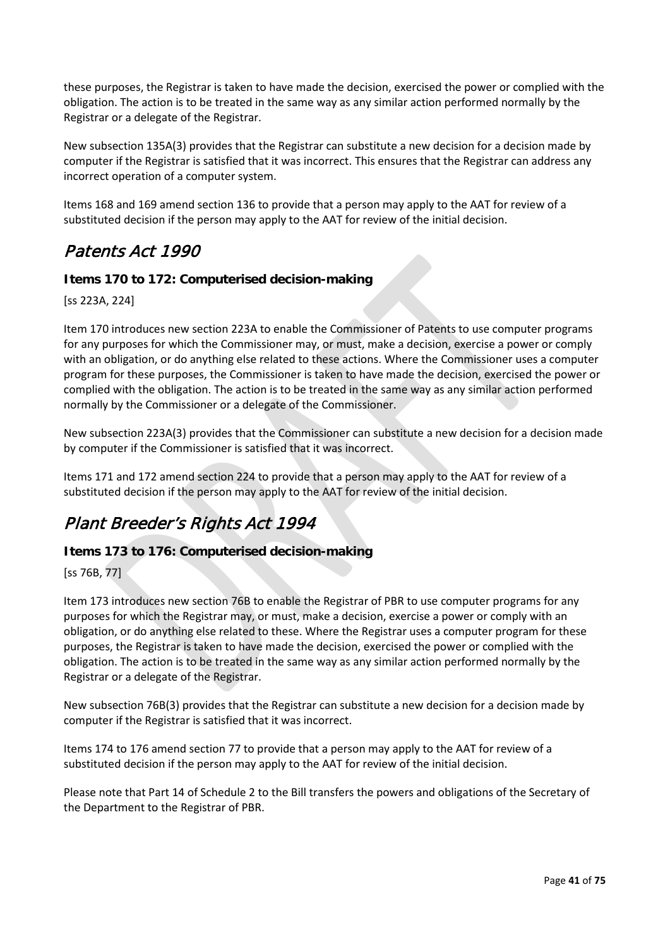these purposes, the Registrar is taken to have made the decision, exercised the power or complied with the obligation. The action is to be treated in the same way as any similar action performed normally by the Registrar or a delegate of the Registrar.

New subsection 135A(3) provides that the Registrar can substitute a new decision for a decision made by computer if the Registrar is satisfied that it was incorrect. This ensures that the Registrar can address any incorrect operation of a computer system.

Items 168 and 169 amend section 136 to provide that a person may apply to the AAT for review of a substituted decision if the person may apply to the AAT for review of the initial decision.

## Patents Act 1990

### **Items 170 to 172: Computerised decision-making**

[ss 223A, 224]

Item 170 introduces new section 223A to enable the Commissioner of Patents to use computer programs for any purposes for which the Commissioner may, or must, make a decision, exercise a power or comply with an obligation, or do anything else related to these actions. Where the Commissioner uses a computer program for these purposes, the Commissioner is taken to have made the decision, exercised the power or complied with the obligation. The action is to be treated in the same way as any similar action performed normally by the Commissioner or a delegate of the Commissioner.

New subsection 223A(3) provides that the Commissioner can substitute a new decision for a decision made by computer if the Commissioner is satisfied that it was incorrect.

Items 171 and 172 amend section 224 to provide that a person may apply to the AAT for review of a substituted decision if the person may apply to the AAT for review of the initial decision.

## Plant Breeder's Rights Act 1994

### **Items 173 to 176: Computerised decision-making**

[ss 76B, 77]

Item 173 introduces new section 76B to enable the Registrar of PBR to use computer programs for any purposes for which the Registrar may, or must, make a decision, exercise a power or comply with an obligation, or do anything else related to these. Where the Registrar uses a computer program for these purposes, the Registrar is taken to have made the decision, exercised the power or complied with the obligation. The action is to be treated in the same way as any similar action performed normally by the Registrar or a delegate of the Registrar.

New subsection 76B(3) provides that the Registrar can substitute a new decision for a decision made by computer if the Registrar is satisfied that it was incorrect.

Items 174 to 176 amend section 77 to provide that a person may apply to the AAT for review of a substituted decision if the person may apply to the AAT for review of the initial decision.

Please note that Part 14 of Schedule 2 to the Bill transfers the powers and obligations of the Secretary of the Department to the Registrar of PBR.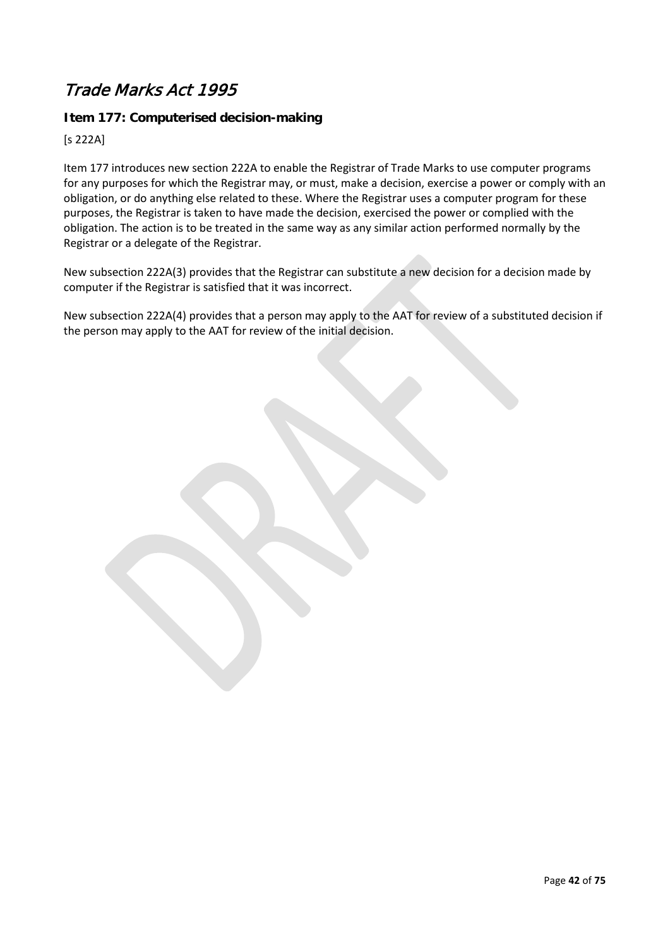## Trade Marks Act 1995

### **Item 177: Computerised decision-making**

[s 222A]

Item 177 introduces new section 222A to enable the Registrar of Trade Marks to use computer programs for any purposes for which the Registrar may, or must, make a decision, exercise a power or comply with an obligation, or do anything else related to these. Where the Registrar uses a computer program for these purposes, the Registrar is taken to have made the decision, exercised the power or complied with the obligation. The action is to be treated in the same way as any similar action performed normally by the Registrar or a delegate of the Registrar.

New subsection 222A(3) provides that the Registrar can substitute a new decision for a decision made by computer if the Registrar is satisfied that it was incorrect.

New subsection 222A(4) provides that a person may apply to the AAT for review of a substituted decision if the person may apply to the AAT for review of the initial decision.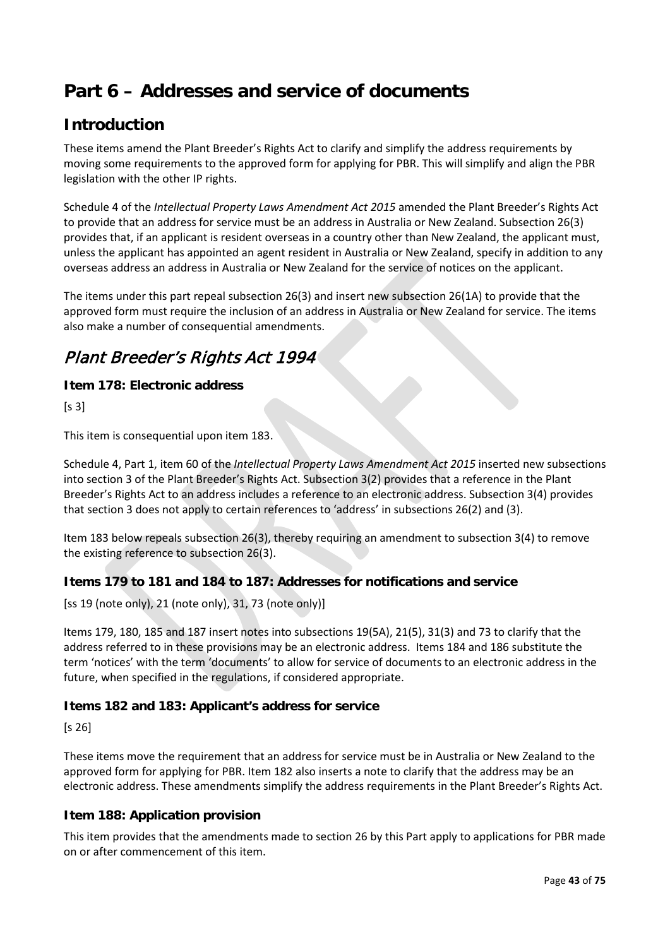# **Part 6 – Addresses and service of documents**

## **Introduction**

These items amend the Plant Breeder's Rights Act to clarify and simplify the address requirements by moving some requirements to the approved form for applying for PBR. This will simplify and align the PBR legislation with the other IP rights.

Schedule 4 of the *Intellectual Property Laws Amendment Act 2015* amended the Plant Breeder's Rights Act to provide that an address for service must be an address in Australia or New Zealand. Subsection 26(3) provides that, if an applicant is resident overseas in a country other than New Zealand, the applicant must, unless the applicant has appointed an agent resident in Australia or New Zealand, specify in addition to any overseas address an address in Australia or New Zealand for the service of notices on the applicant.

The items under this part repeal subsection 26(3) and insert new subsection 26(1A) to provide that the approved form must require the inclusion of an address in Australia or New Zealand for service. The items also make a number of consequential amendments.

## Plant Breeder's Rights Act 1994

### **Item 178: Electronic address**

 $[s 3]$ 

This item is consequential upon item 183.

Schedule 4, Part 1, item 60 of the *Intellectual Property Laws Amendment Act 2015* inserted new subsections into section 3 of the Plant Breeder's Rights Act. Subsection 3(2) provides that a reference in the Plant Breeder's Rights Act to an address includes a reference to an electronic address. Subsection 3(4) provides that section 3 does not apply to certain references to 'address' in subsections 26(2) and (3).

Item 183 below repeals subsection 26(3), thereby requiring an amendment to subsection 3(4) to remove the existing reference to subsection 26(3).

### **Items 179 to 181 and 184 to 187: Addresses for notifications and service**

[ss 19 (note only), 21 (note only), 31, 73 (note only)]

Items 179, 180, 185 and 187 insert notes into subsections 19(5A), 21(5), 31(3) and 73 to clarify that the address referred to in these provisions may be an electronic address. Items 184 and 186 substitute the term 'notices' with the term 'documents' to allow for service of documents to an electronic address in the future, when specified in the regulations, if considered appropriate.

### **Items 182 and 183: Applicant's address for service**

[s 26]

These items move the requirement that an address for service must be in Australia or New Zealand to the approved form for applying for PBR. Item 182 also inserts a note to clarify that the address may be an electronic address. These amendments simplify the address requirements in the Plant Breeder's Rights Act.

### **Item 188: Application provision**

This item provides that the amendments made to section 26 by this Part apply to applications for PBR made on or after commencement of this item.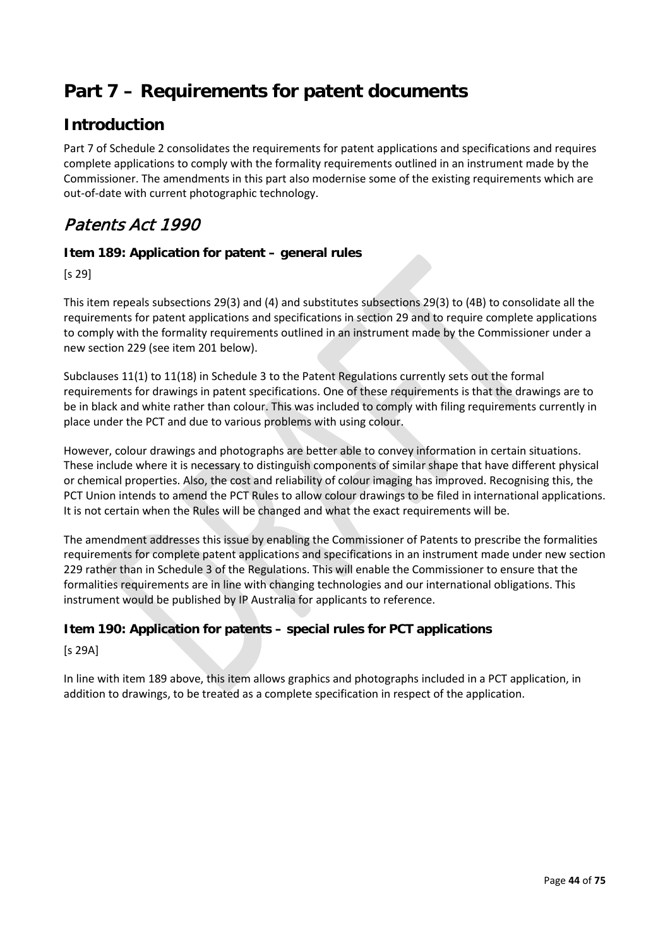# **Part 7 – Requirements for patent documents**

## **Introduction**

Part 7 of Schedule 2 consolidates the requirements for patent applications and specifications and requires complete applications to comply with the formality requirements outlined in an instrument made by the Commissioner. The amendments in this part also modernise some of the existing requirements which are out-of-date with current photographic technology.

## Patents Act 1990

### **Item 189: Application for patent – general rules**

[s 29]

This item repeals subsections 29(3) and (4) and substitutes subsections 29(3) to (4B) to consolidate all the requirements for patent applications and specifications in section 29 and to require complete applications to comply with the formality requirements outlined in an instrument made by the Commissioner under a new section 229 (see item 201 below).

Subclauses 11(1) to 11(18) in Schedule 3 to the Patent Regulations currently sets out the formal requirements for drawings in patent specifications. One of these requirements is that the drawings are to be in black and white rather than colour. This was included to comply with filing requirements currently in place under the PCT and due to various problems with using colour.

However, colour drawings and photographs are better able to convey information in certain situations. These include where it is necessary to distinguish components of similar shape that have different physical or chemical properties. Also, the cost and reliability of colour imaging has improved. Recognising this, the PCT Union intends to amend the PCT Rules to allow colour drawings to be filed in international applications. It is not certain when the Rules will be changed and what the exact requirements will be.

The amendment addresses this issue by enabling the Commissioner of Patents to prescribe the formalities requirements for complete patent applications and specifications in an instrument made under new section 229 rather than in Schedule 3 of the Regulations. This will enable the Commissioner to ensure that the formalities requirements are in line with changing technologies and our international obligations. This instrument would be published by IP Australia for applicants to reference.

### **Item 190: Application for patents – special rules for PCT applications**

[s 29A]

In line with item 189 above, this item allows graphics and photographs included in a PCT application, in addition to drawings, to be treated as a complete specification in respect of the application.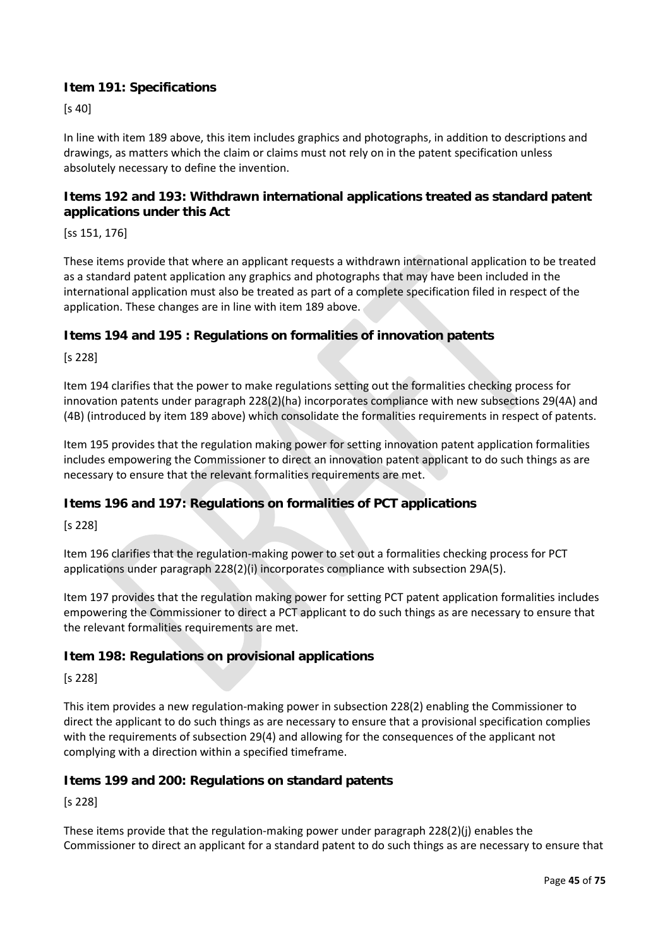### **Item 191: Specifications**

[s 40]

In line with item 189 above, this item includes graphics and photographs, in addition to descriptions and drawings, as matters which the claim or claims must not rely on in the patent specification unless absolutely necessary to define the invention.

### **Items 192 and 193: Withdrawn international applications treated as standard patent applications under this Act**

[ss 151, 176]

These items provide that where an applicant requests a withdrawn international application to be treated as a standard patent application any graphics and photographs that may have been included in the international application must also be treated as part of a complete specification filed in respect of the application. These changes are in line with item 189 above.

### **Items 194 and 195 : Regulations on formalities of innovation patents**

[s 228]

Item 194 clarifies that the power to make regulations setting out the formalities checking process for innovation patents under paragraph 228(2)(ha) incorporates compliance with new subsections 29(4A) and (4B) (introduced by item 189 above) which consolidate the formalities requirements in respect of patents.

Item 195 provides that the regulation making power for setting innovation patent application formalities includes empowering the Commissioner to direct an innovation patent applicant to do such things as are necessary to ensure that the relevant formalities requirements are met.

### **Items 196 and 197: Regulations on formalities of PCT applications**

[s 228]

Item 196 clarifies that the regulation-making power to set out a formalities checking process for PCT applications under paragraph 228(2)(i) incorporates compliance with subsection 29A(5).

Item 197 provides that the regulation making power for setting PCT patent application formalities includes empowering the Commissioner to direct a PCT applicant to do such things as are necessary to ensure that the relevant formalities requirements are met.

### **Item 198: Regulations on provisional applications**

[s 228]

This item provides a new regulation-making power in subsection 228(2) enabling the Commissioner to direct the applicant to do such things as are necessary to ensure that a provisional specification complies with the requirements of subsection 29(4) and allowing for the consequences of the applicant not complying with a direction within a specified timeframe.

#### **Items 199 and 200: Regulations on standard patents**

[s 228]

These items provide that the regulation-making power under paragraph 228(2)(j) enables the Commissioner to direct an applicant for a standard patent to do such things as are necessary to ensure that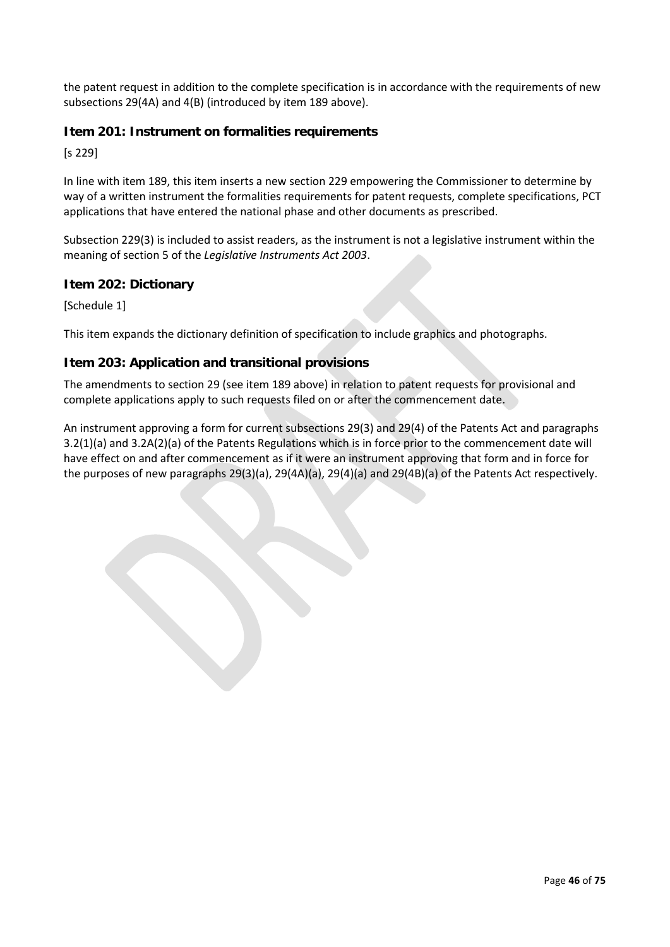the patent request in addition to the complete specification is in accordance with the requirements of new subsections 29(4A) and 4(B) (introduced by item 189 above).

### **Item 201: Instrument on formalities requirements**

[s 229]

In line with item 189, this item inserts a new section 229 empowering the Commissioner to determine by way of a written instrument the formalities requirements for patent requests, complete specifications, PCT applications that have entered the national phase and other documents as prescribed.

Subsection 229(3) is included to assist readers, as the instrument is not a legislative instrument within the meaning of section 5 of the *Legislative Instruments Act 2003*.

### **Item 202: Dictionary**

[Schedule 1]

This item expands the dictionary definition of specification to include graphics and photographs.

### **Item 203: Application and transitional provisions**

The amendments to section 29 (see item 189 above) in relation to patent requests for provisional and complete applications apply to such requests filed on or after the commencement date.

An instrument approving a form for current subsections 29(3) and 29(4) of the Patents Act and paragraphs 3.2(1)(a) and 3.2A(2)(a) of the Patents Regulations which is in force prior to the commencement date will have effect on and after commencement as if it were an instrument approving that form and in force for the purposes of new paragraphs 29(3)(a), 29(4A)(a), 29(4)(a) and 29(4B)(a) of the Patents Act respectively.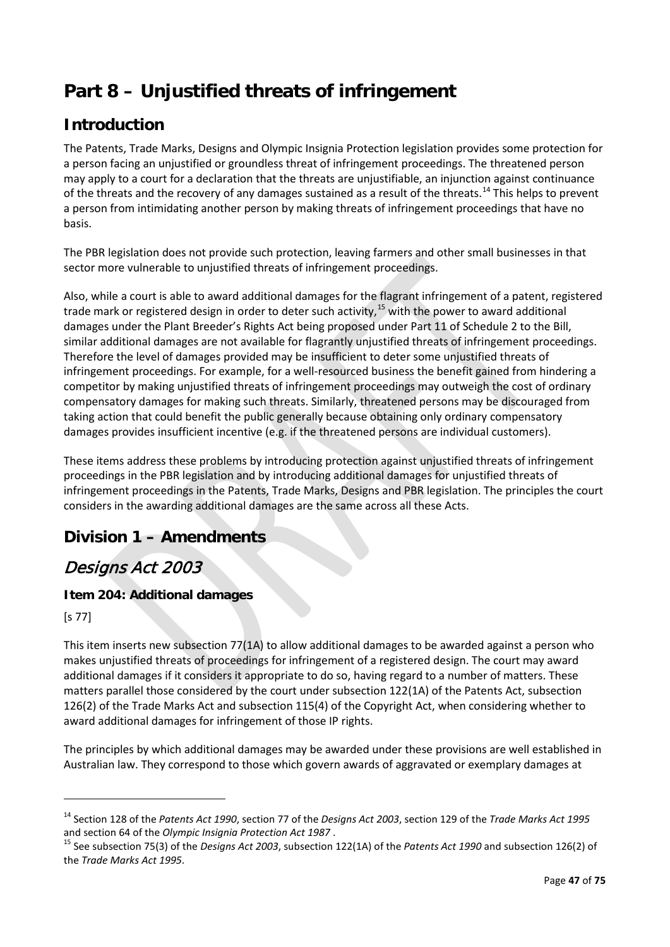# **Part 8 – Unjustified threats of infringement**

## **Introduction**

The Patents, Trade Marks, Designs and Olympic Insignia Protection legislation provides some protection for a person facing an unjustified or groundless threat of infringement proceedings. The threatened person may apply to a court for a declaration that the threats are unjustifiable, an injunction against continuance of the threats and the recovery of any damages sustained as a result of the threats.<sup>[14](#page-46-0)</sup> This helps to prevent a person from intimidating another person by making threats of infringement proceedings that have no basis.

The PBR legislation does not provide such protection, leaving farmers and other small businesses in that sector more vulnerable to unjustified threats of infringement proceedings.

Also, while a court is able to award additional damages for the flagrant infringement of a patent, registered trade mark or registered design in order to deter such activity,<sup>[15](#page-46-1)</sup> with the power to award additional damages under the Plant Breeder's Rights Act being proposed under Part 11 of Schedule 2 to the Bill, similar additional damages are not available for flagrantly unjustified threats of infringement proceedings. Therefore the level of damages provided may be insufficient to deter some unjustified threats of infringement proceedings. For example, for a well-resourced business the benefit gained from hindering a competitor by making unjustified threats of infringement proceedings may outweigh the cost of ordinary compensatory damages for making such threats. Similarly, threatened persons may be discouraged from taking action that could benefit the public generally because obtaining only ordinary compensatory damages provides insufficient incentive (e.g. if the threatened persons are individual customers).

These items address these problems by introducing protection against unjustified threats of infringement proceedings in the PBR legislation and by introducing additional damages for unjustified threats of infringement proceedings in the Patents, Trade Marks, Designs and PBR legislation. The principles the court considers in the awarding additional damages are the same across all these Acts.

## **Division 1 – Amendments**

## Designs Act 2003

### **Item 204: Additional damages**

[s 77]

**.** 

This item inserts new subsection 77(1A) to allow additional damages to be awarded against a person who makes unjustified threats of proceedings for infringement of a registered design. The court may award additional damages if it considers it appropriate to do so, having regard to a number of matters. These matters parallel those considered by the court under subsection 122(1A) of the Patents Act, subsection 126(2) of the Trade Marks Act and subsection 115(4) of the Copyright Act, when considering whether to award additional damages for infringement of those IP rights.

The principles by which additional damages may be awarded under these provisions are well established in Australian law. They correspond to those which govern awards of aggravated or exemplary damages at

<span id="page-46-0"></span><sup>14</sup> Section 128 of the *Patents Act 1990*, section 77 of the *Designs Act 2003*, section 129 of the *Trade Marks Act 1995*  and section 64 of the *Olympic Insignia Protection Act 1987*.<br><sup>15</sup> See subsection 75(3) of the *Designs Act 2003*, subsection 122(1A) of the *Patents Act 1990* and subsection 126(2) of

<span id="page-46-1"></span>the *Trade Marks Act 1995*.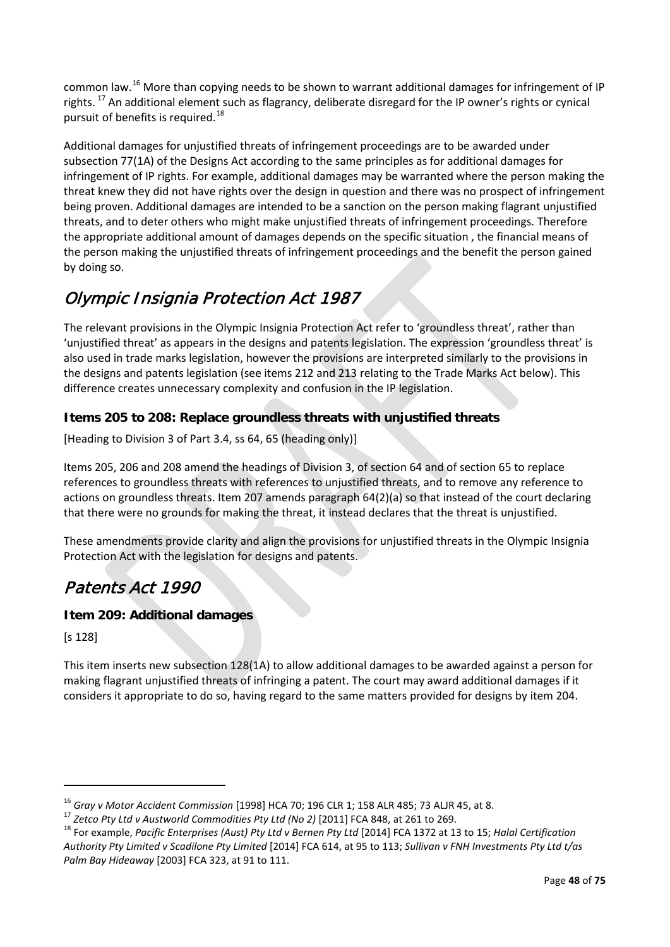common law.[16](#page-47-0) More than copying needs to be shown to warrant additional damages for infringement of IP rights. <sup>[17](#page-47-1)</sup> An additional element such as flagrancy, deliberate disregard for the IP owner's rights or cynical pursuit of benefits is required.<sup>[18](#page-47-2)</sup>

Additional damages for unjustified threats of infringement proceedings are to be awarded under subsection 77(1A) of the Designs Act according to the same principles as for additional damages for infringement of IP rights. For example, additional damages may be warranted where the person making the threat knew they did not have rights over the design in question and there was no prospect of infringement being proven. Additional damages are intended to be a sanction on the person making flagrant unjustified threats, and to deter others who might make unjustified threats of infringement proceedings. Therefore the appropriate additional amount of damages depends on the specific situation , the financial means of the person making the unjustified threats of infringement proceedings and the benefit the person gained by doing so.

# Olympic Insignia Protection Act 1987

The relevant provisions in the Olympic Insignia Protection Act refer to 'groundless threat', rather than 'unjustified threat' as appears in the designs and patents legislation. The expression 'groundless threat' is also used in trade marks legislation, however the provisions are interpreted similarly to the provisions in the designs and patents legislation (see items 212 and 213 relating to the Trade Marks Act below). This difference creates unnecessary complexity and confusion in the IP legislation.

### **Items 205 to 208: Replace groundless threats with unjustified threats**

[Heading to Division 3 of Part 3.4, ss 64, 65 (heading only)]

Items 205, 206 and 208 amend the headings of Division 3, of section 64 and of section 65 to replace references to groundless threats with references to unjustified threats, and to remove any reference to actions on groundless threats. Item 207 amends paragraph 64(2)(a) so that instead of the court declaring that there were no grounds for making the threat, it instead declares that the threat is unjustified.

These amendments provide clarity and align the provisions for unjustified threats in the Olympic Insignia Protection Act with the legislation for designs and patents.

## Patents Act 1990

### **Item 209: Additional damages**

[s 128]

1

This item inserts new subsection 128(1A) to allow additional damages to be awarded against a person for making flagrant unjustified threats of infringing a patent. The court may award additional damages if it considers it appropriate to do so, having regard to the same matters provided for designs by item 204.

<span id="page-47-2"></span><span id="page-47-1"></span>

<span id="page-47-0"></span><sup>&</sup>lt;sup>16</sup> Gray v Motor Accident Commission [1998] HCA 70; 196 CLR 1; 158 ALR 485; 73 ALJR 45, at 8.<br><sup>17</sup> Zetco Pty Ltd v Austworld Commodities Pty Ltd (No 2) [2011] FCA 848, at 261 to 269.<br><sup>18</sup> For example, Pacific Enterprises *Authority Pty Limited v Scadilone Pty Limited* [2014] FCA 614, at 95 to 113; *Sullivan v FNH Investments Pty Ltd t/as Palm Bay Hideaway* [2003] FCA 323, at 91 to 111.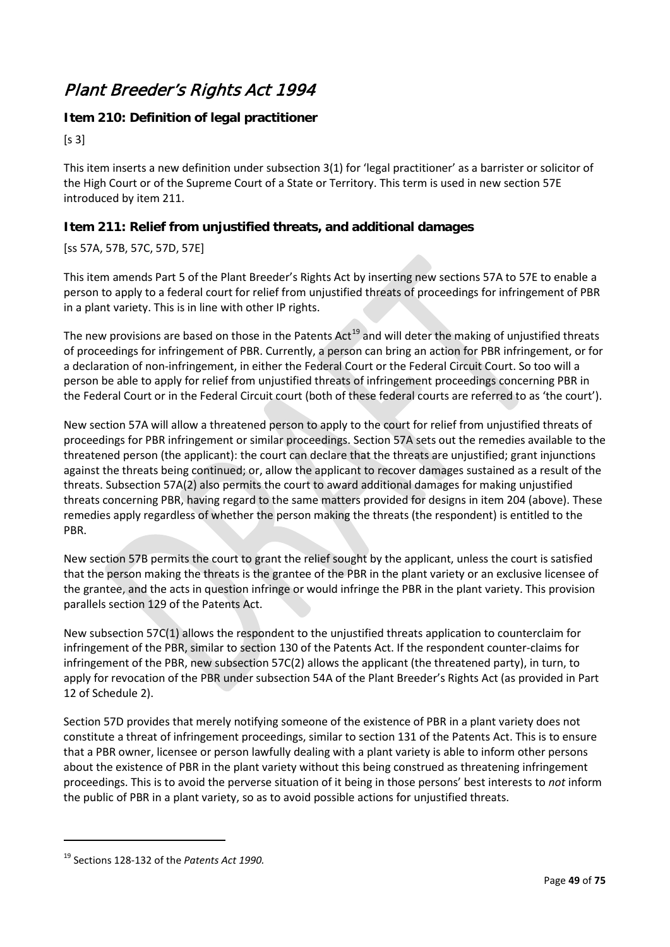## Plant Breeder's Rights Act 1994

### **Item 210: Definition of legal practitioner**

 $[s 3]$ 

This item inserts a new definition under subsection 3(1) for 'legal practitioner' as a barrister or solicitor of the High Court or of the Supreme Court of a State or Territory. This term is used in new section 57E introduced by item 211.

### **Item 211: Relief from unjustified threats, and additional damages**

### [ss 57A, 57B, 57C, 57D, 57E]

This item amends Part 5 of the Plant Breeder's Rights Act by inserting new sections 57A to 57E to enable a person to apply to a federal court for relief from unjustified threats of proceedings for infringement of PBR in a plant variety. This is in line with other IP rights.

The new provisions are based on those in the Patents  $Act^{19}$  $Act^{19}$  $Act^{19}$  and will deter the making of unjustified threats of proceedings for infringement of PBR. Currently, a person can bring an action for PBR infringement, or for a declaration of non-infringement, in either the Federal Court or the Federal Circuit Court. So too will a person be able to apply for relief from unjustified threats of infringement proceedings concerning PBR in the Federal Court or in the Federal Circuit court (both of these federal courts are referred to as 'the court').

New section 57A will allow a threatened person to apply to the court for relief from unjustified threats of proceedings for PBR infringement or similar proceedings. Section 57A sets out the remedies available to the threatened person (the applicant): the court can declare that the threats are unjustified; grant injunctions against the threats being continued; or, allow the applicant to recover damages sustained as a result of the threats. Subsection 57A(2) also permits the court to award additional damages for making unjustified threats concerning PBR, having regard to the same matters provided for designs in item 204 (above). These remedies apply regardless of whether the person making the threats (the respondent) is entitled to the PBR.

New section 57B permits the court to grant the relief sought by the applicant, unless the court is satisfied that the person making the threats is the grantee of the PBR in the plant variety or an exclusive licensee of the grantee, and the acts in question infringe or would infringe the PBR in the plant variety. This provision parallels section 129 of the Patents Act.

New subsection 57C(1) allows the respondent to the unjustified threats application to counterclaim for infringement of the PBR, similar to section 130 of the Patents Act. If the respondent counter-claims for infringement of the PBR, new subsection 57C(2) allows the applicant (the threatened party), in turn, to apply for revocation of the PBR under subsection 54A of the Plant Breeder's Rights Act (as provided in Part 12 of Schedule 2).

Section 57D provides that merely notifying someone of the existence of PBR in a plant variety does not constitute a threat of infringement proceedings, similar to section 131 of the Patents Act. This is to ensure that a PBR owner, licensee or person lawfully dealing with a plant variety is able to inform other persons about the existence of PBR in the plant variety without this being construed as threatening infringement proceedings. This is to avoid the perverse situation of it being in those persons' best interests to *not* inform the public of PBR in a plant variety, so as to avoid possible actions for unjustified threats.

 $\overline{a}$ 

<span id="page-48-0"></span><sup>19</sup> Sections 128-132 of the *Patents Act 1990.*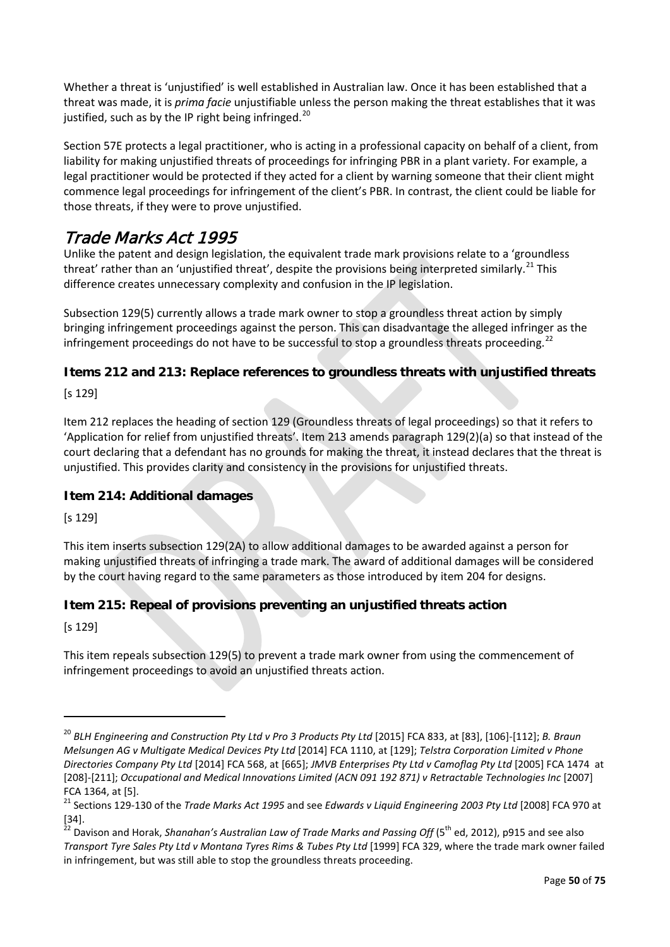Whether a threat is 'unjustified' is well established in Australian law. Once it has been established that a threat was made, it is *prima facie* unjustifiable unless the person making the threat establishes that it was justified, such as by the IP right being infringed.<sup>[20](#page-49-0)</sup>

Section 57E protects a legal practitioner, who is acting in a professional capacity on behalf of a client, from liability for making unjustified threats of proceedings for infringing PBR in a plant variety. For example, a legal practitioner would be protected if they acted for a client by warning someone that their client might commence legal proceedings for infringement of the client's PBR. In contrast, the client could be liable for those threats, if they were to prove unjustified.

## Trade Marks Act 1995

Unlike the patent and design legislation, the equivalent trade mark provisions relate to a 'groundless threat' rather than an 'unjustified threat', despite the provisions being interpreted similarly.<sup>[21](#page-49-1)</sup> This difference creates unnecessary complexity and confusion in the IP legislation.

Subsection 129(5) currently allows a trade mark owner to stop a groundless threat action by simply bringing infringement proceedings against the person. This can disadvantage the alleged infringer as the infringement proceedings do not have to be successful to stop a groundless threats proceeding.<sup>[22](#page-49-2)</sup>

### **Items 212 and 213: Replace references to groundless threats with unjustified threats**

[s 129]

Item 212 replaces the heading of section 129 (Groundless threats of legal proceedings) so that it refers to 'Application for relief from unjustified threats'. Item 213 amends paragraph 129(2)(a) so that instead of the court declaring that a defendant has no grounds for making the threat, it instead declares that the threat is unjustified. This provides clarity and consistency in the provisions for unjustified threats.

### **Item 214: Additional damages**

[s 129]

This item inserts subsection 129(2A) to allow additional damages to be awarded against a person for making unjustified threats of infringing a trade mark. The award of additional damages will be considered by the court having regard to the same parameters as those introduced by item 204 for designs.

### **Item 215: Repeal of provisions preventing an unjustified threats action**

[s 129]

 $\overline{a}$ 

This item repeals subsection 129(5) to prevent a trade mark owner from using the commencement of infringement proceedings to avoid an unjustified threats action.

<span id="page-49-0"></span><sup>&</sup>lt;sup>20</sup> BLH Engineering and Construction Pty Ltd v Pro 3 Products Pty Ltd [2015] FCA 833, at [83], [106]-[112]; *B. Braun Melsungen AG v Multigate Medical Devices Pty Ltd* [2014] FCA 1110, at [129]; *Telstra Corporation Limited v Phone Directories Company Pty Ltd* [2014] FCA 568, at [665]; *JMVB Enterprises Pty Ltd v Camoflag Pty Ltd* [2005] FCA 1474 at [208]-[211]; *Occupational and Medical Innovations Limited (ACN 091 192 871) v Retractable Technologies Inc* [2007] FCA 1364, at [5].

<span id="page-49-1"></span><sup>21</sup> Sections 129-130 of the *Trade Marks Act 1995* and see *Edwards v Liquid Engineering 2003 Pty Ltd* [2008] FCA 970 at

<span id="page-49-2"></span><sup>[34].&</sup>lt;br><sup>22</sup> Davison and Horak, *Shanahan's Australian Law of Trade Marks and Passing Off* (5<sup>th</sup> ed, 2012), p915 and see also *Transport Tyre Sales Pty Ltd v Montana Tyres Rims & Tubes Pty Ltd* [1999] FCA 329, where the trade mark owner failed in infringement, but was still able to stop the groundless threats proceeding.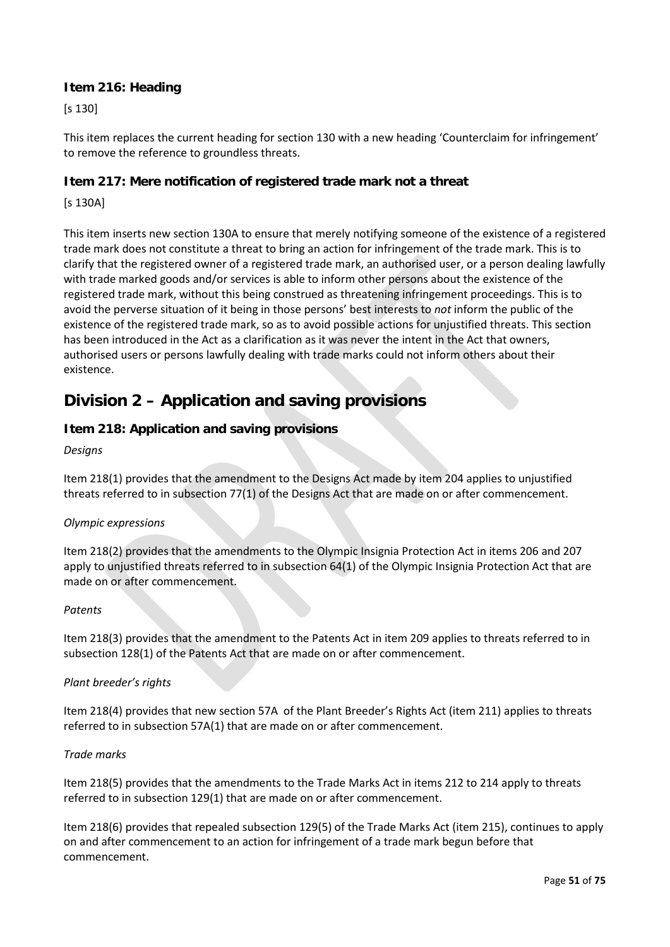### **Item 216: Heading**

[s 130]

This item replaces the current heading for section 130 with a new heading 'Counterclaim for infringement' to remove the reference to groundless threats.

#### **Item 217: Mere notification of registered trade mark not a threat**

[s 130A]

This item inserts new section 130A to ensure that merely notifying someone of the existence of a registered trade mark does not constitute a threat to bring an action for infringement of the trade mark. This is to clarify that the registered owner of a registered trade mark, an authorised user, or a person dealing lawfully with trade marked goods and/or services is able to inform other persons about the existence of the registered trade mark, without this being construed as threatening infringement proceedings. This is to avoid the perverse situation of it being in those persons' best interests to *not* inform the public of the existence of the registered trade mark, so as to avoid possible actions for unjustified threats. This section has been introduced in the Act as a clarification as it was never the intent in the Act that owners, authorised users or persons lawfully dealing with trade marks could not inform others about their existence.

### **Division 2 – Application and saving provisions**

### **Item 218: Application and saving provisions**

#### *Designs*

Item 218(1) provides that the amendment to the Designs Act made by item 204 applies to unjustified threats referred to in subsection 77(1) of the Designs Act that are made on or after commencement.

#### *Olympic expressions*

Item 218(2) provides that the amendments to the Olympic Insignia Protection Act in items 206 and 207 apply to unjustified threats referred to in subsection 64(1) of the Olympic Insignia Protection Act that are made on or after commencement.

#### *Patents*

Item 218(3) provides that the amendment to the Patents Act in item 209 applies to threats referred to in subsection 128(1) of the Patents Act that are made on or after commencement.

#### *Plant breeder's rights*

Item 218(4) provides that new section 57A of the Plant Breeder's Rights Act (item 211) applies to threats referred to in subsection 57A(1) that are made on or after commencement.

#### *Trade marks*

Item 218(5) provides that the amendments to the Trade Marks Act in items 212 to 214 apply to threats referred to in subsection 129(1) that are made on or after commencement.

Item 218(6) provides that repealed subsection 129(5) of the Trade Marks Act (item 215), continues to apply on and after commencement to an action for infringement of a trade mark begun before that commencement.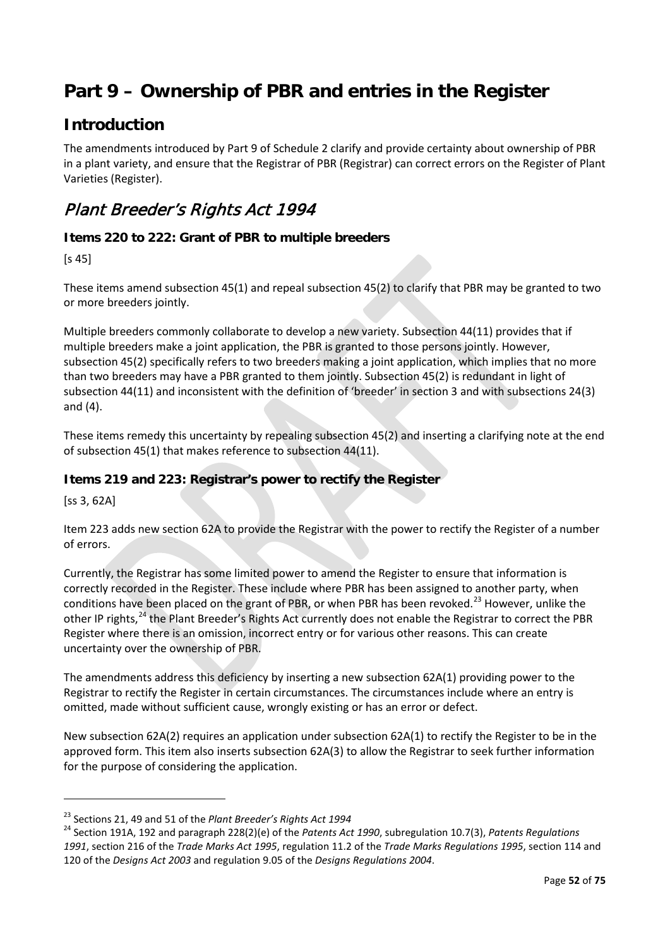# **Part 9 – Ownership of PBR and entries in the Register**

### **Introduction**

The amendments introduced by Part 9 of Schedule 2 clarify and provide certainty about ownership of PBR in a plant variety, and ensure that the Registrar of PBR (Registrar) can correct errors on the Register of Plant Varieties (Register).

## Plant Breeder's Rights Act 1994

### **Items 220 to 222: Grant of PBR to multiple breeders**

[s 45]

These items amend subsection 45(1) and repeal subsection 45(2) to clarify that PBR may be granted to two or more breeders jointly.

Multiple breeders commonly collaborate to develop a new variety. Subsection 44(11) provides that if multiple breeders make a joint application, the PBR is granted to those persons jointly. However, subsection 45(2) specifically refers to two breeders making a joint application, which implies that no more than two breeders may have a PBR granted to them jointly. Subsection 45(2) is redundant in light of subsection 44(11) and inconsistent with the definition of 'breeder' in section 3 and with subsections 24(3) and (4).

These items remedy this uncertainty by repealing subsection 45(2) and inserting a clarifying note at the end of subsection 45(1) that makes reference to subsection 44(11).

### **Items 219 and 223: Registrar's power to rectify the Register**

[ss 3, 62A]

**.** 

Item 223 adds new section 62A to provide the Registrar with the power to rectify the Register of a number of errors.

Currently, the Registrar has some limited power to amend the Register to ensure that information is correctly recorded in the Register. These include where PBR has been assigned to another party, when conditions have been placed on the grant of PBR, or when PBR has been revoked.<sup>[23](#page-51-0)</sup> However, unlike the other IP rights,[24](#page-51-1) the Plant Breeder's Rights Act currently does not enable the Registrar to correct the PBR Register where there is an omission, incorrect entry or for various other reasons. This can create uncertainty over the ownership of PBR.

The amendments address this deficiency by inserting a new subsection 62A(1) providing power to the Registrar to rectify the Register in certain circumstances. The circumstances include where an entry is omitted, made without sufficient cause, wrongly existing or has an error or defect.

New subsection 62A(2) requires an application under subsection 62A(1) to rectify the Register to be in the approved form. This item also inserts subsection 62A(3) to allow the Registrar to seek further information for the purpose of considering the application.

<span id="page-51-1"></span><span id="page-51-0"></span><sup>&</sup>lt;sup>23</sup> Sections 21, 49 and 51 of the *Plant Breeder's Rights Act 1994*<br><sup>24</sup> Section 191A, 192 and paragraph 228(2)(e) of the *Patents Act 1990*, subregulation 10.7(3), *Patents Regulations 1991*, section 216 of the *Trade Marks Act 1995*, regulation 11.2 of the *Trade Marks Regulations 1995*, section 114 and 120 of the *Designs Act 2003* and regulation 9.05 of the *Designs Regulations 2004*.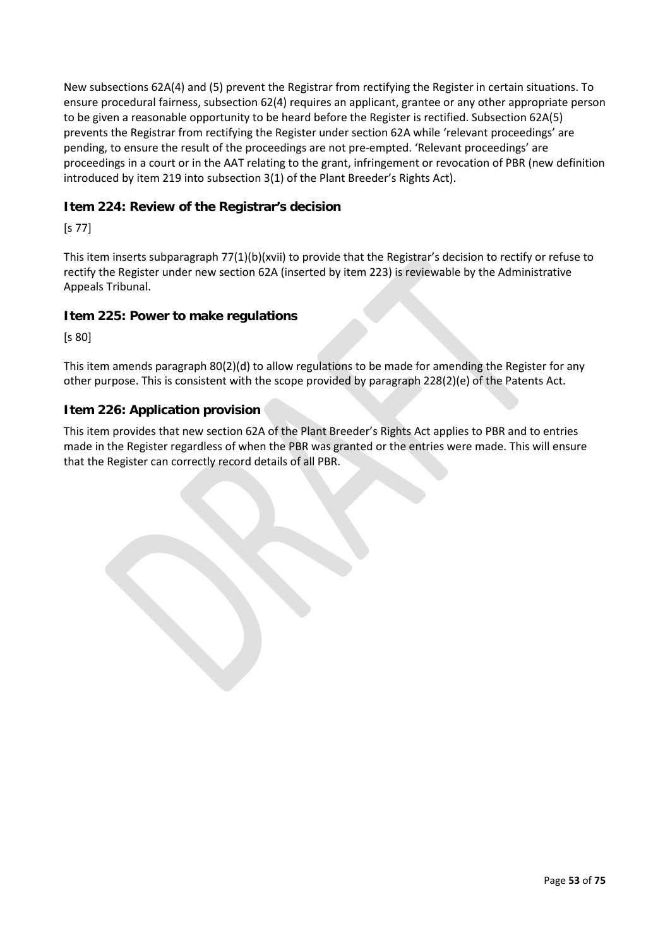New subsections 62A(4) and (5) prevent the Registrar from rectifying the Register in certain situations. To ensure procedural fairness, subsection 62(4) requires an applicant, grantee or any other appropriate person to be given a reasonable opportunity to be heard before the Register is rectified. Subsection 62A(5) prevents the Registrar from rectifying the Register under section 62A while 'relevant proceedings' are pending, to ensure the result of the proceedings are not pre-empted. 'Relevant proceedings' are proceedings in a court or in the AAT relating to the grant, infringement or revocation of PBR (new definition introduced by item 219 into subsection 3(1) of the Plant Breeder's Rights Act).

### **Item 224: Review of the Registrar's decision**

[s 77]

This item inserts subparagraph 77(1)(b)(xvii) to provide that the Registrar's decision to rectify or refuse to rectify the Register under new section 62A (inserted by item 223) is reviewable by the Administrative Appeals Tribunal.

### **Item 225: Power to make regulations**

[s 80]

This item amends paragraph 80(2)(d) to allow regulations to be made for amending the Register for any other purpose. This is consistent with the scope provided by paragraph 228(2)(e) of the Patents Act.

### **Item 226: Application provision**

This item provides that new section 62A of the Plant Breeder's Rights Act applies to PBR and to entries made in the Register regardless of when the PBR was granted or the entries were made. This will ensure that the Register can correctly record details of all PBR.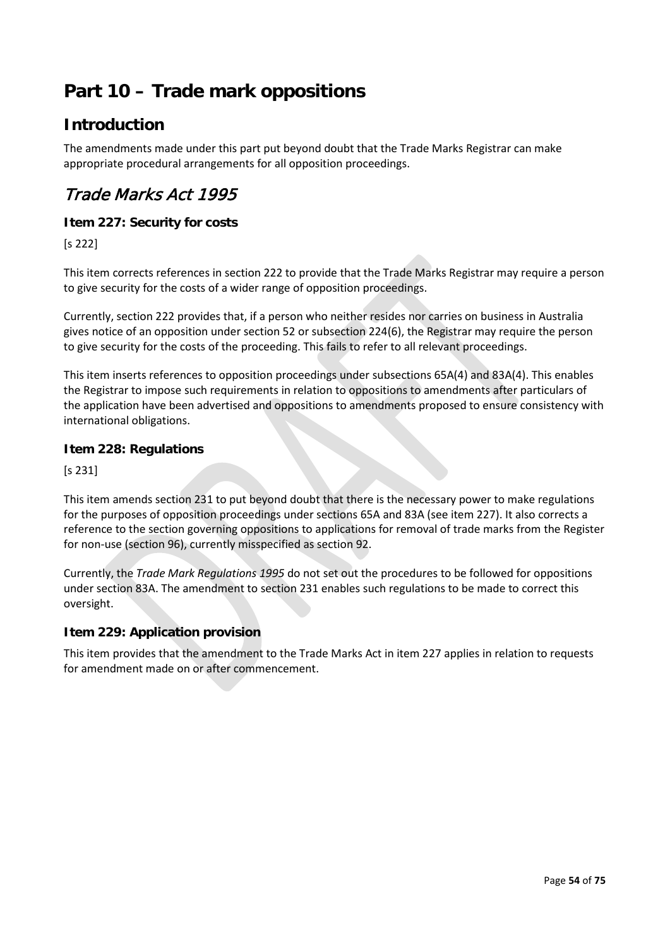# **Part 10 – Trade mark oppositions**

### **Introduction**

The amendments made under this part put beyond doubt that the Trade Marks Registrar can make appropriate procedural arrangements for all opposition proceedings.

## Trade Marks Act 1995

### **Item 227: Security for costs**

[s 222]

This item corrects references in section 222 to provide that the Trade Marks Registrar may require a person to give security for the costs of a wider range of opposition proceedings.

Currently, section 222 provides that, if a person who neither resides nor carries on business in Australia gives notice of an opposition under section 52 or subsection 224(6), the Registrar may require the person to give security for the costs of the proceeding. This fails to refer to all relevant proceedings.

This item inserts references to opposition proceedings under subsections 65A(4) and 83A(4). This enables the Registrar to impose such requirements in relation to oppositions to amendments after particulars of the application have been advertised and oppositions to amendments proposed to ensure consistency with international obligations.

### **Item 228: Regulations**

[s 231]

This item amends section 231 to put beyond doubt that there is the necessary power to make regulations for the purposes of opposition proceedings under sections 65A and 83A (see item 227). It also corrects a reference to the section governing oppositions to applications for removal of trade marks from the Register for non-use (section 96), currently misspecified as section 92.

Currently, the *Trade Mark Regulations 1995* do not set out the procedures to be followed for oppositions under section 83A. The amendment to section 231 enables such regulations to be made to correct this oversight.

### **Item 229: Application provision**

This item provides that the amendment to the Trade Marks Act in item 227 applies in relation to requests for amendment made on or after commencement.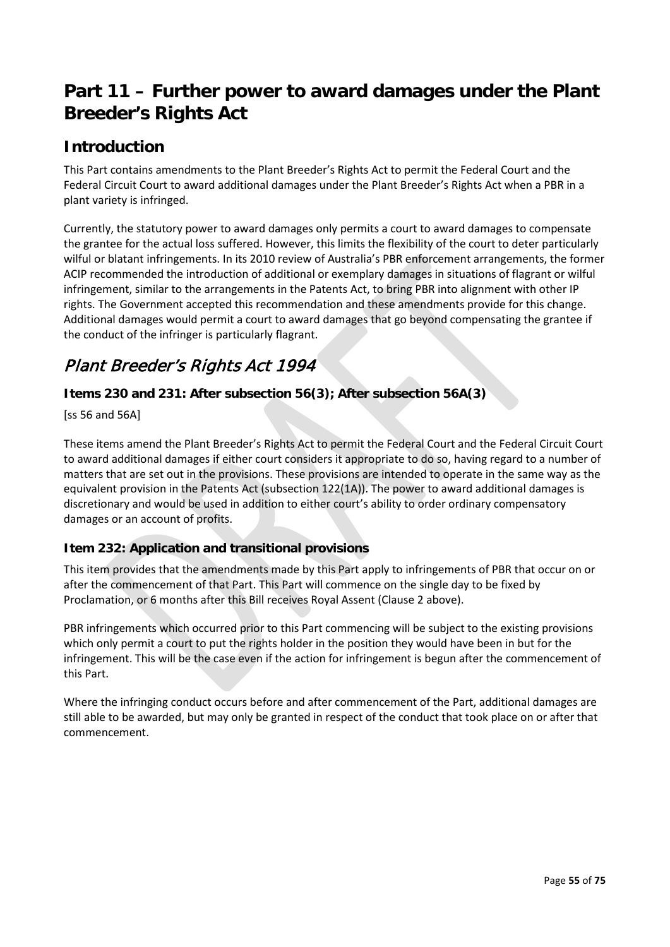## **Part 11 – Further power to award damages under the Plant Breeder's Rights Act**

## **Introduction**

This Part contains amendments to the Plant Breeder's Rights Act to permit the Federal Court and the Federal Circuit Court to award additional damages under the Plant Breeder's Rights Act when a PBR in a plant variety is infringed.

Currently, the statutory power to award damages only permits a court to award damages to compensate the grantee for the actual loss suffered. However, this limits the flexibility of the court to deter particularly wilful or blatant infringements. In its 2010 review of Australia's PBR enforcement arrangements, the former ACIP recommended the introduction of additional or exemplary damages in situations of flagrant or wilful infringement, similar to the arrangements in the Patents Act, to bring PBR into alignment with other IP rights. The Government accepted this recommendation and these amendments provide for this change. Additional damages would permit a court to award damages that go beyond compensating the grantee if the conduct of the infringer is particularly flagrant.

## Plant Breeder's Rights Act 1994

### **Items 230 and 231: After subsection 56(3); After subsection 56A(3)**

[ss 56 and 56A]

These items amend the Plant Breeder's Rights Act to permit the Federal Court and the Federal Circuit Court to award additional damages if either court considers it appropriate to do so, having regard to a number of matters that are set out in the provisions. These provisions are intended to operate in the same way as the equivalent provision in the Patents Act (subsection 122(1A)). The power to award additional damages is discretionary and would be used in addition to either court's ability to order ordinary compensatory damages or an account of profits.

### **Item 232: Application and transitional provisions**

This item provides that the amendments made by this Part apply to infringements of PBR that occur on or after the commencement of that Part. This Part will commence on the single day to be fixed by Proclamation, or 6 months after this Bill receives Royal Assent (Clause 2 above).

PBR infringements which occurred prior to this Part commencing will be subject to the existing provisions which only permit a court to put the rights holder in the position they would have been in but for the infringement. This will be the case even if the action for infringement is begun after the commencement of this Part.

Where the infringing conduct occurs before and after commencement of the Part, additional damages are still able to be awarded, but may only be granted in respect of the conduct that took place on or after that commencement.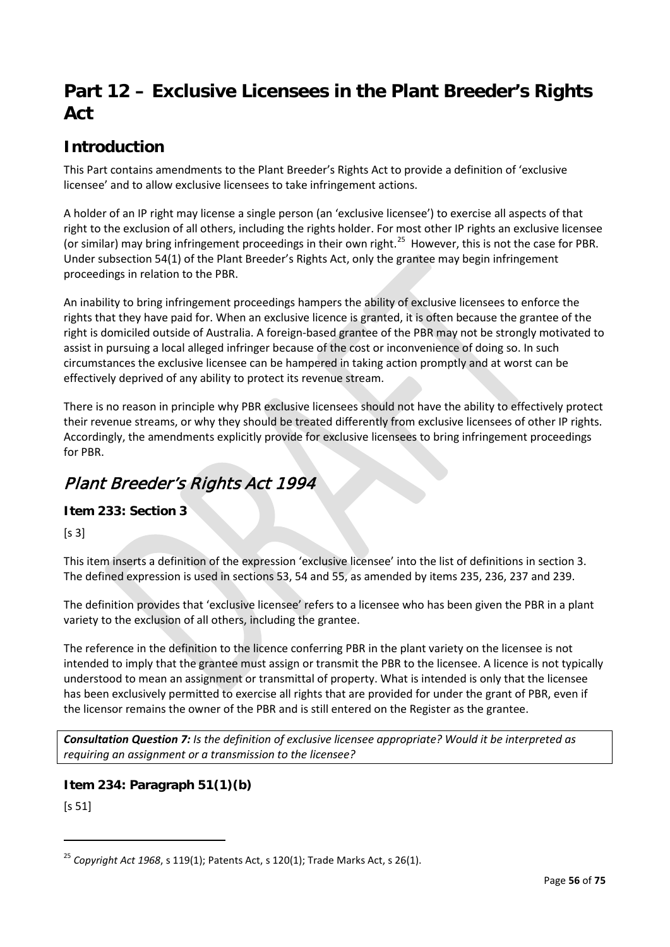## **Part 12 – Exclusive Licensees in the Plant Breeder's Rights Act**

## **Introduction**

This Part contains amendments to the Plant Breeder's Rights Act to provide a definition of 'exclusive licensee' and to allow exclusive licensees to take infringement actions.

A holder of an IP right may license a single person (an 'exclusive licensee') to exercise all aspects of that right to the exclusion of all others, including the rights holder. For most other IP rights an exclusive licensee (or similar) may bring infringement proceedings in their own right.<sup>[25](#page-55-0)</sup> However, this is not the case for PBR. Under subsection 54(1) of the Plant Breeder's Rights Act, only the grantee may begin infringement proceedings in relation to the PBR.

An inability to bring infringement proceedings hampers the ability of exclusive licensees to enforce the rights that they have paid for. When an exclusive licence is granted, it is often because the grantee of the right is domiciled outside of Australia. A foreign-based grantee of the PBR may not be strongly motivated to assist in pursuing a local alleged infringer because of the cost or inconvenience of doing so. In such circumstances the exclusive licensee can be hampered in taking action promptly and at worst can be effectively deprived of any ability to protect its revenue stream.

There is no reason in principle why PBR exclusive licensees should not have the ability to effectively protect their revenue streams, or why they should be treated differently from exclusive licensees of other IP rights. Accordingly, the amendments explicitly provide for exclusive licensees to bring infringement proceedings for PBR.

## Plant Breeder's Rights Act 1994

### **Item 233: Section 3**

 $[s 3]$ 

This item inserts a definition of the expression 'exclusive licensee' into the list of definitions in section 3. The defined expression is used in sections 53, 54 and 55, as amended by items 235, 236, 237 and 239.

The definition provides that 'exclusive licensee' refers to a licensee who has been given the PBR in a plant variety to the exclusion of all others, including the grantee.

The reference in the definition to the licence conferring PBR in the plant variety on the licensee is not intended to imply that the grantee must assign or transmit the PBR to the licensee. A licence is not typically understood to mean an assignment or transmittal of property. What is intended is only that the licensee has been exclusively permitted to exercise all rights that are provided for under the grant of PBR, even if the licensor remains the owner of the PBR and is still entered on the Register as the grantee.

*Consultation Question 7: Is the definition of exclusive licensee appropriate? Would it be interpreted as requiring an assignment or a transmission to the licensee?*

### **Item 234: Paragraph 51(1)(b)**

[s 51]

 $\overline{a}$ 

<span id="page-55-0"></span><sup>25</sup> *Copyright Act 1968*, s 119(1); Patents Act, s 120(1); Trade Marks Act, s 26(1).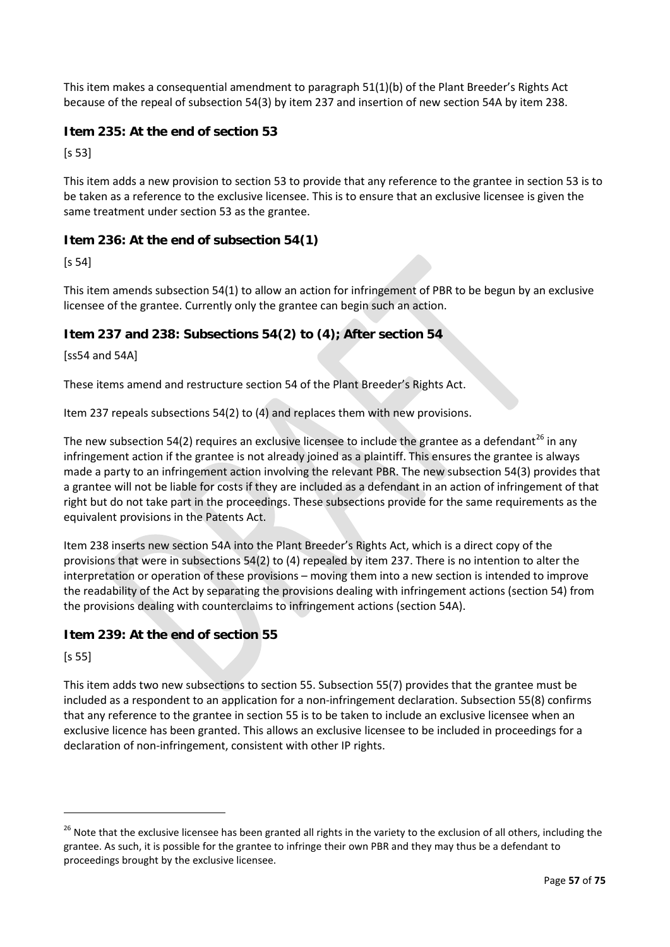This item makes a consequential amendment to paragraph 51(1)(b) of the Plant Breeder's Rights Act because of the repeal of subsection 54(3) by item 237 and insertion of new section 54A by item 238.

### **Item 235: At the end of section 53**

[s 53]

This item adds a new provision to section 53 to provide that any reference to the grantee in section 53 is to be taken as a reference to the exclusive licensee. This is to ensure that an exclusive licensee is given the same treatment under section 53 as the grantee.

### **Item 236: At the end of subsection 54(1)**

[s 54]

This item amends subsection 54(1) to allow an action for infringement of PBR to be begun by an exclusive licensee of the grantee. Currently only the grantee can begin such an action.

### **Item 237 and 238: Subsections 54(2) to (4); After section 54**

[ss54 and 54A]

These items amend and restructure section 54 of the Plant Breeder's Rights Act.

Item 237 repeals subsections 54(2) to (4) and replaces them with new provisions.

The new subsection 54(2) requires an exclusive licensee to include the grantee as a defendant<sup>[26](#page-56-0)</sup> in any infringement action if the grantee is not already joined as a plaintiff. This ensures the grantee is always made a party to an infringement action involving the relevant PBR. The new subsection 54(3) provides that a grantee will not be liable for costs if they are included as a defendant in an action of infringement of that right but do not take part in the proceedings. These subsections provide for the same requirements as the equivalent provisions in the Patents Act.

Item 238 inserts new section 54A into the Plant Breeder's Rights Act, which is a direct copy of the provisions that were in subsections 54(2) to (4) repealed by item 237. There is no intention to alter the interpretation or operation of these provisions – moving them into a new section is intended to improve the readability of the Act by separating the provisions dealing with infringement actions (section 54) from the provisions dealing with counterclaims to infringement actions (section 54A).

### **Item 239: At the end of section 55**

[s 55]

1

This item adds two new subsections to section 55. Subsection 55(7) provides that the grantee must be included as a respondent to an application for a non-infringement declaration. Subsection 55(8) confirms that any reference to the grantee in section 55 is to be taken to include an exclusive licensee when an exclusive licence has been granted. This allows an exclusive licensee to be included in proceedings for a declaration of non-infringement, consistent with other IP rights.

<span id="page-56-0"></span><sup>&</sup>lt;sup>26</sup> Note that the exclusive licensee has been granted all rights in the variety to the exclusion of all others, including the grantee. As such, it is possible for the grantee to infringe their own PBR and they may thus be a defendant to proceedings brought by the exclusive licensee.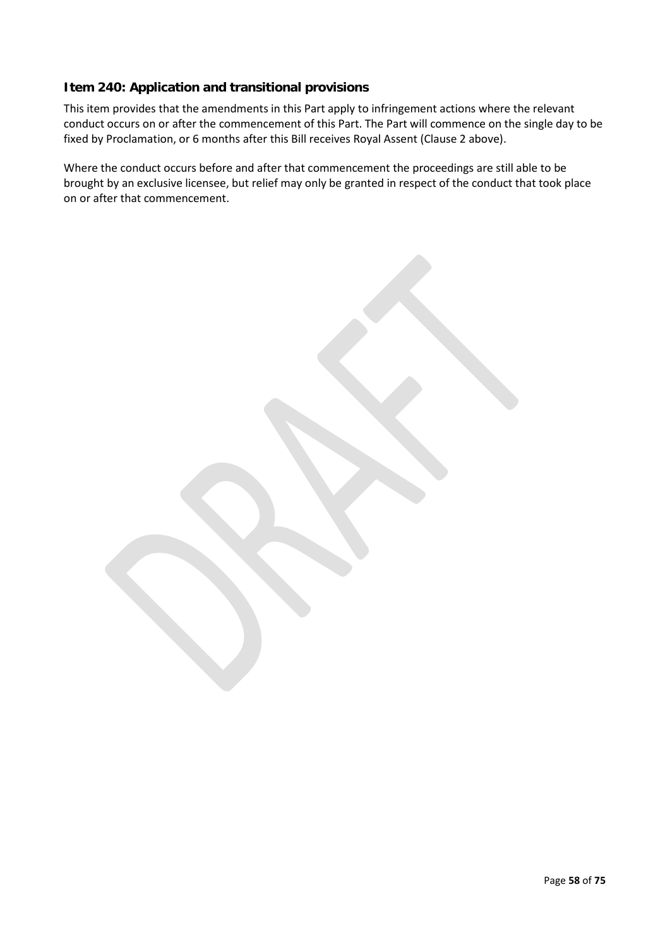### **Item 240: Application and transitional provisions**

This item provides that the amendments in this Part apply to infringement actions where the relevant conduct occurs on or after the commencement of this Part. The Part will commence on the single day to be fixed by Proclamation, or 6 months after this Bill receives Royal Assent (Clause 2 above).

Where the conduct occurs before and after that commencement the proceedings are still able to be brought by an exclusive licensee, but relief may only be granted in respect of the conduct that took place on or after that commencement.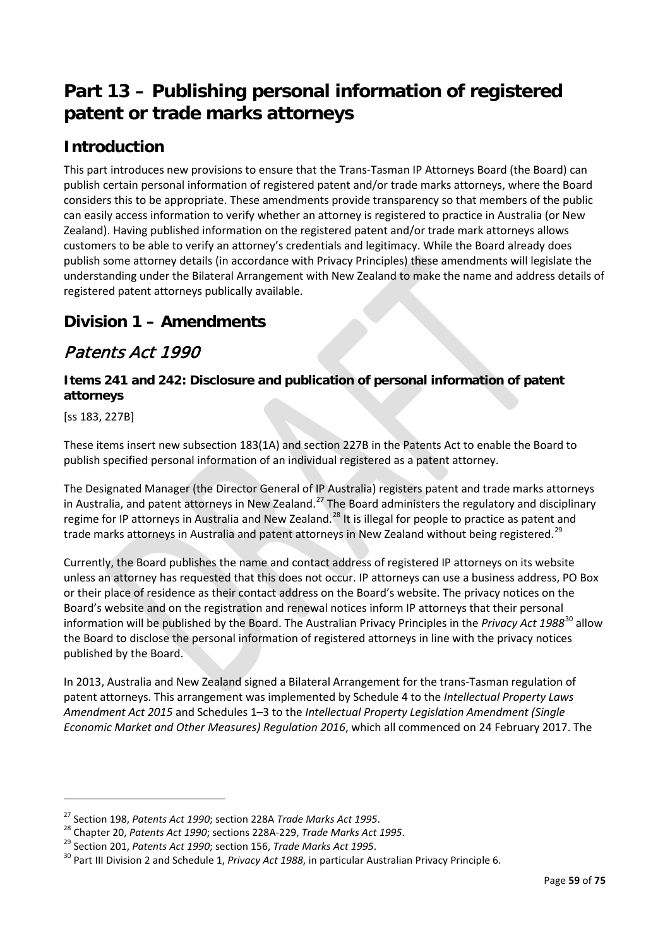# **Part 13 – Publishing personal information of registered patent or trade marks attorneys**

## **Introduction**

This part introduces new provisions to ensure that the Trans-Tasman IP Attorneys Board (the Board) can publish certain personal information of registered patent and/or trade marks attorneys, where the Board considers this to be appropriate. These amendments provide transparency so that members of the public can easily access information to verify whether an attorney is registered to practice in Australia (or New Zealand). Having published information on the registered patent and/or trade mark attorneys allows customers to be able to verify an attorney's credentials and legitimacy. While the Board already does publish some attorney details (in accordance with Privacy Principles) these amendments will legislate the understanding under the Bilateral Arrangement with New Zealand to make the name and address details of registered patent attorneys publically available.

## **Division 1 – Amendments**

## Patents Act 1990

### **Items 241 and 242: Disclosure and publication of personal information of patent attorneys**

[ss 183, 227B]

**.** 

These items insert new subsection 183(1A) and section 227B in the Patents Act to enable the Board to publish specified personal information of an individual registered as a patent attorney.

The Designated Manager (the Director General of IP Australia) registers patent and trade marks attorneys in Australia, and patent attorneys in New Zealand.<sup>[27](#page-58-0)</sup> The Board administers the regulatory and disciplinary regime for IP attorneys in Australia and New Zealand.<sup>[28](#page-58-1)</sup> It is illegal for people to practice as patent and trade marks attorneys in Australia and patent attorneys in New Zealand without being registered.<sup>[29](#page-58-2)</sup>

Currently, the Board publishes the name and contact address of registered IP attorneys on its website unless an attorney has requested that this does not occur. IP attorneys can use a business address, PO Box or their place of residence as their contact address on the Board's website. The privacy notices on the Board's website and on the registration and renewal notices inform IP attorneys that their personal information will be published by the Board. The Australian Privacy Principles in the *Privacy Act 1988*[30](#page-58-3) allow the Board to disclose the personal information of registered attorneys in line with the privacy notices published by the Board.

In 2013, Australia and New Zealand signed a Bilateral Arrangement for the trans-Tasman regulation of patent attorneys. This arrangement was implemented by Schedule 4 to the *Intellectual Property Laws Amendment Act 2015* and Schedules 1–3 to the *Intellectual Property Legislation Amendment (Single Economic Market and Other Measures) Regulation 2016*, which all commenced on 24 February 2017. The

<span id="page-58-1"></span>

<span id="page-58-3"></span><span id="page-58-2"></span>

<span id="page-58-0"></span><sup>&</sup>lt;sup>27</sup> Section 198, Patents Act 1990; section 228A Trade Marks Act 1995.<br><sup>28</sup> Chapter 20, Patents Act 1990; sections 228A-229, Trade Marks Act 1995.<br><sup>29</sup> Section 201, Patents Act 1990; section 156, Trade Marks Act 1995.<br><sup>30</sup>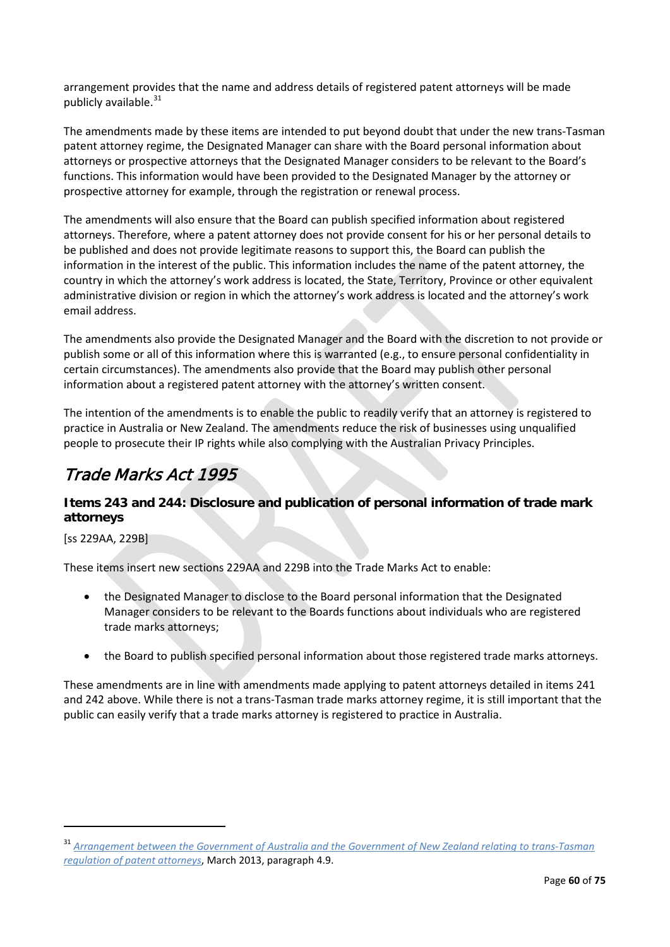arrangement provides that the name and address details of registered patent attorneys will be made publicly available.<sup>[31](#page-59-0)</sup>

The amendments made by these items are intended to put beyond doubt that under the new trans-Tasman patent attorney regime, the Designated Manager can share with the Board personal information about attorneys or prospective attorneys that the Designated Manager considers to be relevant to the Board's functions. This information would have been provided to the Designated Manager by the attorney or prospective attorney for example, through the registration or renewal process.

The amendments will also ensure that the Board can publish specified information about registered attorneys. Therefore, where a patent attorney does not provide consent for his or her personal details to be published and does not provide legitimate reasons to support this, the Board can publish the information in the interest of the public. This information includes the name of the patent attorney, the country in which the attorney's work address is located, the State, Territory, Province or other equivalent administrative division or region in which the attorney's work address is located and the attorney's work email address.

The amendments also provide the Designated Manager and the Board with the discretion to not provide or publish some or all of this information where this is warranted (e.g., to ensure personal confidentiality in certain circumstances). The amendments also provide that the Board may publish other personal information about a registered patent attorney with the attorney's written consent.

The intention of the amendments is to enable the public to readily verify that an attorney is registered to practice in Australia or New Zealand. The amendments reduce the risk of businesses using unqualified people to prosecute their IP rights while also complying with the Australian Privacy Principles.

## Trade Marks Act 1995

### **Items 243 and 244: Disclosure and publication of personal information of trade mark attorneys**

[ss 229AA, 229B]

**.** 

These items insert new sections 229AA and 229B into the Trade Marks Act to enable:

- the Designated Manager to disclose to the Board personal information that the Designated Manager considers to be relevant to the Boards functions about individuals who are registered trade marks attorneys;
- the Board to publish specified personal information about those registered trade marks attorneys.

These amendments are in line with amendments made applying to patent attorneys detailed in items 241 and 242 above. While there is not a trans-Tasman trade marks attorney regime, it is still important that the public can easily verify that a trade marks attorney is registered to practice in Australia.

<span id="page-59-0"></span><sup>31</sup> *[Arrangement between the Government of Australia and the Government of New Zealand relating to trans-Tasman](https://www.ipaustralia.gov.au/sites/g/files/net856/f/bilateral_arrangement.pdf)  [regulation of patent attorneys](https://www.ipaustralia.gov.au/sites/g/files/net856/f/bilateral_arrangement.pdf)*, March 2013, paragraph 4.9.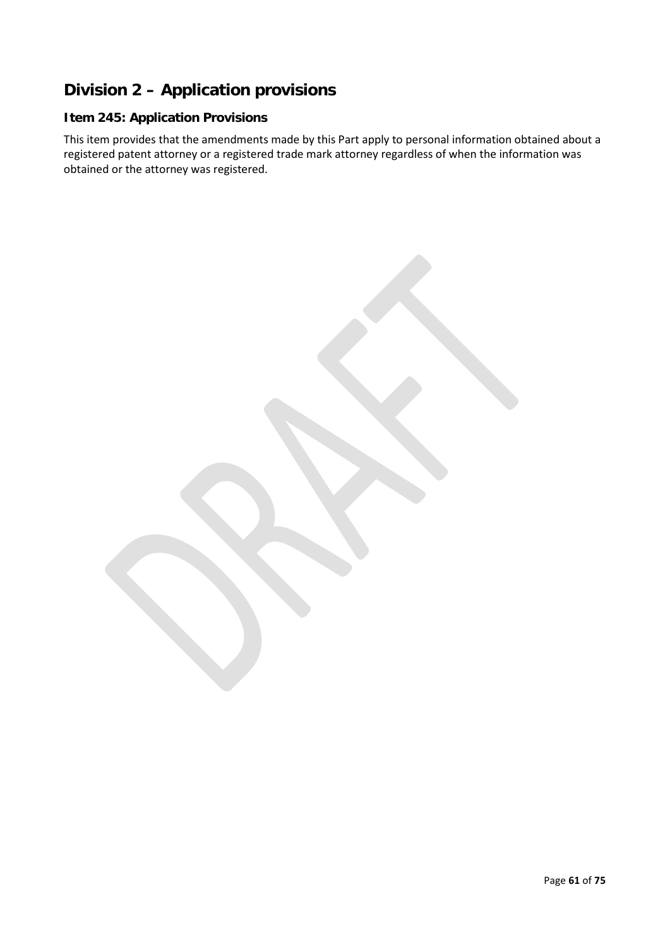## **Division 2 – Application provisions**

### **Item 245: Application Provisions**

This item provides that the amendments made by this Part apply to personal information obtained about a registered patent attorney or a registered trade mark attorney regardless of when the information was obtained or the attorney was registered.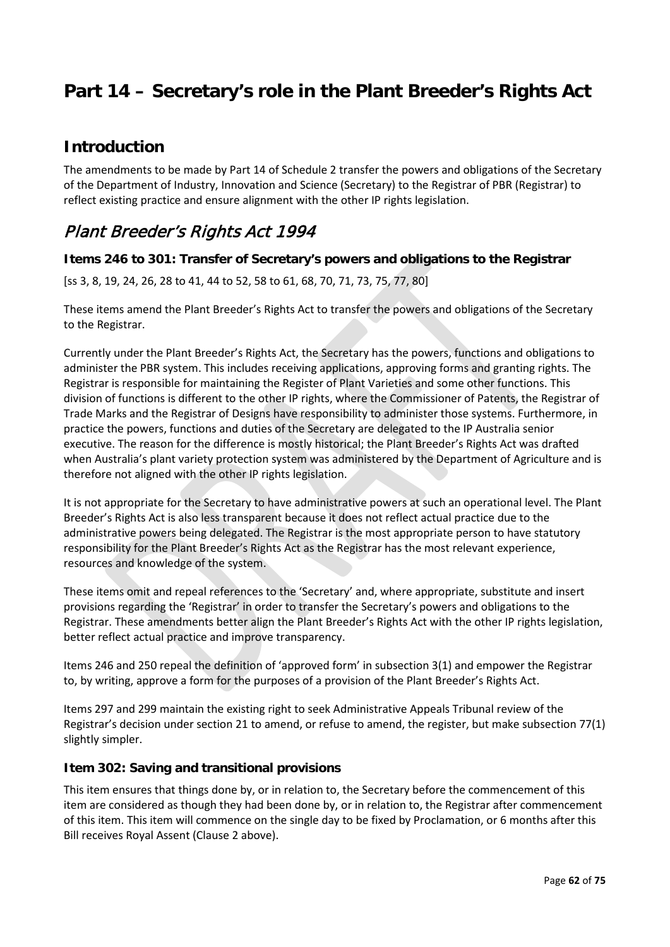# **Part 14 – Secretary's role in the Plant Breeder's Rights Act**

### **Introduction**

The amendments to be made by Part 14 of Schedule 2 transfer the powers and obligations of the Secretary of the Department of Industry, Innovation and Science (Secretary) to the Registrar of PBR (Registrar) to reflect existing practice and ensure alignment with the other IP rights legislation.

## Plant Breeder's Rights Act 1994

### **Items 246 to 301: Transfer of Secretary's powers and obligations to the Registrar**

[ss 3, 8, 19, 24, 26, 28 to 41, 44 to 52, 58 to 61, 68, 70, 71, 73, 75, 77, 80]

These items amend the Plant Breeder's Rights Act to transfer the powers and obligations of the Secretary to the Registrar.

Currently under the Plant Breeder's Rights Act, the Secretary has the powers, functions and obligations to administer the PBR system. This includes receiving applications, approving forms and granting rights. The Registrar is responsible for maintaining the Register of Plant Varieties and some other functions. This division of functions is different to the other IP rights, where the Commissioner of Patents, the Registrar of Trade Marks and the Registrar of Designs have responsibility to administer those systems. Furthermore, in practice the powers, functions and duties of the Secretary are delegated to the IP Australia senior executive. The reason for the difference is mostly historical; the Plant Breeder's Rights Act was drafted when Australia's plant variety protection system was administered by the Department of Agriculture and is therefore not aligned with the other IP rights legislation.

It is not appropriate for the Secretary to have administrative powers at such an operational level. The Plant Breeder's Rights Act is also less transparent because it does not reflect actual practice due to the administrative powers being delegated. The Registrar is the most appropriate person to have statutory responsibility for the Plant Breeder's Rights Act as the Registrar has the most relevant experience, resources and knowledge of the system.

These items omit and repeal references to the 'Secretary' and, where appropriate, substitute and insert provisions regarding the 'Registrar' in order to transfer the Secretary's powers and obligations to the Registrar. These amendments better align the Plant Breeder's Rights Act with the other IP rights legislation, better reflect actual practice and improve transparency.

Items 246 and 250 repeal the definition of 'approved form' in subsection 3(1) and empower the Registrar to, by writing, approve a form for the purposes of a provision of the Plant Breeder's Rights Act.

Items 297 and 299 maintain the existing right to seek Administrative Appeals Tribunal review of the Registrar's decision under section 21 to amend, or refuse to amend, the register, but make subsection 77(1) slightly simpler.

### **Item 302: Saving and transitional provisions**

This item ensures that things done by, or in relation to, the Secretary before the commencement of this item are considered as though they had been done by, or in relation to, the Registrar after commencement of this item. This item will commence on the single day to be fixed by Proclamation, or 6 months after this Bill receives Royal Assent (Clause 2 above).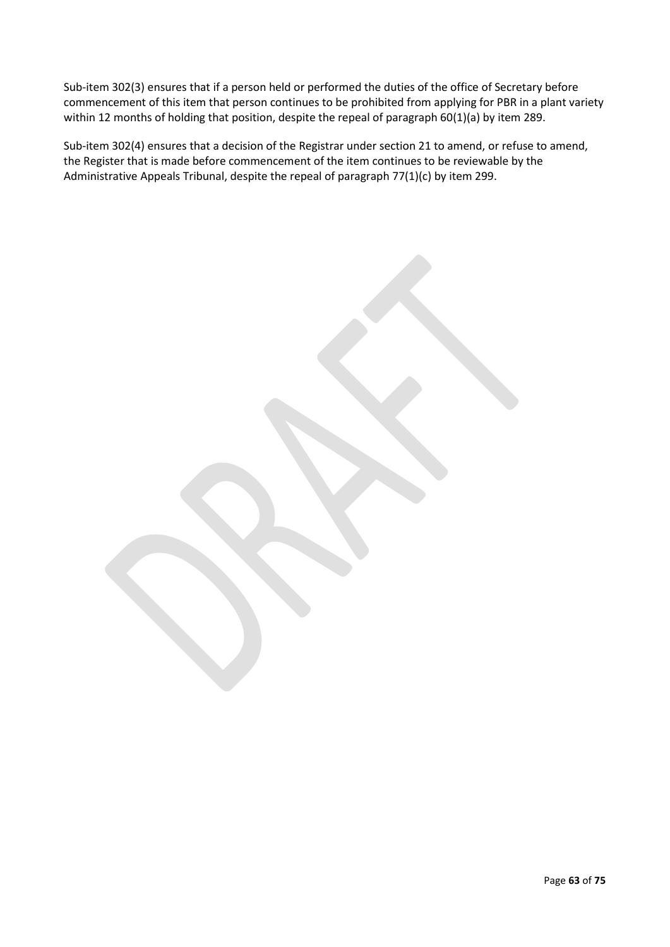Sub-item 302(3) ensures that if a person held or performed the duties of the office of Secretary before commencement of this item that person continues to be prohibited from applying for PBR in a plant variety within 12 months of holding that position, despite the repeal of paragraph 60(1)(a) by item 289.

Sub-item 302(4) ensures that a decision of the Registrar under section 21 to amend, or refuse to amend, the Register that is made before commencement of the item continues to be reviewable by the Administrative Appeals Tribunal, despite the repeal of paragraph 77(1)(c) by item 299.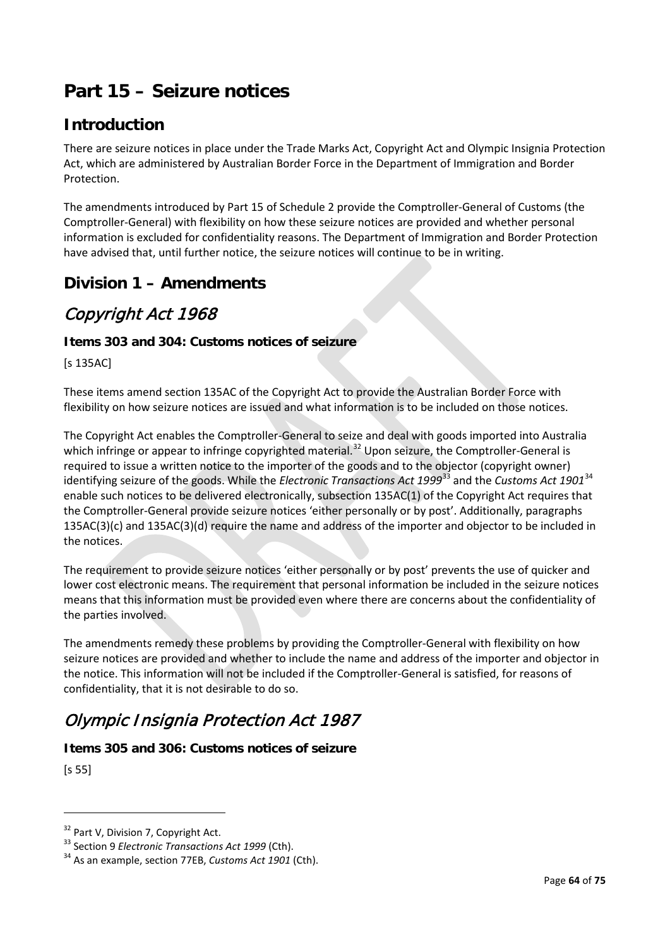# **Part 15 – Seizure notices**

## **Introduction**

There are seizure notices in place under the Trade Marks Act, Copyright Act and Olympic Insignia Protection Act, which are administered by Australian Border Force in the Department of Immigration and Border Protection.

The amendments introduced by Part 15 of Schedule 2 provide the Comptroller-General of Customs (the Comptroller-General) with flexibility on how these seizure notices are provided and whether personal information is excluded for confidentiality reasons. The Department of Immigration and Border Protection have advised that, until further notice, the seizure notices will continue to be in writing.

### **Division 1 – Amendments**

## Copyright Act 1968

### **Items 303 and 304: Customs notices of seizure**

[s 135AC]

These items amend section 135AC of the Copyright Act to provide the Australian Border Force with flexibility on how seizure notices are issued and what information is to be included on those notices.

The Copyright Act enables the Comptroller-General to seize and deal with goods imported into Australia which infringe or appear to infringe copyrighted material.<sup>[32](#page-63-0)</sup> Upon seizure, the Comptroller-General is required to issue a written notice to the importer of the goods and to the objector (copyright owner) identifying seizure of the goods. While the *Electronic Transactions Act 1999*[33](#page-63-1) and the *Customs Act 1901*[34](#page-63-2) enable such notices to be delivered electronically, subsection 135AC(1) of the Copyright Act requires that the Comptroller-General provide seizure notices 'either personally or by post'. Additionally, paragraphs 135AC(3)(c) and 135AC(3)(d) require the name and address of the importer and objector to be included in the notices.

The requirement to provide seizure notices 'either personally or by post' prevents the use of quicker and lower cost electronic means. The requirement that personal information be included in the seizure notices means that this information must be provided even where there are concerns about the confidentiality of the parties involved.

The amendments remedy these problems by providing the Comptroller-General with flexibility on how seizure notices are provided and whether to include the name and address of the importer and objector in the notice. This information will not be included if the Comptroller-General is satisfied, for reasons of confidentiality, that it is not desirable to do so.

## Olympic Insignia Protection Act 1987

### **Items 305 and 306: Customs notices of seizure**

[s 55]

1

<span id="page-63-0"></span><sup>&</sup>lt;sup>32</sup> Part V, Division 7, Copyright Act.<br><sup>33</sup> Section 9 *Electronic Transactions Act 1999* (Cth).<br><sup>34</sup> As an example, section 77EB, *Customs Act 1901* (Cth).

<span id="page-63-2"></span><span id="page-63-1"></span>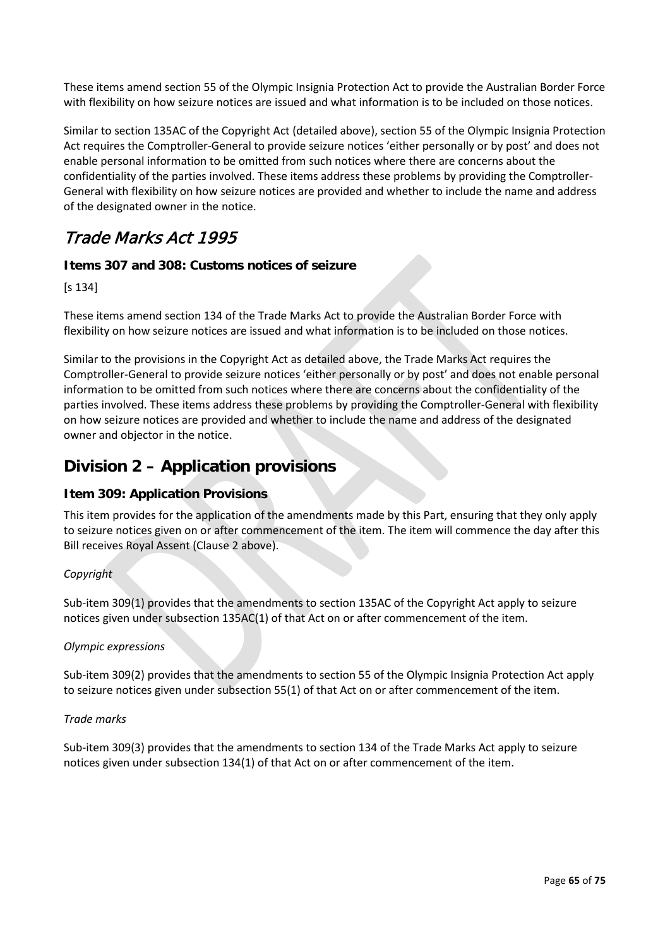These items amend section 55 of the Olympic Insignia Protection Act to provide the Australian Border Force with flexibility on how seizure notices are issued and what information is to be included on those notices.

Similar to section 135AC of the Copyright Act (detailed above), section 55 of the Olympic Insignia Protection Act requires the Comptroller-General to provide seizure notices 'either personally or by post' and does not enable personal information to be omitted from such notices where there are concerns about the confidentiality of the parties involved. These items address these problems by providing the Comptroller-General with flexibility on how seizure notices are provided and whether to include the name and address of the designated owner in the notice.

## Trade Marks Act 1995

### **Items 307 and 308: Customs notices of seizure**

[s 134]

These items amend section 134 of the Trade Marks Act to provide the Australian Border Force with flexibility on how seizure notices are issued and what information is to be included on those notices.

Similar to the provisions in the Copyright Act as detailed above, the Trade Marks Act requires the Comptroller-General to provide seizure notices 'either personally or by post' and does not enable personal information to be omitted from such notices where there are concerns about the confidentiality of the parties involved. These items address these problems by providing the Comptroller-General with flexibility on how seizure notices are provided and whether to include the name and address of the designated owner and objector in the notice.

### **Division 2 – Application provisions**

### **Item 309: Application Provisions**

This item provides for the application of the amendments made by this Part, ensuring that they only apply to seizure notices given on or after commencement of the item. The item will commence the day after this Bill receives Royal Assent (Clause 2 above).

### *Copyright*

Sub-item 309(1) provides that the amendments to section 135AC of the Copyright Act apply to seizure notices given under subsection 135AC(1) of that Act on or after commencement of the item.

#### *Olympic expressions*

Sub-item 309(2) provides that the amendments to section 55 of the Olympic Insignia Protection Act apply to seizure notices given under subsection 55(1) of that Act on or after commencement of the item.

#### *Trade marks*

Sub-item 309(3) provides that the amendments to section 134 of the Trade Marks Act apply to seizure notices given under subsection 134(1) of that Act on or after commencement of the item.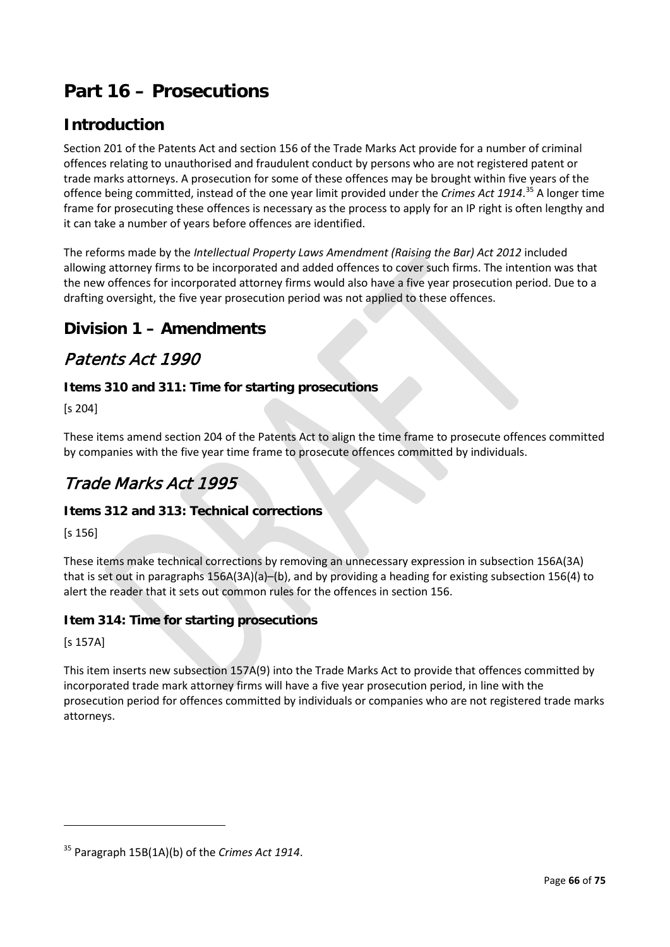# **Part 16 – Prosecutions**

## **Introduction**

Section 201 of the Patents Act and section 156 of the Trade Marks Act provide for a number of criminal offences relating to unauthorised and fraudulent conduct by persons who are not registered patent or trade marks attorneys. A prosecution for some of these offences may be brought within five years of the offence being committed, instead of the one year limit provided under the *Crimes Act 1914*. [35](#page-65-0) A longer time frame for prosecuting these offences is necessary as the process to apply for an IP right is often lengthy and it can take a number of years before offences are identified.

The reforms made by the *Intellectual Property Laws Amendment (Raising the Bar) Act 2012* included allowing attorney firms to be incorporated and added offences to cover such firms. The intention was that the new offences for incorporated attorney firms would also have a five year prosecution period. Due to a drafting oversight, the five year prosecution period was not applied to these offences.

### **Division 1 – Amendments**

### Patents Act 1990

### **Items 310 and 311: Time for starting prosecutions**

[s 204]

These items amend section 204 of the Patents Act to align the time frame to prosecute offences committed by companies with the five year time frame to prosecute offences committed by individuals.

## Trade Marks Act 1995

### **Items 312 and 313: Technical corrections**

[s 156]

These items make technical corrections by removing an unnecessary expression in subsection 156A(3A) that is set out in paragraphs 156A(3A)(a)–(b), and by providing a heading for existing subsection 156(4) to alert the reader that it sets out common rules for the offences in section 156.

### **Item 314: Time for starting prosecutions**

[s 157A]

 $\overline{a}$ 

This item inserts new subsection 157A(9) into the Trade Marks Act to provide that offences committed by incorporated trade mark attorney firms will have a five year prosecution period, in line with the prosecution period for offences committed by individuals or companies who are not registered trade marks attorneys.

<span id="page-65-0"></span><sup>35</sup> Paragraph 15B(1A)(b) of the *Crimes Act 1914*.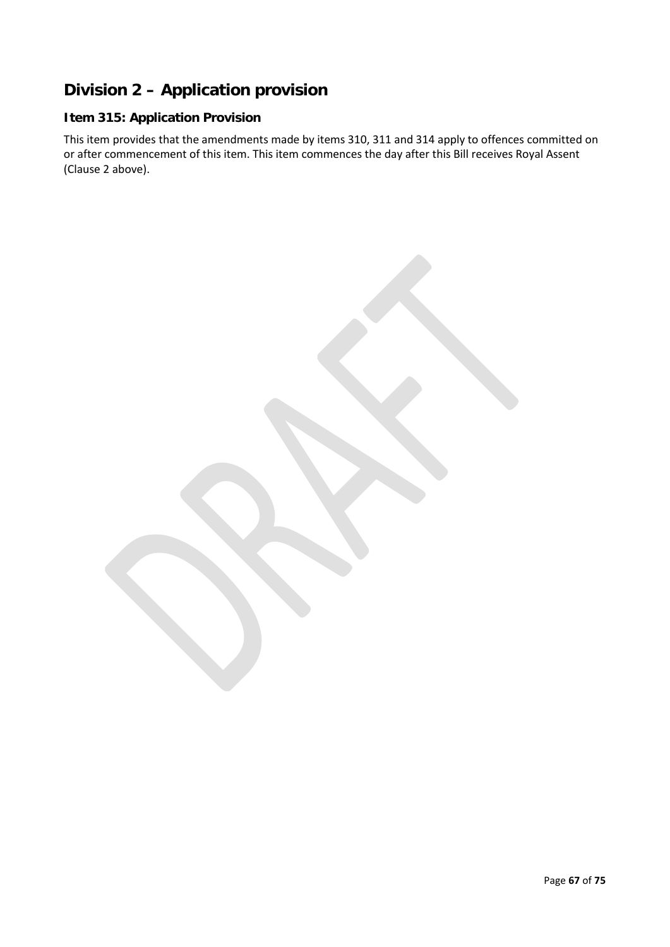## **Division 2 – Application provision**

### **Item 315: Application Provision**

This item provides that the amendments made by items 310, 311 and 314 apply to offences committed on or after commencement of this item. This item commences the day after this Bill receives Royal Assent (Clause 2 above).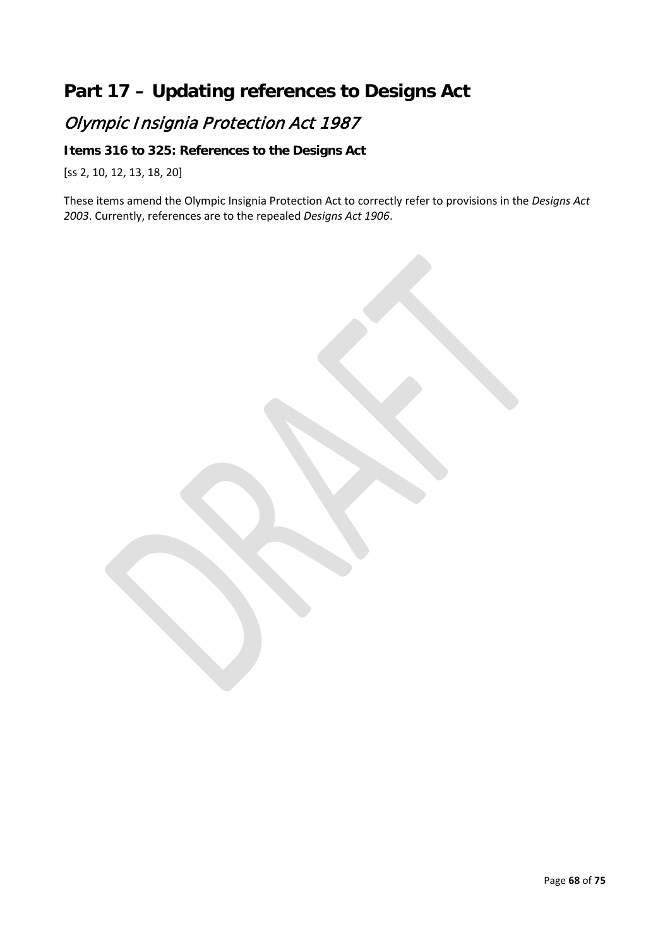# **Part 17 – Updating references to Designs Act**

# Olympic Insignia Protection Act 1987

### **Items 316 to 325: References to the Designs Act**

[ss 2, 10, 12, 13, 18, 20]

These items amend the Olympic Insignia Protection Act to correctly refer to provisions in the *Designs Act 2003*. Currently, references are to the repealed *Designs Act 1906*.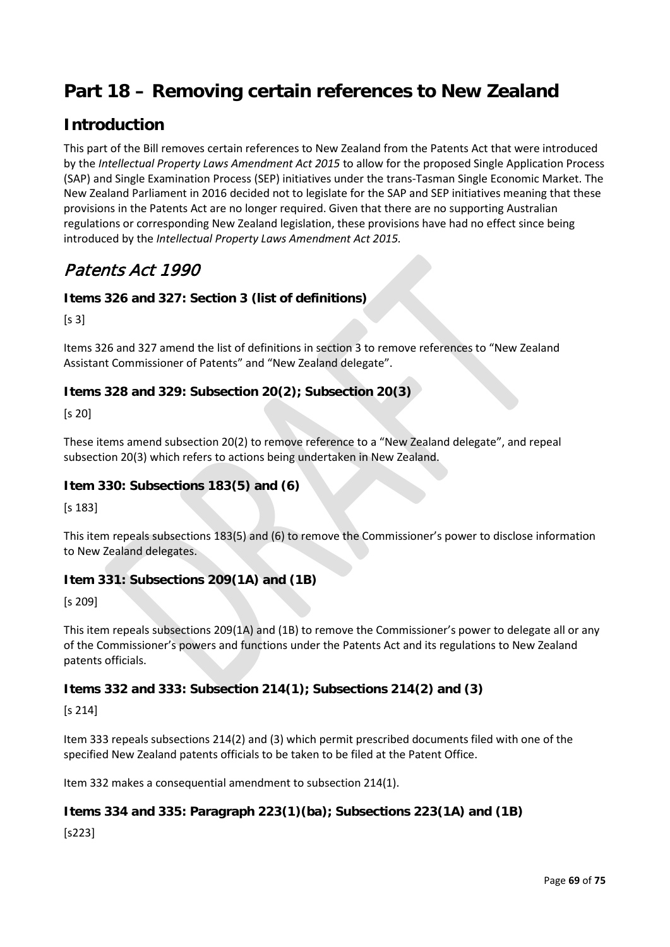# **Part 18 – Removing certain references to New Zealand**

## **Introduction**

This part of the Bill removes certain references to New Zealand from the Patents Act that were introduced by the *Intellectual Property Laws Amendment Act 2015* to allow for the proposed Single Application Process (SAP) and Single Examination Process (SEP) initiatives under the trans-Tasman Single Economic Market. The New Zealand Parliament in 2016 decided not to legislate for the SAP and SEP initiatives meaning that these provisions in the Patents Act are no longer required. Given that there are no supporting Australian regulations or corresponding New Zealand legislation, these provisions have had no effect since being introduced by the *Intellectual Property Laws Amendment Act 2015.*

## Patents Act 1990

### **Items 326 and 327: Section 3 (list of definitions)**

 $[s 3]$ 

Items 326 and 327 amend the list of definitions in section 3 to remove references to "New Zealand Assistant Commissioner of Patents" and "New Zealand delegate".

### **Items 328 and 329: Subsection 20(2); Subsection 20(3)**

[s 20]

These items amend subsection 20(2) to remove reference to a "New Zealand delegate", and repeal subsection 20(3) which refers to actions being undertaken in New Zealand.

### **Item 330: Subsections 183(5) and (6)**

[s 183]

This item repeals subsections 183(5) and (6) to remove the Commissioner's power to disclose information to New Zealand delegates.

### **Item 331: Subsections 209(1A) and (1B)**

[s 209]

This item repeals subsections 209(1A) and (1B) to remove the Commissioner's power to delegate all or any of the Commissioner's powers and functions under the Patents Act and its regulations to New Zealand patents officials.

### **Items 332 and 333: Subsection 214(1); Subsections 214(2) and (3)**

[s 214]

Item 333 repeals subsections 214(2) and (3) which permit prescribed documents filed with one of the specified New Zealand patents officials to be taken to be filed at the Patent Office.

Item 332 makes a consequential amendment to subsection 214(1).

### **Items 334 and 335: Paragraph 223(1)(ba); Subsections 223(1A) and (1B)**

[s223]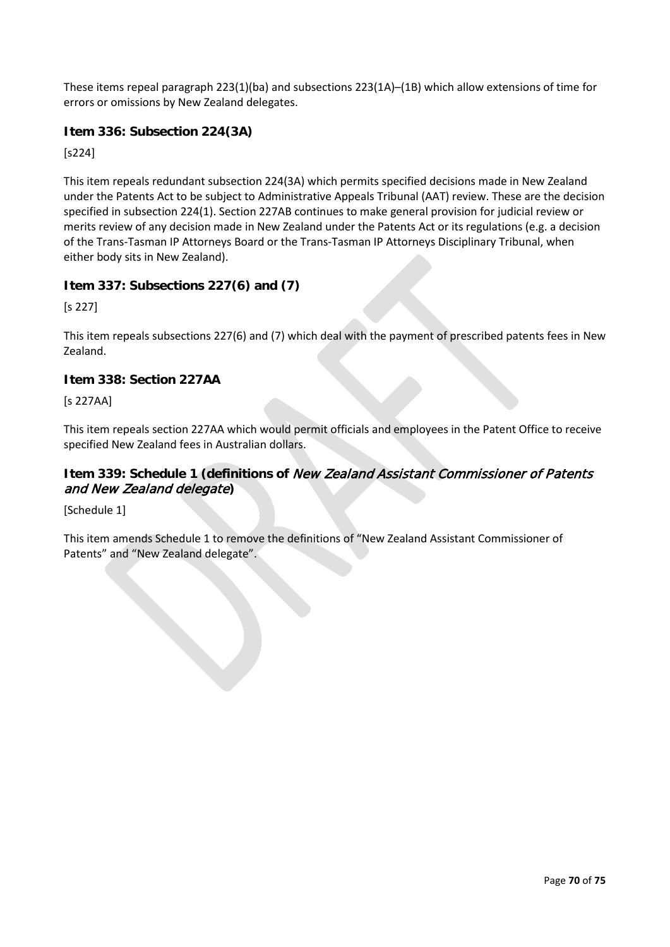These items repeal paragraph 223(1)(ba) and subsections 223(1A)–(1B) which allow extensions of time for errors or omissions by New Zealand delegates.

### **Item 336: Subsection 224(3A)**

[s224]

This item repeals redundant subsection 224(3A) which permits specified decisions made in New Zealand under the Patents Act to be subject to Administrative Appeals Tribunal (AAT) review. These are the decision specified in subsection 224(1). Section 227AB continues to make general provision for judicial review or merits review of any decision made in New Zealand under the Patents Act or its regulations (e.g. a decision of the Trans-Tasman IP Attorneys Board or the Trans-Tasman IP Attorneys Disciplinary Tribunal, when either body sits in New Zealand).

### **Item 337: Subsections 227(6) and (7)**

[s 227]

This item repeals subsections 227(6) and (7) which deal with the payment of prescribed patents fees in New Zealand.

### **Item 338: Section 227AA**

[s 227AA]

This item repeals section 227AA which would permit officials and employees in the Patent Office to receive specified New Zealand fees in Australian dollars.

### **Item 339: Schedule 1 (definitions of** New Zealand Assistant Commissioner of Patents and New Zealand delegate**)**

[Schedule 1]

This item amends Schedule 1 to remove the definitions of "New Zealand Assistant Commissioner of Patents" and "New Zealand delegate".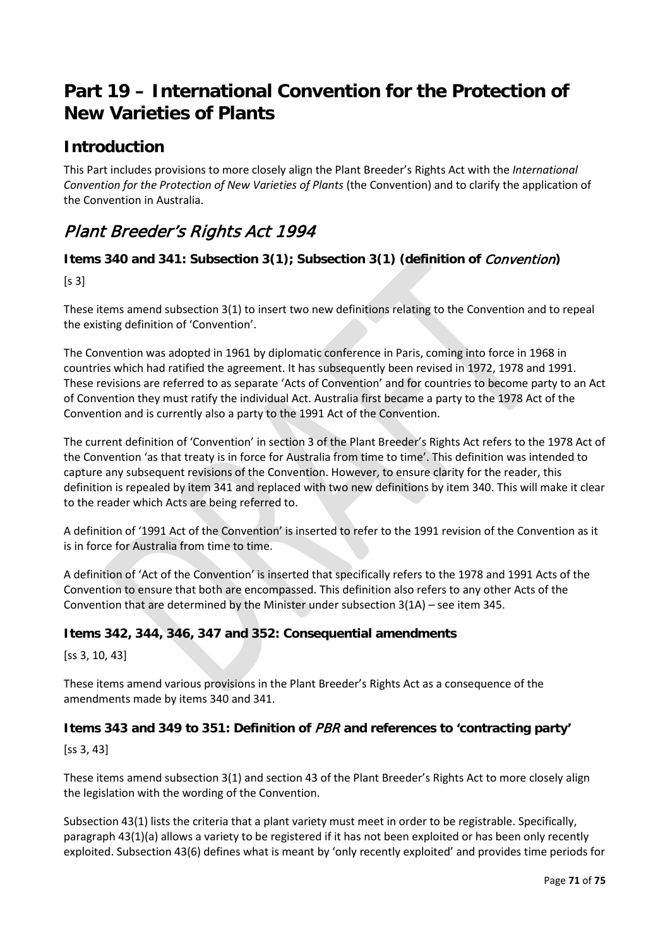## **Part 19 – International Convention for the Protection of New Varieties of Plants**

### **Introduction**

This Part includes provisions to more closely align the Plant Breeder's Rights Act with the *International Convention for the Protection of New Varieties of Plants* (the Convention) and to clarify the application of the Convention in Australia.

## Plant Breeder's Rights Act 1994

### **Items 340 and 341: Subsection 3(1); Subsection 3(1) (definition of** Convention**)**

 $[s 3]$ 

These items amend subsection 3(1) to insert two new definitions relating to the Convention and to repeal the existing definition of 'Convention'.

The Convention was adopted in 1961 by diplomatic conference in Paris, coming into force in 1968 in countries which had ratified the agreement. It has subsequently been revised in 1972, 1978 and 1991. These revisions are referred to as separate 'Acts of Convention' and for countries to become party to an Act of Convention they must ratify the individual Act. Australia first became a party to the 1978 Act of the Convention and is currently also a party to the 1991 Act of the Convention.

The current definition of 'Convention' in section 3 of the Plant Breeder's Rights Act refers to the 1978 Act of the Convention 'as that treaty is in force for Australia from time to time'. This definition was intended to capture any subsequent revisions of the Convention. However, to ensure clarity for the reader, this definition is repealed by item 341 and replaced with two new definitions by item 340. This will make it clear to the reader which Acts are being referred to.

A definition of '1991 Act of the Convention' is inserted to refer to the 1991 revision of the Convention as it is in force for Australia from time to time.

A definition of 'Act of the Convention' is inserted that specifically refers to the 1978 and 1991 Acts of the Convention to ensure that both are encompassed. This definition also refers to any other Acts of the Convention that are determined by the Minister under subsection 3(1A) – see item 345.

### **Items 342, 344, 346, 347 and 352: Consequential amendments**

[ss 3, 10, 43]

These items amend various provisions in the Plant Breeder's Rights Act as a consequence of the amendments made by items 340 and 341.

### **Items 343 and 349 to 351: Definition of** PBR **and references to 'contracting party'**

[ss 3, 43]

These items amend subsection 3(1) and section 43 of the Plant Breeder's Rights Act to more closely align the legislation with the wording of the Convention.

Subsection 43(1) lists the criteria that a plant variety must meet in order to be registrable. Specifically, paragraph 43(1)(a) allows a variety to be registered if it has not been exploited or has been only recently exploited. Subsection 43(6) defines what is meant by 'only recently exploited' and provides time periods for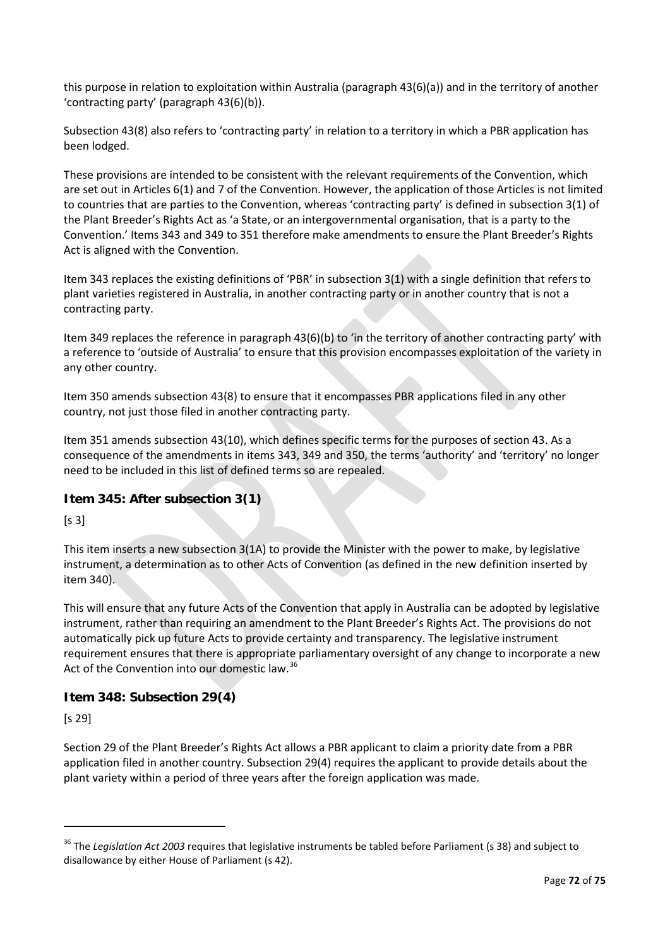this purpose in relation to exploitation within Australia (paragraph 43(6)(a)) and in the territory of another 'contracting party' (paragraph 43(6)(b)).

Subsection 43(8) also refers to 'contracting party' in relation to a territory in which a PBR application has been lodged.

These provisions are intended to be consistent with the relevant requirements of the Convention, which are set out in Articles 6(1) and 7 of the Convention. However, the application of those Articles is not limited to countries that are parties to the Convention, whereas 'contracting party' is defined in subsection 3(1) of the Plant Breeder's Rights Act as 'a State, or an intergovernmental organisation, that is a party to the Convention.' Items 343 and 349 to 351 therefore make amendments to ensure the Plant Breeder's Rights Act is aligned with the Convention.

Item 343 replaces the existing definitions of 'PBR' in subsection 3(1) with a single definition that refers to plant varieties registered in Australia, in another contracting party or in another country that is not a contracting party.

Item 349 replaces the reference in paragraph 43(6)(b) to 'in the territory of another contracting party' with a reference to 'outside of Australia' to ensure that this provision encompasses exploitation of the variety in any other country.

Item 350 amends subsection 43(8) to ensure that it encompasses PBR applications filed in any other country, not just those filed in another contracting party.

Item 351 amends subsection 43(10), which defines specific terms for the purposes of section 43. As a consequence of the amendments in items 343, 349 and 350, the terms 'authority' and 'territory' no longer need to be included in this list of defined terms so are repealed.

### **Item 345: After subsection 3(1)**

 $[s 3]$ 

This item inserts a new subsection 3(1A) to provide the Minister with the power to make, by legislative instrument, a determination as to other Acts of Convention (as defined in the new definition inserted by item 340).

This will ensure that any future Acts of the Convention that apply in Australia can be adopted by legislative instrument, rather than requiring an amendment to the Plant Breeder's Rights Act. The provisions do not automatically pick up future Acts to provide certainty and transparency. The legislative instrument requirement ensures that there is appropriate parliamentary oversight of any change to incorporate a new Act of the Convention into our domestic law.<sup>[36](#page-71-0)</sup>

### **Item 348: Subsection 29(4)**

[s 29]

**.** 

Section 29 of the Plant Breeder's Rights Act allows a PBR applicant to claim a priority date from a PBR application filed in another country. Subsection 29(4) requires the applicant to provide details about the plant variety within a period of three years after the foreign application was made.

<span id="page-71-0"></span><sup>&</sup>lt;sup>36</sup> The *Leaislation Act 2003* requires that legislative instruments be tabled before Parliament (s 38) and subject to disallowance by either House of Parliament (s 42).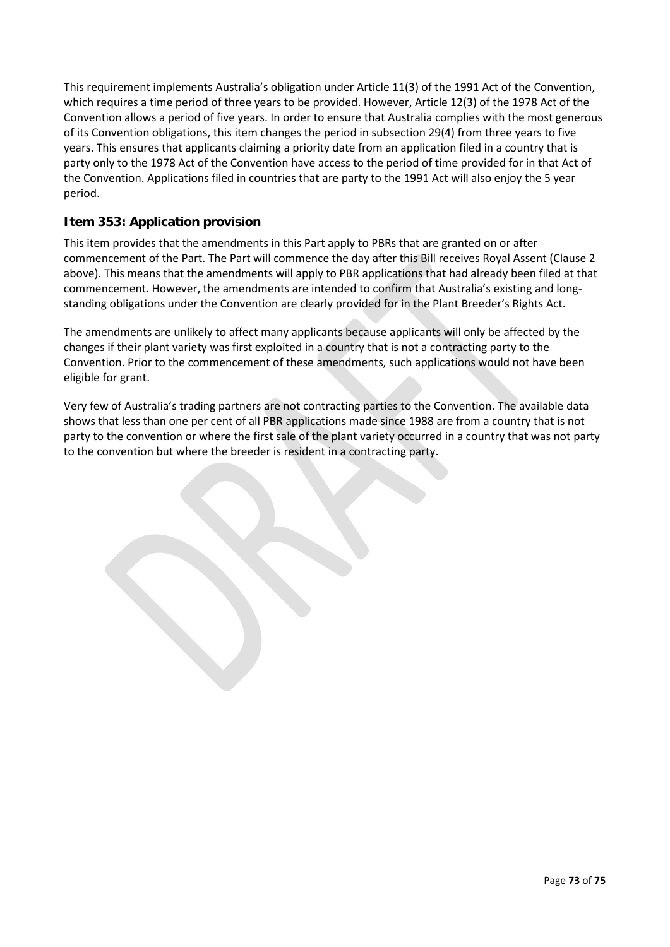This requirement implements Australia's obligation under Article 11(3) of the 1991 Act of the Convention, which requires a time period of three years to be provided. However, Article 12(3) of the 1978 Act of the Convention allows a period of five years. In order to ensure that Australia complies with the most generous of its Convention obligations, this item changes the period in subsection 29(4) from three years to five years. This ensures that applicants claiming a priority date from an application filed in a country that is party only to the 1978 Act of the Convention have access to the period of time provided for in that Act of the Convention. Applications filed in countries that are party to the 1991 Act will also enjoy the 5 year period.

#### **Item 353: Application provision**

This item provides that the amendments in this Part apply to PBRs that are granted on or after commencement of the Part. The Part will commence the day after this Bill receives Royal Assent (Clause 2 above). This means that the amendments will apply to PBR applications that had already been filed at that commencement. However, the amendments are intended to confirm that Australia's existing and longstanding obligations under the Convention are clearly provided for in the Plant Breeder's Rights Act.

The amendments are unlikely to affect many applicants because applicants will only be affected by the changes if their plant variety was first exploited in a country that is not a contracting party to the Convention. Prior to the commencement of these amendments, such applications would not have been eligible for grant.

Very few of Australia's trading partners are not contracting parties to the Convention. The available data shows that less than one per cent of all PBR applications made since 1988 are from a country that is not party to the convention or where the first sale of the plant variety occurred in a country that was not party to the convention but where the breeder is resident in a contracting party.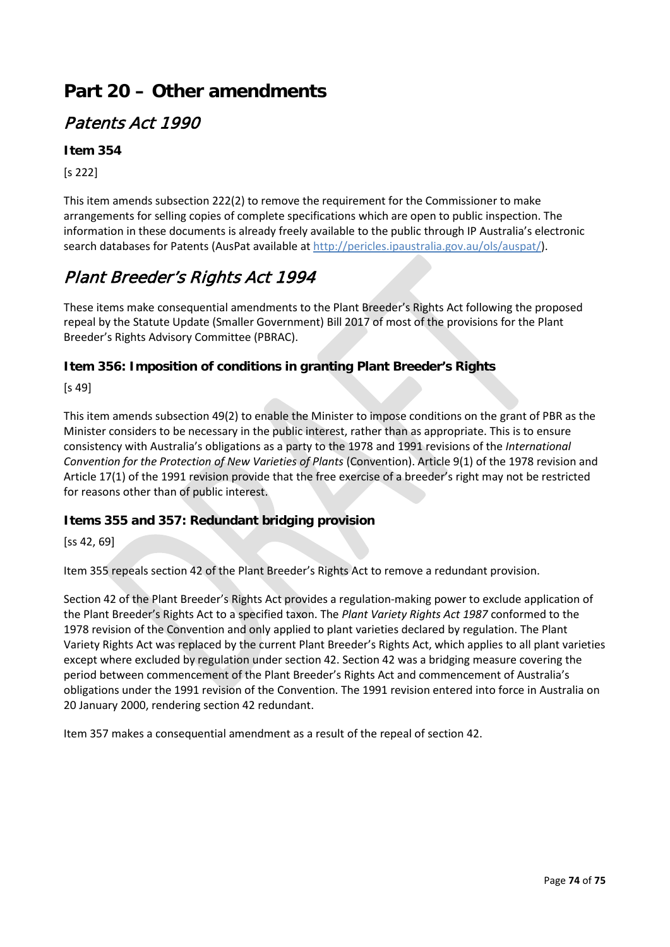# **Part 20 – Other amendments**

### Patents Act 1990

#### **Item 354**

[s 222]

This item amends subsection 222(2) to remove the requirement for the Commissioner to make arrangements for selling copies of complete specifications which are open to public inspection. The information in these documents is already freely available to the public through IP Australia's electronic search databases for Patents (AusPat available at [http://pericles.ipaustralia.gov.au/ols/auspat/\)](http://pericles.ipaustralia.gov.au/ols/auspat/).

## Plant Breeder's Rights Act 1994

These items make consequential amendments to the Plant Breeder's Rights Act following the proposed repeal by the Statute Update (Smaller Government) Bill 2017 of most of the provisions for the Plant Breeder's Rights Advisory Committee (PBRAC).

#### **Item 356: Imposition of conditions in granting Plant Breeder's Rights**

[s 49]

This item amends subsection 49(2) to enable the Minister to impose conditions on the grant of PBR as the Minister considers to be necessary in the public interest, rather than as appropriate. This is to ensure consistency with Australia's obligations as a party to the 1978 and 1991 revisions of the *International Convention for the Protection of New Varieties of Plants* (Convention). Article 9(1) of the 1978 revision and Article 17(1) of the 1991 revision provide that the free exercise of a breeder's right may not be restricted for reasons other than of public interest.

#### **Items 355 and 357: Redundant bridging provision**

[ss 42, 69]

Item 355 repeals section 42 of the Plant Breeder's Rights Act to remove a redundant provision.

Section 42 of the Plant Breeder's Rights Act provides a regulation-making power to exclude application of the Plant Breeder's Rights Act to a specified taxon. The *Plant Variety Rights Act 1987* conformed to the 1978 revision of the Convention and only applied to plant varieties declared by regulation. The Plant Variety Rights Act was replaced by the current Plant Breeder's Rights Act, which applies to all plant varieties except where excluded by regulation under section 42. Section 42 was a bridging measure covering the period between commencement of the Plant Breeder's Rights Act and commencement of Australia's obligations under the 1991 revision of the Convention. The 1991 revision entered into force in Australia on 20 January 2000, rendering section 42 redundant.

Item 357 makes a consequential amendment as a result of the repeal of section 42.